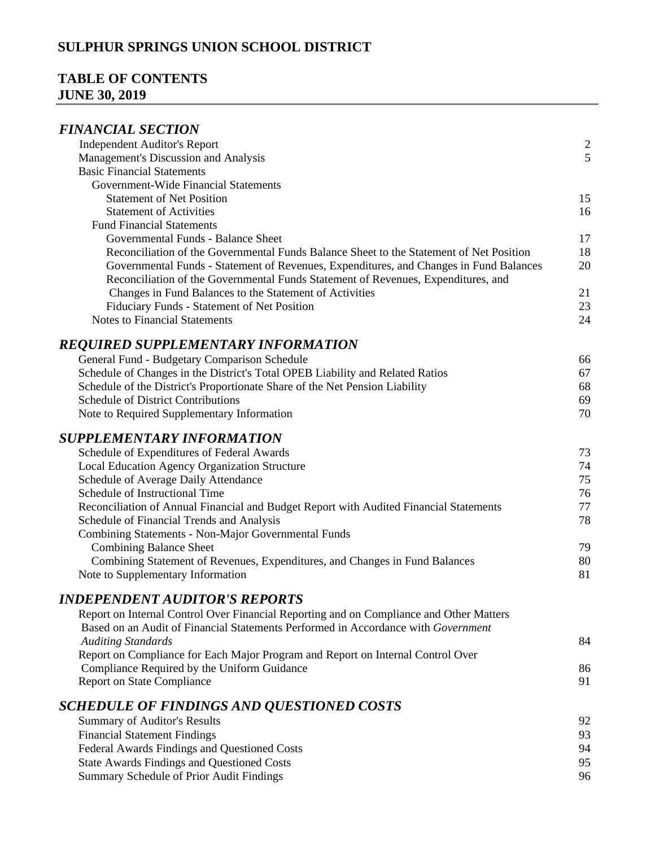# **TABLE OF CONTENTS JUNE 30, 2019**

| <b>FINANCIAL SECTION</b>                                                                |                |
|-----------------------------------------------------------------------------------------|----------------|
| <b>Independent Auditor's Report</b>                                                     | $\overline{2}$ |
| Management's Discussion and Analysis                                                    | 5              |
| <b>Basic Financial Statements</b>                                                       |                |
| Government-Wide Financial Statements                                                    |                |
| <b>Statement of Net Position</b>                                                        | 15             |
| <b>Statement of Activities</b>                                                          | 16             |
| <b>Fund Financial Statements</b>                                                        |                |
| Governmental Funds - Balance Sheet                                                      | 17             |
| Reconciliation of the Governmental Funds Balance Sheet to the Statement of Net Position | 18             |
| Governmental Funds - Statement of Revenues, Expenditures, and Changes in Fund Balances  | 20             |
| Reconciliation of the Governmental Funds Statement of Revenues, Expenditures, and       |                |
| Changes in Fund Balances to the Statement of Activities                                 | 21             |
| Fiduciary Funds - Statement of Net Position                                             | 23             |
| <b>Notes to Financial Statements</b>                                                    | 24             |
| <b>REQUIRED SUPPLEMENTARY INFORMATION</b>                                               |                |
| General Fund - Budgetary Comparison Schedule                                            | 66             |
| Schedule of Changes in the District's Total OPEB Liability and Related Ratios           | 67             |
| Schedule of the District's Proportionate Share of the Net Pension Liability             | 68             |
| <b>Schedule of District Contributions</b>                                               | 69             |
| Note to Required Supplementary Information                                              | 70             |
| <b>SUPPLEMENTARY INFORMATION</b>                                                        |                |
| Schedule of Expenditures of Federal Awards                                              | 73             |
| Local Education Agency Organization Structure                                           | 74             |
| Schedule of Average Daily Attendance                                                    | 75             |
| Schedule of Instructional Time                                                          | 76             |
| Reconciliation of Annual Financial and Budget Report with Audited Financial Statements  | 77             |
| Schedule of Financial Trends and Analysis                                               | 78             |
| Combining Statements - Non-Major Governmental Funds                                     |                |
| <b>Combining Balance Sheet</b>                                                          | 79             |
| Combining Statement of Revenues, Expenditures, and Changes in Fund Balances             | 80             |
| Note to Supplementary Information                                                       | 81             |
| <b>INDEPENDENT AUDITOR'S REPORTS</b>                                                    |                |
| Report on Internal Control Over Financial Reporting and on Compliance and Other Matters |                |
| Based on an Audit of Financial Statements Performed in Accordance with Government       |                |
| <b>Auditing Standards</b>                                                               | 84             |
| Report on Compliance for Each Major Program and Report on Internal Control Over         |                |
| Compliance Required by the Uniform Guidance                                             | 86             |
| <b>Report on State Compliance</b>                                                       | 91             |
| SCHEDULE OF FINDINGS AND QUESTIONED COSTS                                               |                |
| <b>Summary of Auditor's Results</b>                                                     | 92             |
| <b>Financial Statement Findings</b>                                                     | 93             |
| Federal Awards Findings and Questioned Costs                                            | 94             |
| <b>State Awards Findings and Questioned Costs</b>                                       | 95             |
| Summary Schedule of Prior Audit Findings                                                | 96             |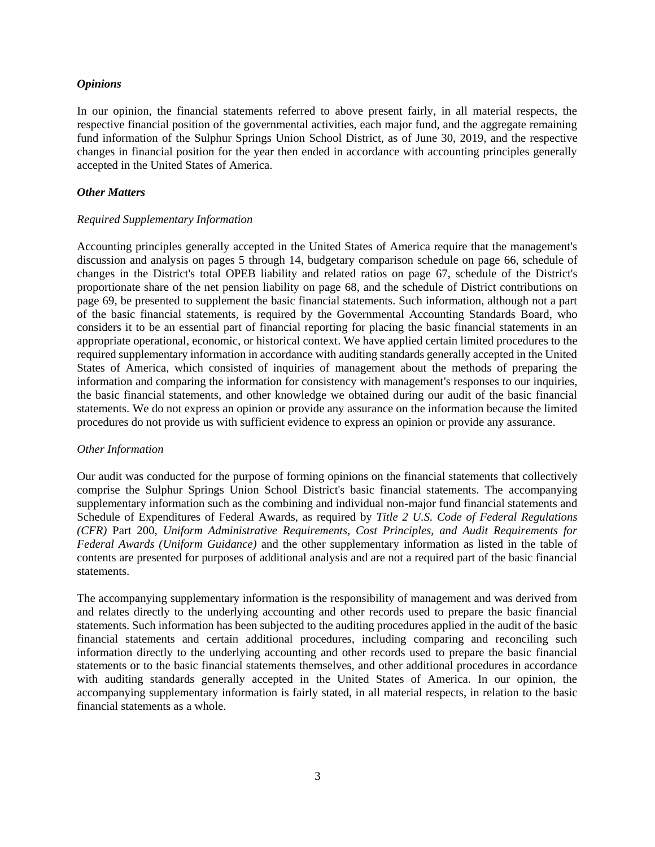#### *Opinions*

In our opinion, the financial statements referred to above present fairly, in all material respects, the respective financial position of the governmental activities, each major fund, and the aggregate remaining fund information of the Sulphur Springs Union School District, as of June 30, 2019, and the respective changes in financial position for the year then ended in accordance with accounting principles generally accepted in the United States of America.

#### *Other Matters*

#### *Required Supplementary Information*

Accounting principles generally accepted in the United States of America require that the management's discussion and analysis on pages [5](#page-6-0) through [14,](#page-15-0) budgetary comparison schedule on page [66,](#page-68-0) schedule of changes in the District's total OPEB liability and related ratios on page [67,](#page-69-0) schedule of the District's proportionate share of the net pension liability on page [68,](#page-70-0) and the schedule of District contributions on page [69,](#page-72-0) be presented to supplement the basic financial statements. Such information, although not a part of the basic financial statements, is required by the Governmental Accounting Standards Board, who considers it to be an essential part of financial reporting for placing the basic financial statements in an appropriate operational, economic, or historical context. We have applied certain limited procedures to the required supplementary information in accordance with auditing standards generally accepted in the United States of America, which consisted of inquiries of management about the methods of preparing the information and comparing the information for consistency with management's responses to our inquiries, the basic financial statements, and other knowledge we obtained during our audit of the basic financial statements. We do not express an opinion or provide any assurance on the information because the limited procedures do not provide us with sufficient evidence to express an opinion or provide any assurance.

#### *Other Information*

Our audit was conducted for the purpose of forming opinions on the financial statements that collectively comprise the Sulphur Springs Union School District's basic financial statements. The accompanying supplementary information such as the combining and individual non-major fund financial statements and Schedule of Expenditures of Federal Awards, as required by *Title 2 U.S. Code of Federal Regulations (CFR)* Part 200, *Uniform Administrative Requirements, Cost Principles, and Audit Requirements for Federal Awards (Uniform Guidance)* and the other supplementary information as listed in the table of contents are presented for purposes of additional analysis and are not a required part of the basic financial statements.

The accompanying supplementary information is the responsibility of management and was derived from and relates directly to the underlying accounting and other records used to prepare the basic financial statements. Such information has been subjected to the auditing procedures applied in the audit of the basic financial statements and certain additional procedures, including comparing and reconciling such information directly to the underlying accounting and other records used to prepare the basic financial statements or to the basic financial statements themselves, and other additional procedures in accordance with auditing standards generally accepted in the United States of America. In our opinion, the accompanying supplementary information is fairly stated, in all material respects, in relation to the basic financial statements as a whole.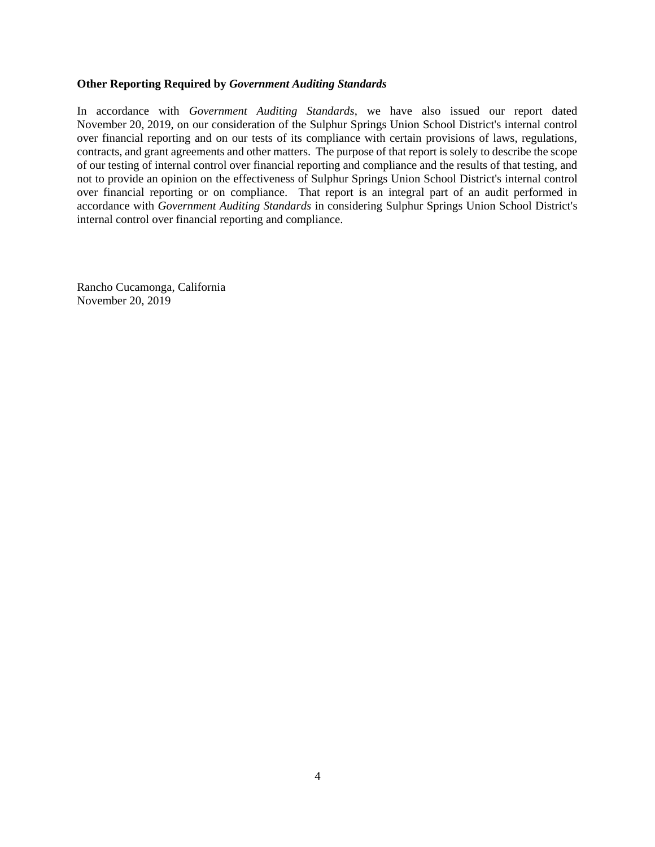#### **Other Reporting Required by** *Government Auditing Standards*

In accordance with *Government Auditing Standards*, we have also issued our report dated November 20, 2019, on our consideration of the Sulphur Springs Union School District's internal control over financial reporting and on our tests of its compliance with certain provisions of laws, regulations, contracts, and grant agreements and other matters. The purpose of that report is solely to describe the scope of our testing of internal control over financial reporting and compliance and the results of that testing, and not to provide an opinion on the effectiveness of Sulphur Springs Union School District's internal control over financial reporting or on compliance. That report is an integral part of an audit performed in accordance with *Government Auditing Standards* in considering Sulphur Springs Union School District's internal control over financial reporting and compliance.

Rancho Cucamonga, California November 20, 2019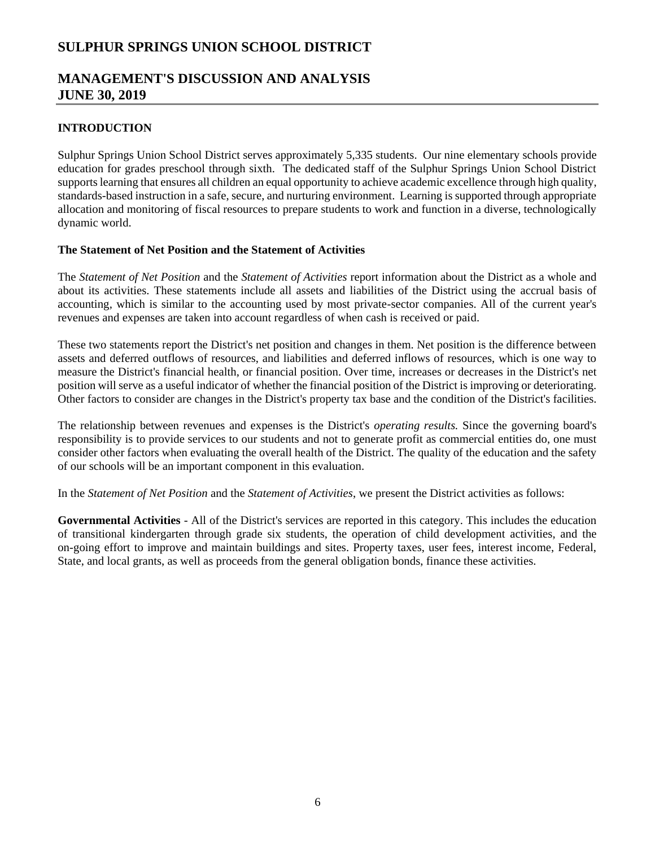# **MANAGEMENT'S DISCUSSION AND ANALYSIS JUNE 30, 2019**

### **INTRODUCTION**

Sulphur Springs Union School District serves approximately 5,335 students. Our nine elementary schools provide education for grades preschool through sixth. The dedicated staff of the Sulphur Springs Union School District supports learning that ensures all children an equal opportunity to achieve academic excellence through high quality, standards-based instruction in a safe, secure, and nurturing environment. Learning is supported through appropriate allocation and monitoring of fiscal resources to prepare students to work and function in a diverse, technologically dynamic world.

### **The Statement of Net Position and the Statement of Activities**

The *Statement of Net Position* and the *Statement of Activities* report information about the District as a whole and about its activities. These statements include all assets and liabilities of the District using the accrual basis of accounting*,* which is similar to the accounting used by most private-sector companies. All of the current year's revenues and expenses are taken into account regardless of when cash is received or paid.

These two statements report the District's net position and changes in them. Net position is the difference between assets and deferred outflows of resources, and liabilities and deferred inflows of resources, which is one way to measure the District's financial health, or financial position. Over time, increases or decreases in the District's net position will serve as a useful indicator of whether the financial position of the District is improving or deteriorating. Other factors to consider are changes in the District's property tax base and the condition of the District's facilities.

The relationship between revenues and expenses is the District's *operating results.* Since the governing board's responsibility is to provide services to our students and not to generate profit as commercial entities do, one must consider other factors when evaluating the overall health of the District. The quality of the education and the safety of our schools will be an important component in this evaluation.

In the *Statement of Net Position* and the *Statement of Activities*, we present the District activities as follows:

**Governmental Activities** - All of the District's services are reported in this category. This includes the education of transitional kindergarten through grade six students, the operation of child development activities, and the on-going effort to improve and maintain buildings and sites. Property taxes, user fees, interest income, Federal, State, and local grants, as well as proceeds from the general obligation bonds, finance these activities.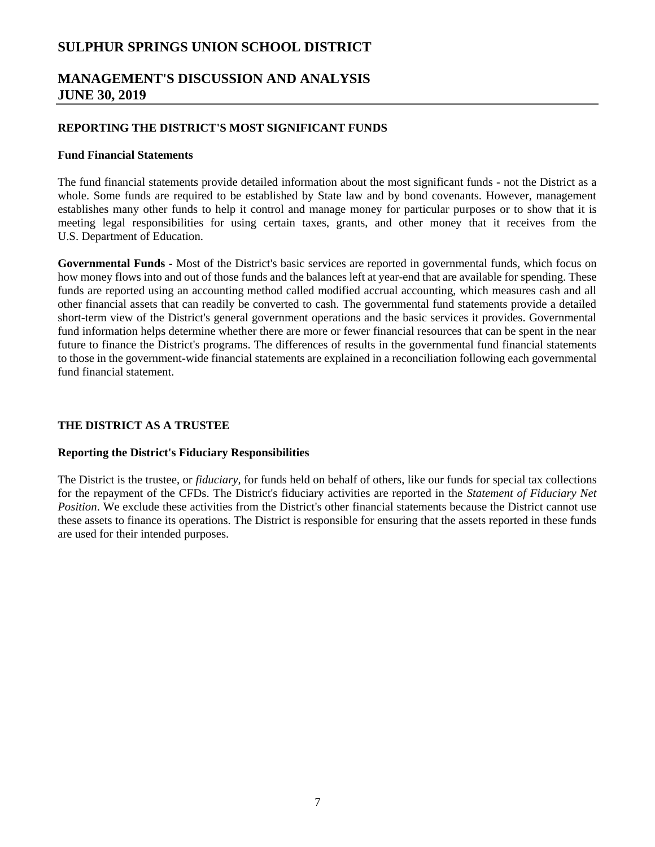## **MANAGEMENT'S DISCUSSION AND ANALYSIS JUNE 30, 2019**

### **REPORTING THE DISTRICT'S MOST SIGNIFICANT FUNDS**

#### **Fund Financial Statements**

The fund financial statements provide detailed information about the most significant funds - not the District as a whole. Some funds are required to be established by State law and by bond covenants. However, management establishes many other funds to help it control and manage money for particular purposes or to show that it is meeting legal responsibilities for using certain taxes, grants, and other money that it receives from the U.S. Department of Education.

**Governmental Funds -** Most of the District's basic services are reported in governmental funds, which focus on how money flows into and out of those funds and the balances left at year-end that are available for spending. These funds are reported using an accounting method called modified accrual accounting, which measures cash and all other financial assets that can readily be converted to cash. The governmental fund statements provide a detailed short-term view of the District's general government operations and the basic services it provides. Governmental fund information helps determine whether there are more or fewer financial resources that can be spent in the near future to finance the District's programs. The differences of results in the governmental fund financial statements to those in the government-wide financial statements are explained in a reconciliation following each governmental fund financial statement.

### **THE DISTRICT AS A TRUSTEE**

#### **Reporting the District's Fiduciary Responsibilities**

The District is the trustee, or *fiduciary,* for funds held on behalf of others, like our funds for special tax collections for the repayment of the CFDs. The District's fiduciary activities are reported in the *Statement of Fiduciary Net Position*. We exclude these activities from the District's other financial statements because the District cannot use these assets to finance its operations. The District is responsible for ensuring that the assets reported in these funds are used for their intended purposes.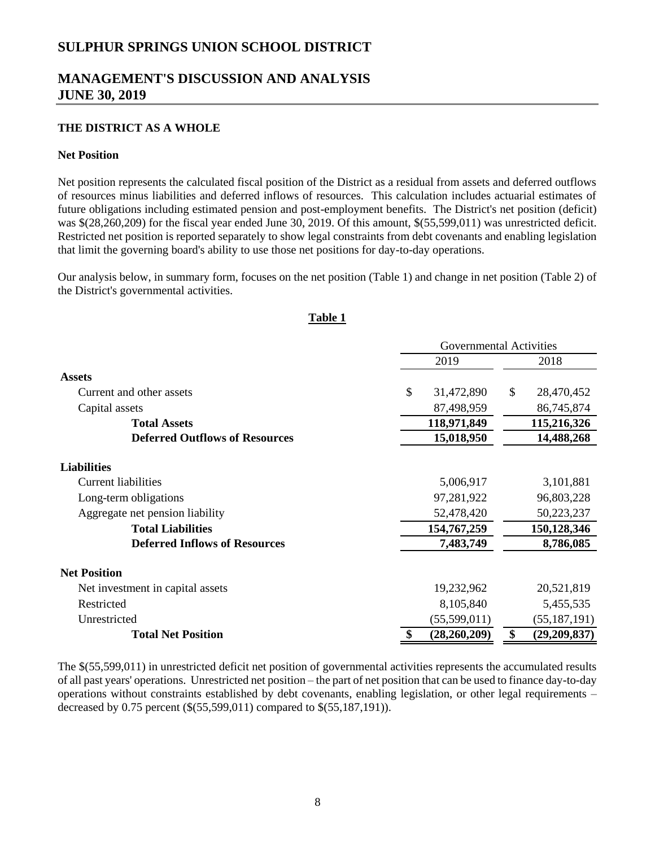## **MANAGEMENT'S DISCUSSION AND ANALYSIS JUNE 30, 2019**

### **THE DISTRICT AS A WHOLE**

#### **Net Position**

Net position represents the calculated fiscal position of the District as a residual from assets and deferred outflows of resources minus liabilities and deferred inflows of resources. This calculation includes actuarial estimates of future obligations including estimated pension and post-employment benefits. The District's net position (deficit) was \$(28,260,209) for the fiscal year ended June 30, 2019. Of this amount, \$(55,599,011) was unrestricted deficit. Restricted net position is reported separately to show legal constraints from debt covenants and enabling legislation that limit the governing board's ability to use those net positions for day-to-day operations.

Our analysis below, in summary form, focuses on the net position (Table 1) and change in net position (Table 2) of the District's governmental activities.

|                                       | <b>Governmental Activities</b>         |                |             |                |  |
|---------------------------------------|----------------------------------------|----------------|-------------|----------------|--|
|                                       | 2019                                   |                |             | 2018           |  |
| <b>Assets</b>                         |                                        |                |             |                |  |
| Current and other assets              | \$                                     | 31,472,890     | \$          | 28,470,452     |  |
| Capital assets                        |                                        | 87,498,959     |             | 86,745,874     |  |
| <b>Total Assets</b>                   |                                        | 118,971,849    |             | 115,216,326    |  |
| <b>Deferred Outflows of Resources</b> |                                        | 15,018,950     |             | 14,488,268     |  |
| <b>Liabilities</b>                    |                                        |                |             |                |  |
| Current liabilities                   |                                        | 5,006,917      |             | 3,101,881      |  |
| Long-term obligations                 |                                        | 97,281,922     |             | 96,803,228     |  |
| Aggregate net pension liability       |                                        | 52,478,420     |             | 50,223,237     |  |
| <b>Total Liabilities</b>              |                                        | 154,767,259    | 150,128,346 |                |  |
| <b>Deferred Inflows of Resources</b>  |                                        | 7,483,749      |             | 8,786,085      |  |
| <b>Net Position</b>                   |                                        |                |             |                |  |
| Net investment in capital assets      |                                        | 19,232,962     |             | 20,521,819     |  |
| Restricted                            |                                        | 8,105,840      |             | 5,455,535      |  |
| Unrestricted                          |                                        | (55, 599, 011) |             | (55, 187, 191) |  |
| <b>Total Net Position</b>             | (28, 260, 209)<br>\$<br>(29, 209, 837) |                |             |                |  |

**Table 1**

The \$(55,599,011) in unrestricted deficit net position of governmental activities represents the accumulated results of all past years' operations. Unrestricted net position – the part of net position that can be used to finance day-to-day operations without constraints established by debt covenants, enabling legislation, or other legal requirements – decreased by 0.75 percent (\$(55,599,011) compared to \$(55,187,191)).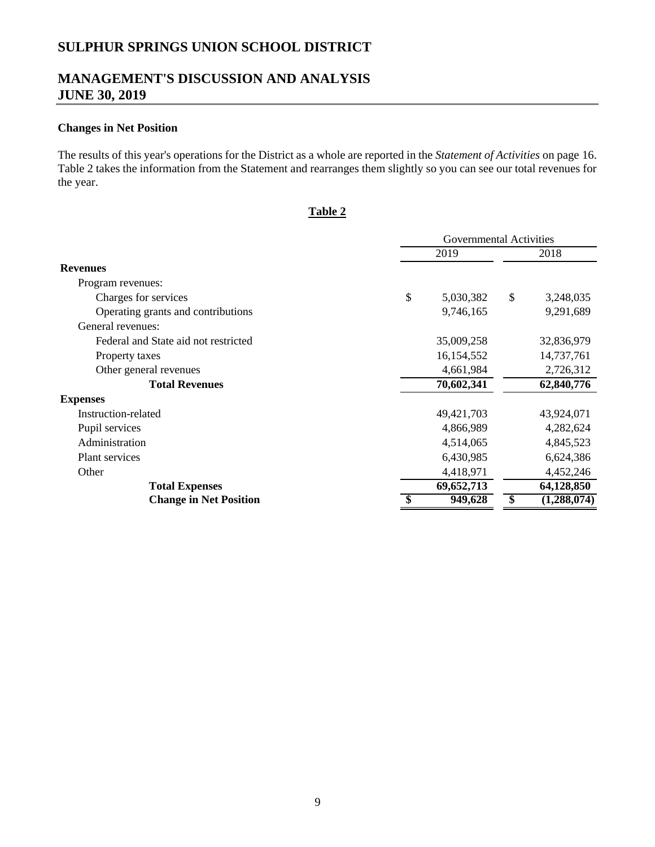# **MANAGEMENT'S DISCUSSION AND ANALYSIS JUNE 30, 2019**

### **Changes in Net Position**

The results of this year's operations for the District as a whole are reported in the *Statement of Activities* on page [16.](#page-17-0) Table 2 takes the information from the Statement and rearranges them slightly so you can see our total revenues for the year.

**Table 2**

|                                      | <b>Governmental Activities</b> |              |    |             |  |
|--------------------------------------|--------------------------------|--------------|----|-------------|--|
|                                      |                                | 2019         |    |             |  |
| <b>Revenues</b>                      |                                |              |    |             |  |
| Program revenues:                    |                                |              |    |             |  |
| Charges for services                 | \$                             | 5,030,382    | \$ | 3,248,035   |  |
| Operating grants and contributions   |                                | 9,746,165    |    | 9,291,689   |  |
| General revenues:                    |                                |              |    |             |  |
| Federal and State aid not restricted |                                | 35,009,258   |    | 32,836,979  |  |
| Property taxes                       |                                | 16,154,552   |    | 14,737,761  |  |
| Other general revenues               |                                | 4,661,984    |    | 2,726,312   |  |
| <b>Total Revenues</b>                |                                | 70,602,341   |    | 62,840,776  |  |
| <b>Expenses</b>                      |                                |              |    |             |  |
| Instruction-related                  |                                | 49, 421, 703 |    | 43,924,071  |  |
| Pupil services                       |                                | 4,866,989    |    | 4,282,624   |  |
| Administration                       |                                | 4,514,065    |    | 4,845,523   |  |
| Plant services                       |                                | 6,430,985    |    | 6,624,386   |  |
| Other                                |                                | 4,418,971    |    | 4,452,246   |  |
| <b>Total Expenses</b>                |                                | 69, 652, 713 |    | 64,128,850  |  |
| <b>Change in Net Position</b>        |                                | 949,628      |    | (1,288,074) |  |
|                                      |                                |              |    |             |  |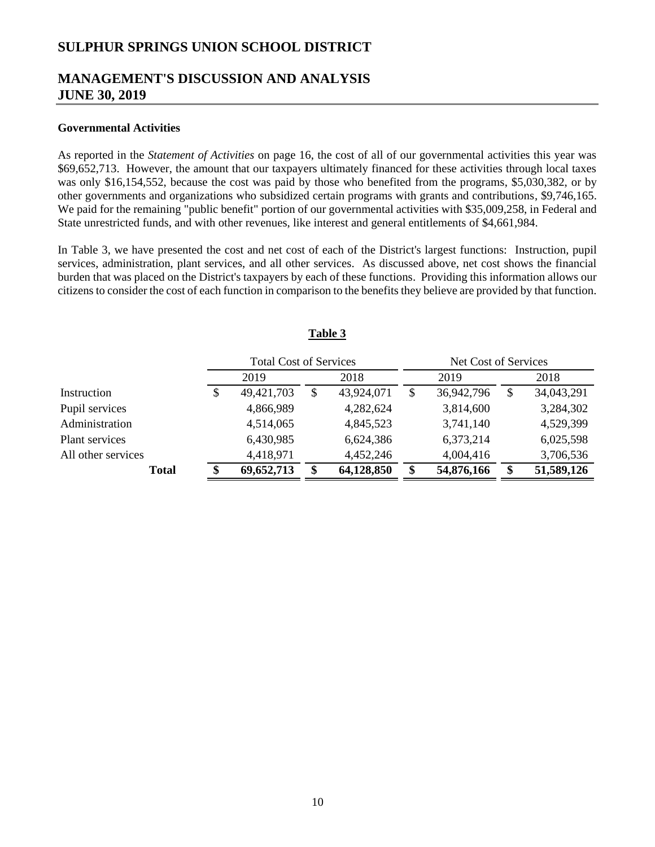## **MANAGEMENT'S DISCUSSION AND ANALYSIS JUNE 30, 2019**

#### **Governmental Activities**

As reported in the *Statement of Activities* on page [16,](#page-17-0) the cost of all of our governmental activities this year was \$69,652,713. However, the amount that our taxpayers ultimately financed for these activities through local taxes was only \$16,154,552, because the cost was paid by those who benefited from the programs, \$5,030,382, or by other governments and organizations who subsidized certain programs with grants and contributions, \$9,746,165. We paid for the remaining "public benefit" portion of our governmental activities with \$35,009,258, in Federal and State unrestricted funds, and with other revenues, like interest and general entitlements of \$4,661,984.

In Table 3, we have presented the cost and net cost of each of the District's largest functions: Instruction, pupil services, administration, plant services, and all other services. As discussed above, net cost shows the financial burden that was placed on the District's taxpayers by each of these functions. Providing this information allows our citizens to consider the cost of each function in comparison to the benefits they believe are provided by that function.

|                    | <b>Total Cost of Services</b> |    |            |   | Net Cost of Services |   |            |  |
|--------------------|-------------------------------|----|------------|---|----------------------|---|------------|--|
|                    | 2019                          |    | 2018       |   | 2019                 |   | 2018       |  |
| Instruction        | \$<br>49,421,703              | \$ | 43,924,071 | S | 36,942,796           | S | 34,043,291 |  |
| Pupil services     | 4,866,989                     |    | 4,282,624  |   | 3,814,600            |   | 3,284,302  |  |
| Administration     | 4,514,065                     |    | 4,845,523  |   | 3,741,140            |   | 4,529,399  |  |
| Plant services     | 6,430,985                     |    | 6,624,386  |   | 6,373,214            |   | 6,025,598  |  |
| All other services | 4,418,971                     |    | 4,452,246  |   | 4,004,416            |   | 3,706,536  |  |
| <b>Total</b>       | \$<br>69,652,713              |    | 64,128,850 |   | 54,876,166           |   | 51,589,126 |  |

### **Table 3**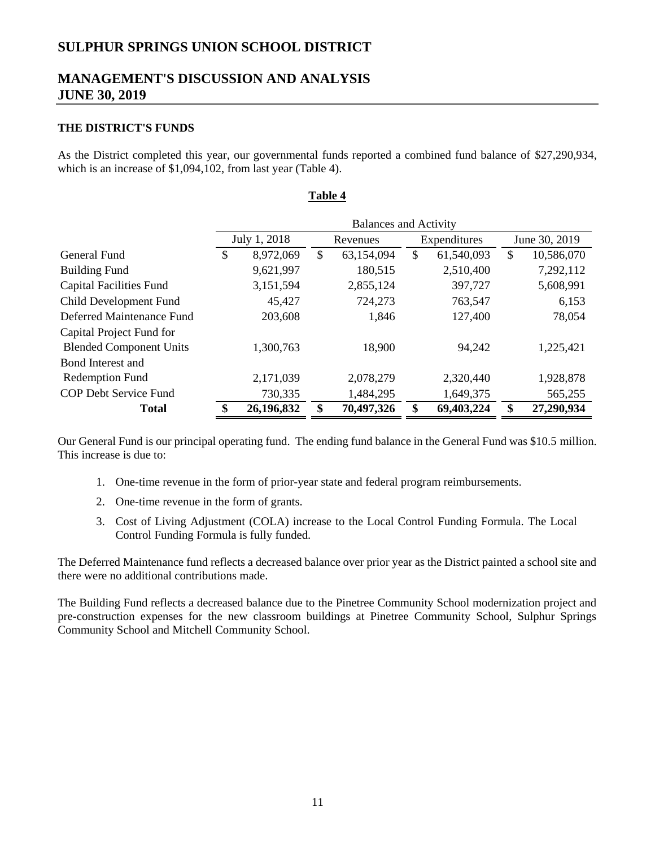## **MANAGEMENT'S DISCUSSION AND ANALYSIS JUNE 30, 2019**

### **THE DISTRICT'S FUNDS**

As the District completed this year, our governmental funds reported a combined fund balance of \$27,290,934, which is an increase of \$1,094,102, from last year (Table 4).

#### **Table 4**

|                                | <b>Balances and Activity</b> |              |    |                      |    |              |    |               |
|--------------------------------|------------------------------|--------------|----|----------------------|----|--------------|----|---------------|
|                                |                              | July 1, 2018 |    | Revenues             |    | Expenditures |    | June 30, 2019 |
| General Fund                   | S                            | 8,972,069    | \$ | 63,154,094           | \$ | 61,540,093   | \$ | 10,586,070    |
| <b>Building Fund</b>           |                              | 9,621,997    |    | 180,515              |    | 2,510,400    |    | 7,292,112     |
| <b>Capital Facilities Fund</b> | 3,151,594                    |              |    | 397,727<br>2,855,124 |    |              |    | 5,608,991     |
| Child Development Fund         |                              | 45,427       |    | 724,273              |    | 763,547      |    | 6,153         |
| Deferred Maintenance Fund      |                              | 203,608      |    | 1,846                |    | 127,400      |    | 78,054        |
| Capital Project Fund for       |                              |              |    |                      |    |              |    |               |
| <b>Blended Component Units</b> |                              | 1,300,763    |    | 18,900               |    | 94,242       |    | 1,225,421     |
| Bond Interest and              |                              |              |    |                      |    |              |    |               |
| <b>Redemption Fund</b>         |                              | 2,171,039    |    | 2,078,279            |    | 2,320,440    |    | 1,928,878     |
| <b>COP Debt Service Fund</b>   |                              | 730,335      |    | 1,484,295            |    | 1,649,375    |    | 565,255       |
| <b>Total</b>                   |                              | 26,196,832   | \$ | 70,497,326           | \$ | 69,403,224   |    | 27,290,934    |

Our General Fund is our principal operating fund. The ending fund balance in the General Fund was \$10.5 million. This increase is due to:

- 1. One-time revenue in the form of prior-year state and federal program reimbursements.
- 2. One-time revenue in the form of grants.
- 3. Cost of Living Adjustment (COLA) increase to the Local Control Funding Formula. The Local Control Funding Formula is fully funded.

The Deferred Maintenance fund reflects a decreased balance over prior year as the District painted a school site and there were no additional contributions made.

The Building Fund reflects a decreased balance due to the Pinetree Community School modernization project and pre-construction expenses for the new classroom buildings at Pinetree Community School, Sulphur Springs Community School and Mitchell Community School.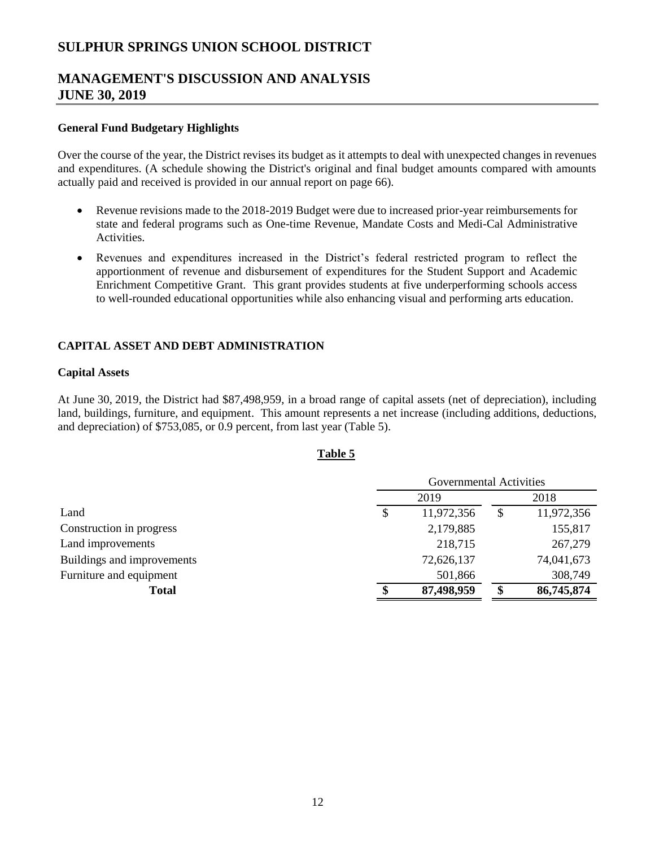## **MANAGEMENT'S DISCUSSION AND ANALYSIS JUNE 30, 2019**

### **General Fund Budgetary Highlights**

Over the course of the year, the District revises its budget as it attempts to deal with unexpected changes in revenues and expenditures. (A schedule showing the District's original and final budget amounts compared with amounts actually paid and received is provided in our annual report on page [66\)](#page-68-0).

- Revenue revisions made to the 2018-2019 Budget were due to increased prior-year reimbursements for state and federal programs such as One-time Revenue, Mandate Costs and Medi-Cal Administrative Activities.
- Revenues and expenditures increased in the District's federal restricted program to reflect the apportionment of revenue and disbursement of expenditures for the Student Support and Academic Enrichment Competitive Grant. This grant provides students at five underperforming schools access to well-rounded educational opportunities while also enhancing visual and performing arts education.

### **CAPITAL ASSET AND DEBT ADMINISTRATION**

#### **Capital Assets**

At June 30, 2019, the District had \$87,498,959, in a broad range of capital assets (net of depreciation), including land, buildings, furniture, and equipment. This amount represents a net increase (including additions, deductions, and depreciation) of \$753,085, or 0.9 percent, from last year (Table 5).

### **Table 5**

| 2018             |
|------------------|
| \$<br>11,972,356 |
| 155,817          |
| 267,279          |
| 74,041,673       |
| 308,749          |
| \$<br>86,745,874 |
|                  |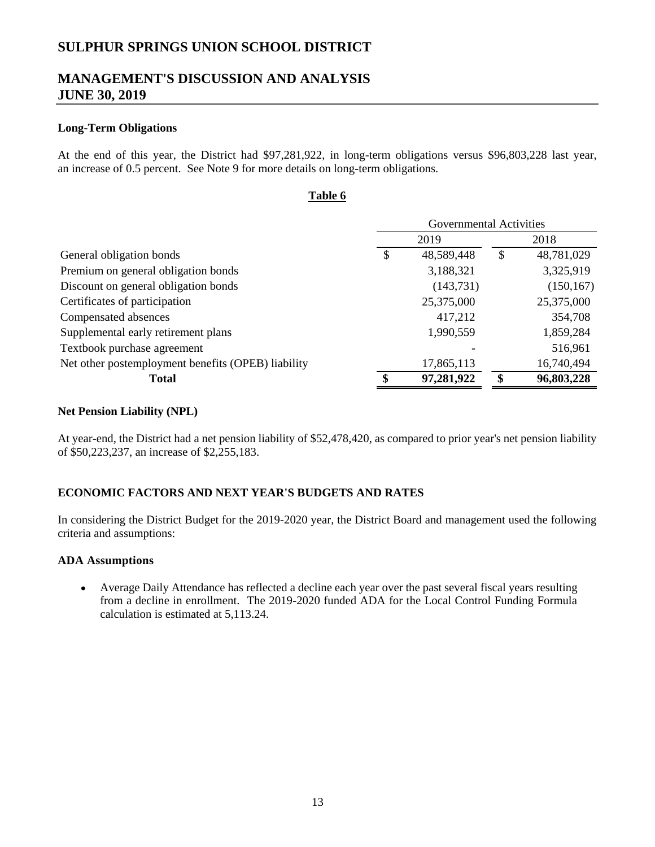## **MANAGEMENT'S DISCUSSION AND ANALYSIS JUNE 30, 2019**

### **Long-Term Obligations**

At the end of this year, the District had \$97,281,922, in long-term obligations versus \$96,803,228 last year, an increase of 0.5 percent. See Note 9 for more details on long-term obligations.

#### **Table 6**

|                                                    | Governmental Activities |            |    |            |  |  |
|----------------------------------------------------|-------------------------|------------|----|------------|--|--|
|                                                    |                         | 2019       |    | 2018       |  |  |
| General obligation bonds                           | \$                      | 48,589,448 | \$ | 48,781,029 |  |  |
| Premium on general obligation bonds                |                         | 3,188,321  |    | 3,325,919  |  |  |
| Discount on general obligation bonds               |                         | (143, 731) |    | (150, 167) |  |  |
| Certificates of participation                      |                         | 25,375,000 |    | 25,375,000 |  |  |
| Compensated absences                               |                         | 417,212    |    | 354,708    |  |  |
| Supplemental early retirement plans                |                         | 1,990,559  |    | 1,859,284  |  |  |
| Textbook purchase agreement                        |                         |            |    | 516,961    |  |  |
| Net other postemployment benefits (OPEB) liability |                         | 17,865,113 |    | 16,740,494 |  |  |
| <b>Total</b>                                       | 97,281,922              |            |    | 96,803,228 |  |  |

### **Net Pension Liability (NPL)**

At year-end, the District had a net pension liability of \$52,478,420, as compared to prior year's net pension liability of \$50,223,237, an increase of \$2,255,183.

### **ECONOMIC FACTORS AND NEXT YEAR'S BUDGETS AND RATES**

In considering the District Budget for the 2019-2020 year, the District Board and management used the following criteria and assumptions:

### **ADA Assumptions**

• Average Daily Attendance has reflected a decline each year over the past several fiscal years resulting from a decline in enrollment. The 2019-2020 funded ADA for the Local Control Funding Formula calculation is estimated at 5,113.24.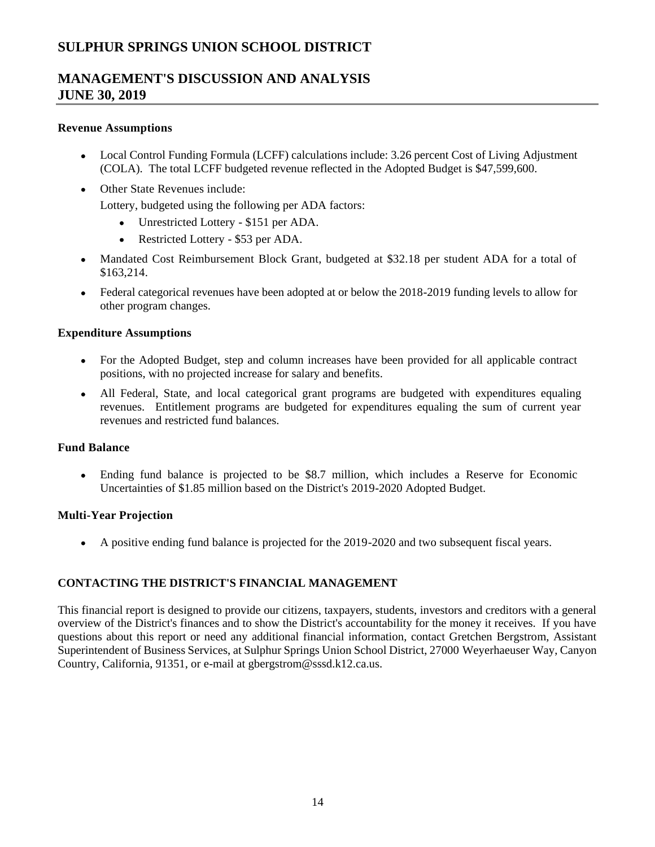## **MANAGEMENT'S DISCUSSION AND ANALYSIS JUNE 30, 2019**

### **Revenue Assumptions**

- Local Control Funding Formula (LCFF) calculations include: 3.26 percent Cost of Living Adjustment (COLA). The total LCFF budgeted revenue reflected in the Adopted Budget is \$47,599,600.
- Other State Revenues include:

Lottery, budgeted using the following per ADA factors:

- Unrestricted Lottery \$151 per ADA.
- Restricted Lottery \$53 per ADA.
- Mandated Cost Reimbursement Block Grant, budgeted at \$32.18 per student ADA for a total of \$163,214.
- Federal categorical revenues have been adopted at or below the 2018-2019 funding levels to allow for other program changes.

### **Expenditure Assumptions**

- For the Adopted Budget, step and column increases have been provided for all applicable contract positions, with no projected increase for salary and benefits.
- All Federal, State, and local categorical grant programs are budgeted with expenditures equaling revenues. Entitlement programs are budgeted for expenditures equaling the sum of current year revenues and restricted fund balances.

### **Fund Balance**

• Ending fund balance is projected to be \$8.7 million, which includes a Reserve for Economic Uncertainties of \$1.85 million based on the District's 2019-2020 Adopted Budget.

### **Multi-Year Projection**

• A positive ending fund balance is projected for the 2019-2020 and two subsequent fiscal years.

## **CONTACTING THE DISTRICT'S FINANCIAL MANAGEMENT**

<span id="page-15-0"></span>This financial report is designed to provide our citizens, taxpayers, students, investors and creditors with a general overview of the District's finances and to show the District's accountability for the money it receives. If you have questions about this report or need any additional financial information, contact Gretchen Bergstrom, Assistant Superintendent of Business Services, at Sulphur Springs Union School District, 27000 Weyerhaeuser Way, Canyon Country, California, 91351, or e-mail at gbergstrom@sssd.k12.ca.us.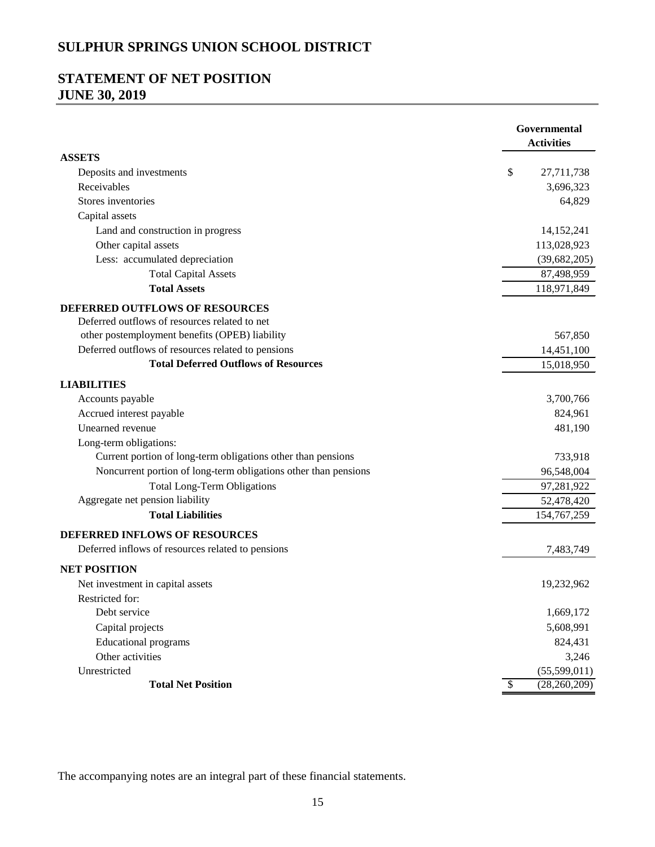# **STATEMENT OF NET POSITION JUNE 30, 2019**

<span id="page-16-0"></span>

|                                                                 | Governmental<br><b>Activities</b> |
|-----------------------------------------------------------------|-----------------------------------|
| <b>ASSETS</b>                                                   |                                   |
| Deposits and investments                                        | \$<br>27,711,738                  |
| Receivables                                                     | 3,696,323                         |
| Stores inventories                                              | 64,829                            |
| Capital assets                                                  |                                   |
| Land and construction in progress                               | 14,152,241                        |
| Other capital assets                                            | 113,028,923                       |
| Less: accumulated depreciation                                  | (39, 682, 205)                    |
| <b>Total Capital Assets</b>                                     | 87,498,959                        |
| <b>Total Assets</b>                                             | 118,971,849                       |
| DEFERRED OUTFLOWS OF RESOURCES                                  |                                   |
| Deferred outflows of resources related to net                   |                                   |
| other postemployment benefits (OPEB) liability                  | 567,850                           |
| Deferred outflows of resources related to pensions              | 14,451,100                        |
| <b>Total Deferred Outflows of Resources</b>                     | 15,018,950                        |
| <b>LIABILITIES</b>                                              |                                   |
| Accounts payable                                                | 3,700,766                         |
| Accrued interest payable                                        | 824,961                           |
| Unearned revenue                                                | 481,190                           |
| Long-term obligations:                                          |                                   |
| Current portion of long-term obligations other than pensions    | 733,918                           |
| Noncurrent portion of long-term obligations other than pensions | 96,548,004                        |
| <b>Total Long-Term Obligations</b>                              | 97,281,922                        |
| Aggregate net pension liability                                 | 52,478,420                        |
| <b>Total Liabilities</b>                                        | 154,767,259                       |
| DEFERRED INFLOWS OF RESOURCES                                   |                                   |
| Deferred inflows of resources related to pensions               | 7,483,749                         |
| <b>NET POSITION</b>                                             |                                   |
| Net investment in capital assets                                | 19,232,962                        |
| Restricted for:                                                 |                                   |
| Debt service                                                    | 1,669,172                         |
| Capital projects                                                | 5,608,991                         |
| <b>Educational</b> programs                                     | 824,431                           |
| Other activities                                                | 3,246                             |
| Unrestricted                                                    | (55,599,011)                      |
| <b>Total Net Position</b>                                       | $\$\,$<br>(28, 260, 209)          |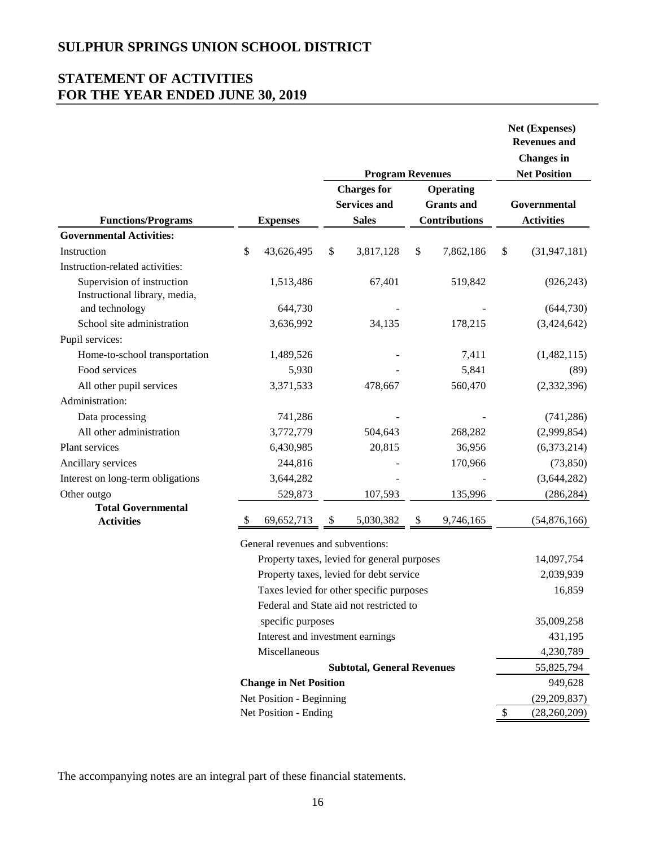# **STATEMENT OF ACTIVITIES FOR THE YEAR ENDED JUNE 30, 2019**

<span id="page-17-0"></span>

|                                                             |                                             | <b>Program Revenues</b>           |                   | Net (Expenses)<br><b>Revenues and</b><br><b>Changes</b> in<br><b>Net Position</b> |
|-------------------------------------------------------------|---------------------------------------------|-----------------------------------|-------------------|-----------------------------------------------------------------------------------|
|                                                             |                                             | <b>Charges</b> for                | Operating         |                                                                                   |
|                                                             |                                             | <b>Services and</b>               | <b>Grants</b> and | Governmental                                                                      |
| <b>Functions/Programs</b>                                   | <b>Expenses</b>                             | <b>Sales</b>                      | Contributions     | <b>Activities</b>                                                                 |
| <b>Governmental Activities:</b>                             |                                             |                                   |                   |                                                                                   |
| Instruction                                                 | \$<br>43,626,495                            | \$<br>3,817,128                   | \$<br>7,862,186   | \$<br>(31, 947, 181)                                                              |
| Instruction-related activities:                             |                                             |                                   |                   |                                                                                   |
| Supervision of instruction<br>Instructional library, media, | 1,513,486                                   | 67,401                            | 519,842           | (926, 243)                                                                        |
| and technology                                              | 644,730                                     |                                   |                   | (644, 730)                                                                        |
| School site administration                                  | 3,636,992                                   | 34,135                            | 178,215           | (3,424,642)                                                                       |
| Pupil services:                                             |                                             |                                   |                   |                                                                                   |
| Home-to-school transportation                               | 1,489,526                                   |                                   | 7,411             | (1,482,115)                                                                       |
| Food services                                               | 5,930                                       |                                   | 5,841             | (89)                                                                              |
| All other pupil services                                    | 3,371,533                                   | 478,667                           | 560,470           | (2, 332, 396)                                                                     |
| Administration:                                             |                                             |                                   |                   |                                                                                   |
| Data processing                                             | 741,286                                     |                                   |                   | (741, 286)                                                                        |
| All other administration                                    | 3,772,779                                   | 504,643                           | 268,282           | (2,999,854)                                                                       |
| Plant services                                              | 6,430,985                                   | 20,815                            | 36,956            | (6,373,214)                                                                       |
| Ancillary services                                          | 244,816                                     |                                   | 170,966           | (73, 850)                                                                         |
| Interest on long-term obligations                           | 3,644,282                                   |                                   |                   | (3,644,282)                                                                       |
| Other outgo                                                 | 529,873                                     | 107,593                           | 135,996           | (286, 284)                                                                        |
| <b>Total Governmental</b>                                   |                                             |                                   |                   |                                                                                   |
| <b>Activities</b>                                           | 69,652,713                                  | \$<br>5,030,382                   | \$<br>9,746,165   | (54,876,166)                                                                      |
|                                                             | General revenues and subventions:           |                                   |                   |                                                                                   |
|                                                             | Property taxes, levied for general purposes |                                   |                   | 14,097,754                                                                        |
|                                                             | Property taxes, levied for debt service     |                                   |                   | 2,039,939                                                                         |
|                                                             | Taxes levied for other specific purposes    |                                   |                   | 16,859                                                                            |
|                                                             | Federal and State aid not restricted to     |                                   |                   |                                                                                   |
|                                                             | specific purposes                           |                                   |                   | 35,009,258                                                                        |
|                                                             | Interest and investment earnings            |                                   |                   | 431,195                                                                           |
|                                                             | Miscellaneous                               |                                   |                   | 4,230,789                                                                         |
|                                                             |                                             | <b>Subtotal, General Revenues</b> |                   | 55,825,794                                                                        |
|                                                             | <b>Change in Net Position</b>               |                                   |                   | 949,628                                                                           |
|                                                             | Net Position - Beginning                    |                                   |                   | (29, 209, 837)                                                                    |
|                                                             | Net Position - Ending                       |                                   |                   | \$<br>(28, 260, 209)                                                              |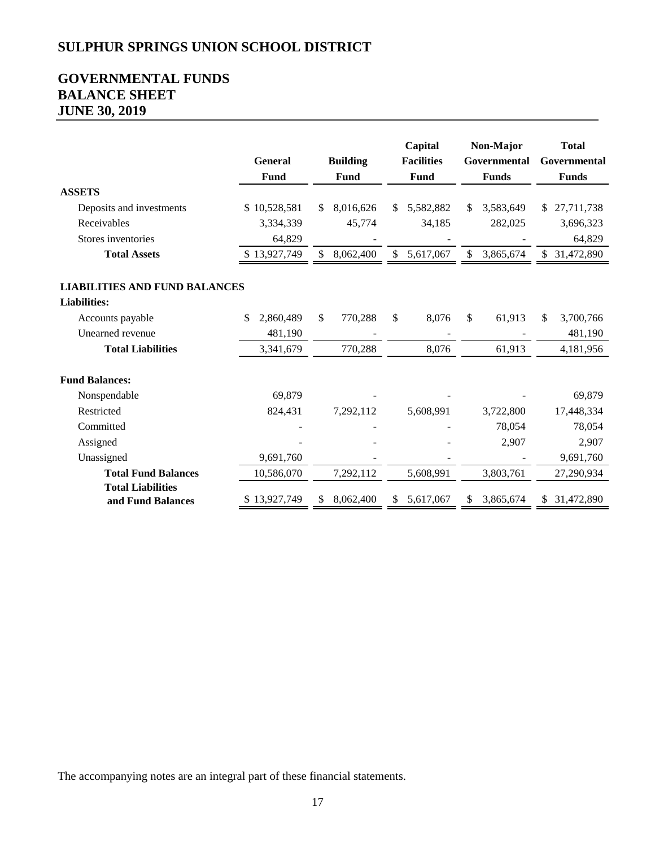# **GOVERNMENTAL FUNDS BALANCE SHEET JUNE 30, 2019**

<span id="page-18-0"></span>

|                                               | <b>General</b><br><b>Fund</b> | <b>Building</b><br><b>Fund</b> |           | Capital<br><b>Facilities</b><br><b>Fund</b> |           | Non-Major<br>Governmental<br><b>Funds</b> |           |     | <b>Total</b><br>Governmental<br><b>Funds</b> |
|-----------------------------------------------|-------------------------------|--------------------------------|-----------|---------------------------------------------|-----------|-------------------------------------------|-----------|-----|----------------------------------------------|
| <b>ASSETS</b>                                 |                               |                                |           |                                             |           |                                           |           |     |                                              |
| Deposits and investments                      | \$10,528,581                  | \$.                            | 8,016,626 | S.                                          | 5,582,882 | S.                                        | 3,583,649 | S.  | 27,711,738                                   |
| Receivables                                   | 3,334,339                     |                                | 45,774    |                                             | 34,185    |                                           | 282,025   |     | 3,696,323                                    |
| Stores inventories                            | 64,829                        |                                |           |                                             |           |                                           |           |     | 64,829                                       |
| <b>Total Assets</b>                           | \$13,927,749                  | \$                             | 8,062,400 | \$                                          | 5,617,067 | \$                                        | 3,865,674 | \$  | 31,472,890                                   |
| <b>LIABILITIES AND FUND BALANCES</b>          |                               |                                |           |                                             |           |                                           |           |     |                                              |
| <b>Liabilities:</b>                           |                               |                                |           |                                             |           |                                           |           |     |                                              |
| Accounts payable                              | \$<br>2,860,489               | \$                             | 770,288   | \$                                          | 8,076     | \$                                        | 61,913    | \$. | 3,700,766                                    |
| Unearned revenue                              | 481,190                       |                                |           |                                             |           |                                           |           |     | 481,190                                      |
| <b>Total Liabilities</b>                      | 3,341,679                     |                                | 770,288   |                                             | 8,076     |                                           | 61,913    |     | 4,181,956                                    |
| <b>Fund Balances:</b>                         |                               |                                |           |                                             |           |                                           |           |     |                                              |
| Nonspendable                                  | 69,879                        |                                |           |                                             |           |                                           |           |     | 69,879                                       |
| Restricted                                    | 824,431                       |                                | 7,292,112 |                                             | 5,608,991 |                                           | 3,722,800 |     | 17,448,334                                   |
| Committed                                     |                               |                                |           |                                             |           |                                           | 78,054    |     | 78,054                                       |
| Assigned                                      |                               |                                |           |                                             |           |                                           | 2,907     |     | 2,907                                        |
| Unassigned                                    | 9,691,760                     |                                |           |                                             |           |                                           |           |     | 9,691,760                                    |
| <b>Total Fund Balances</b>                    | 10,586,070                    |                                | 7,292,112 |                                             | 5,608,991 |                                           | 3,803,761 |     | 27,290,934                                   |
| <b>Total Liabilities</b><br>and Fund Balances | \$13,927,749                  |                                | 8,062,400 |                                             | 5,617,067 |                                           | 3,865,674 |     | \$ 31,472,890                                |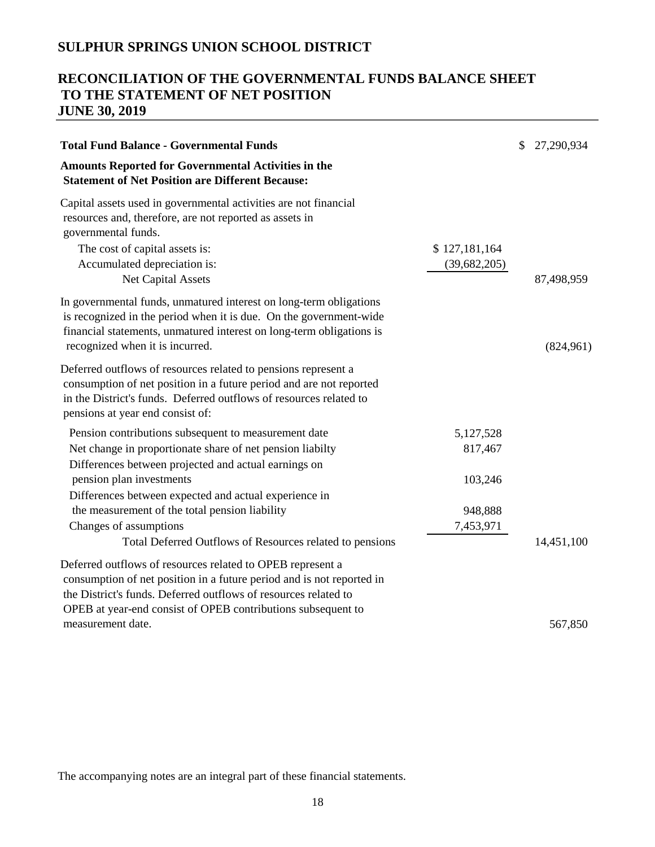# **RECONCILIATION OF THE GOVERNMENTAL FUNDS BALANCE SHEET TO THE STATEMENT OF NET POSITION JUNE 30, 2019**

<span id="page-19-0"></span>

| <b>Total Fund Balance - Governmental Funds</b>                                                                                                                                                                                                      |                                 | S | 27,290,934 |
|-----------------------------------------------------------------------------------------------------------------------------------------------------------------------------------------------------------------------------------------------------|---------------------------------|---|------------|
| <b>Amounts Reported for Governmental Activities in the</b><br><b>Statement of Net Position are Different Because:</b>                                                                                                                               |                                 |   |            |
| Capital assets used in governmental activities are not financial<br>resources and, therefore, are not reported as assets in<br>governmental funds.<br>The cost of capital assets is:<br>Accumulated depreciation is:                                | \$127,181,164<br>(39, 682, 205) |   |            |
| <b>Net Capital Assets</b>                                                                                                                                                                                                                           |                                 |   | 87,498,959 |
| In governmental funds, unmatured interest on long-term obligations<br>is recognized in the period when it is due. On the government-wide<br>financial statements, unmatured interest on long-term obligations is<br>recognized when it is incurred. |                                 |   | (824, 961) |
| Deferred outflows of resources related to pensions represent a<br>consumption of net position in a future period and are not reported<br>in the District's funds. Deferred outflows of resources related to<br>pensions at year end consist of:     |                                 |   |            |
| Pension contributions subsequent to measurement date                                                                                                                                                                                                | 5,127,528                       |   |            |
| Net change in proportionate share of net pension liabilty<br>Differences between projected and actual earnings on                                                                                                                                   | 817,467                         |   |            |
| pension plan investments                                                                                                                                                                                                                            | 103,246                         |   |            |
| Differences between expected and actual experience in                                                                                                                                                                                               |                                 |   |            |
| the measurement of the total pension liability                                                                                                                                                                                                      | 948,888                         |   |            |
| Changes of assumptions                                                                                                                                                                                                                              | 7,453,971                       |   |            |
| Total Deferred Outflows of Resources related to pensions                                                                                                                                                                                            |                                 |   | 14,451,100 |
| Deferred outflows of resources related to OPEB represent a                                                                                                                                                                                          |                                 |   |            |
| consumption of net position in a future period and is not reported in                                                                                                                                                                               |                                 |   |            |
| the District's funds. Deferred outflows of resources related to                                                                                                                                                                                     |                                 |   |            |
| OPEB at year-end consist of OPEB contributions subsequent to<br>measurement date.                                                                                                                                                                   |                                 |   | 567,850    |
|                                                                                                                                                                                                                                                     |                                 |   |            |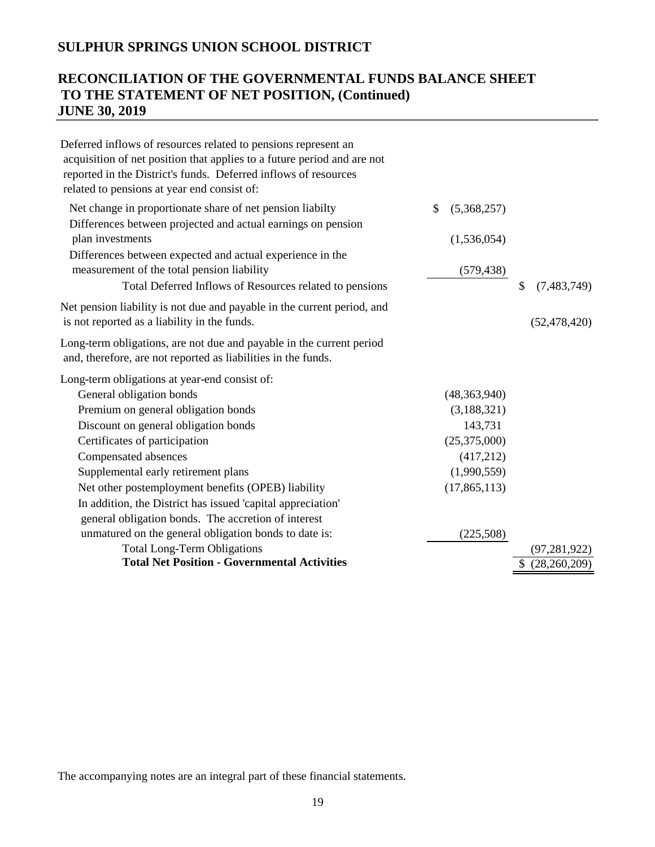# **RECONCILIATION OF THE GOVERNMENTAL FUNDS BALANCE SHEET TO THE STATEMENT OF NET POSITION, (Continued) JUNE 30, 2019**

| Deferred inflows of resources related to pensions represent an<br>acquisition of net position that applies to a future period and are not<br>reported in the District's funds. Deferred inflows of resources<br>related to pensions at year end consist of: |   |                |                |
|-------------------------------------------------------------------------------------------------------------------------------------------------------------------------------------------------------------------------------------------------------------|---|----------------|----------------|
| Net change in proportionate share of net pension liabilty                                                                                                                                                                                                   | S | (5,368,257)    |                |
| Differences between projected and actual earnings on pension<br>plan investments                                                                                                                                                                            |   | (1,536,054)    |                |
| Differences between expected and actual experience in the<br>measurement of the total pension liability                                                                                                                                                     |   | (579, 438)     | \$             |
| Total Deferred Inflows of Resources related to pensions                                                                                                                                                                                                     |   |                | (7,483,749)    |
| Net pension liability is not due and payable in the current period, and<br>is not reported as a liability in the funds.                                                                                                                                     |   |                | (52, 478, 420) |
| Long-term obligations, are not due and payable in the current period<br>and, therefore, are not reported as liabilities in the funds.                                                                                                                       |   |                |                |
| Long-term obligations at year-end consist of:                                                                                                                                                                                                               |   |                |                |
| General obligation bonds                                                                                                                                                                                                                                    |   | (48,363,940)   |                |
| Premium on general obligation bonds                                                                                                                                                                                                                         |   | (3,188,321)    |                |
| Discount on general obligation bonds                                                                                                                                                                                                                        |   | 143,731        |                |
| Certificates of participation                                                                                                                                                                                                                               |   | (25,375,000)   |                |
| Compensated absences                                                                                                                                                                                                                                        |   | (417,212)      |                |
| Supplemental early retirement plans                                                                                                                                                                                                                         |   | (1,990,559)    |                |
| Net other postemployment benefits (OPEB) liability                                                                                                                                                                                                          |   | (17, 865, 113) |                |
| In addition, the District has issued 'capital appreciation'                                                                                                                                                                                                 |   |                |                |
| general obligation bonds. The accretion of interest                                                                                                                                                                                                         |   |                |                |
| unmatured on the general obligation bonds to date is:                                                                                                                                                                                                       |   | (225,508)      |                |
| <b>Total Long-Term Obligations</b>                                                                                                                                                                                                                          |   |                | (97, 281, 922) |
| <b>Total Net Position - Governmental Activities</b>                                                                                                                                                                                                         |   |                | (28,260,209)   |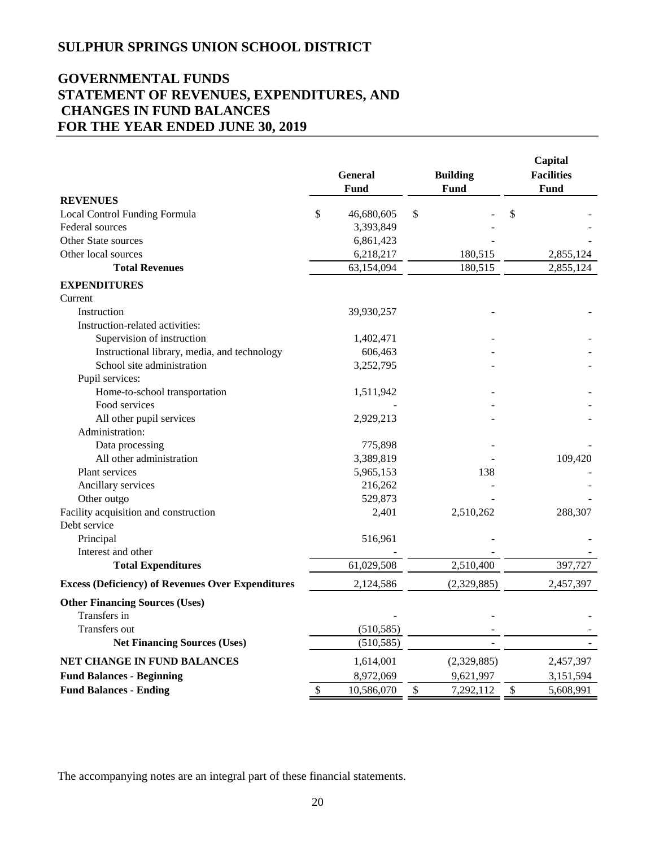# **GOVERNMENTAL FUNDS STATEMENT OF REVENUES, EXPENDITURES, AND CHANGES IN FUND BALANCES FOR THE YEAR ENDED JUNE 30, 2019**

<span id="page-21-0"></span>

|                                                          | <b>General</b>   | <b>Building</b> | Capital<br><b>Facilities</b> |
|----------------------------------------------------------|------------------|-----------------|------------------------------|
|                                                          | <b>Fund</b>      | <b>Fund</b>     | <b>Fund</b>                  |
| <b>REVENUES</b>                                          |                  |                 |                              |
| Local Control Funding Formula                            | \$<br>46,680,605 | \$              | \$                           |
| Federal sources                                          | 3,393,849        |                 |                              |
| Other State sources                                      | 6,861,423        |                 |                              |
| Other local sources                                      | 6,218,217        | 180,515         | 2,855,124                    |
| <b>Total Revenues</b>                                    | 63,154,094       | 180,515         | 2,855,124                    |
| <b>EXPENDITURES</b>                                      |                  |                 |                              |
| Current                                                  |                  |                 |                              |
| Instruction                                              | 39,930,257       |                 |                              |
| Instruction-related activities:                          |                  |                 |                              |
| Supervision of instruction                               | 1,402,471        |                 |                              |
| Instructional library, media, and technology             | 606,463          |                 |                              |
| School site administration                               | 3,252,795        |                 |                              |
| Pupil services:                                          |                  |                 |                              |
| Home-to-school transportation                            | 1,511,942        |                 |                              |
| Food services                                            |                  |                 |                              |
| All other pupil services                                 | 2,929,213        |                 |                              |
| Administration:                                          |                  |                 |                              |
| Data processing                                          | 775,898          |                 |                              |
| All other administration                                 | 3,389,819        |                 | 109,420                      |
| Plant services                                           | 5,965,153        | 138             |                              |
| Ancillary services                                       | 216,262          |                 |                              |
| Other outgo                                              | 529,873          |                 |                              |
| Facility acquisition and construction                    | 2,401            | 2,510,262       | 288,307                      |
| Debt service                                             |                  |                 |                              |
| Principal                                                | 516,961          |                 |                              |
| Interest and other                                       |                  |                 |                              |
| <b>Total Expenditures</b>                                | 61,029,508       | 2,510,400       | 397,727                      |
| <b>Excess (Deficiency) of Revenues Over Expenditures</b> | 2,124,586        | (2,329,885)     | 2,457,397                    |
| <b>Other Financing Sources (Uses)</b>                    |                  |                 |                              |
| Transfers in                                             |                  |                 |                              |
| Transfers out                                            | (510, 585)       |                 |                              |
| <b>Net Financing Sources (Uses)</b>                      | (510, 585)       |                 |                              |
| <b>NET CHANGE IN FUND BALANCES</b>                       | 1,614,001        | (2,329,885)     | 2,457,397                    |
| <b>Fund Balances - Beginning</b>                         | 8,972,069        | 9,621,997       | 3,151,594                    |
| <b>Fund Balances - Ending</b>                            | \$<br>10,586,070 | \$<br>7,292,112 | \$<br>5,608,991              |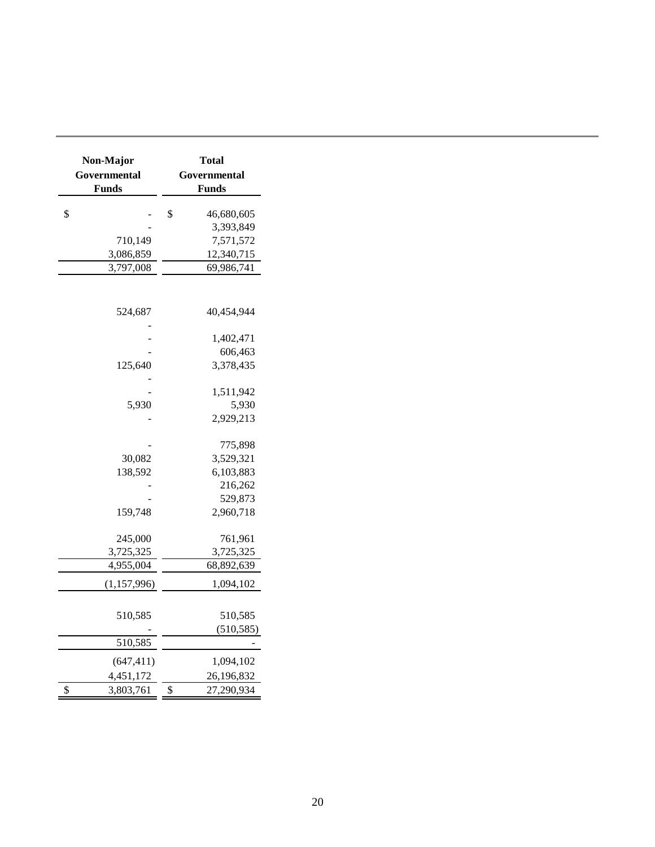| Non-Major<br>Governmental<br>Funds | <b>Total</b><br>Governmental<br><b>Funds</b> |  |  |
|------------------------------------|----------------------------------------------|--|--|
|                                    |                                              |  |  |
| \$                                 | \$<br>46,680,605                             |  |  |
|                                    | 3,393,849                                    |  |  |
| 710,149                            | 7,571,572                                    |  |  |
| 3,086,859                          | 12,340,715                                   |  |  |
| 3,797,008                          | 69,986,741                                   |  |  |
| 524,687                            | 40,454,944                                   |  |  |
|                                    |                                              |  |  |
|                                    | 1,402,471                                    |  |  |
|                                    | 606,463                                      |  |  |
| 125,640                            | 3,378,435                                    |  |  |
|                                    |                                              |  |  |
|                                    | 1,511,942                                    |  |  |
| 5,930                              | 5,930                                        |  |  |
|                                    | 2,929,213                                    |  |  |
|                                    |                                              |  |  |
|                                    | 775,898                                      |  |  |
| 30,082                             | 3,529,321                                    |  |  |
| 138,592                            | 6,103,883                                    |  |  |
|                                    | 216,262                                      |  |  |
|                                    | 529,873                                      |  |  |
| 159,748                            | 2,960,718                                    |  |  |
| 245,000                            | 761,961                                      |  |  |
| 3,725,325                          | 3,725,325                                    |  |  |
| 4,955,004                          | 68,892,639                                   |  |  |
| (1,157,996)                        | 1,094,102                                    |  |  |
|                                    |                                              |  |  |
| 510,585                            | 510,585                                      |  |  |
|                                    | (510, 585)                                   |  |  |
| 510,585                            |                                              |  |  |
| (647, 411)                         | 1,094,102                                    |  |  |
| 4,451,172                          | 26,196,832                                   |  |  |
| \$<br>3,803,761                    | \$<br>27,290,934                             |  |  |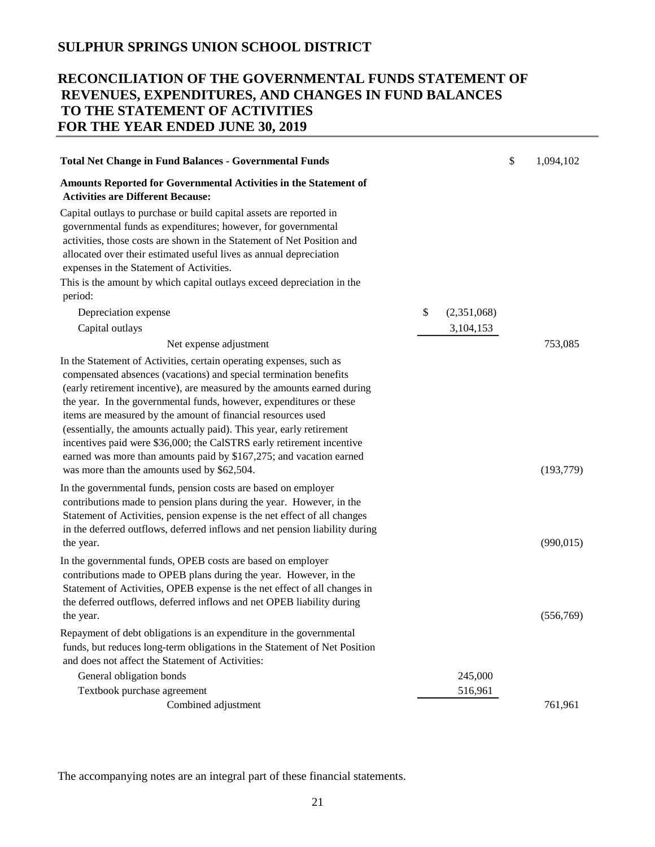# **RECONCILIATION OF THE GOVERNMENTAL FUNDS STATEMENT OF REVENUES, EXPENDITURES, AND CHANGES IN FUND BALANCES TO THE STATEMENT OF ACTIVITIES FOR THE YEAR ENDED JUNE 30, 2019**

<span id="page-23-0"></span>

| <b>Total Net Change in Fund Balances - Governmental Funds</b>                                                                                                                                                                                                                                                                                                                                                                                                                                                                                                                                                                      |                                | \$<br>1,094,102 |
|------------------------------------------------------------------------------------------------------------------------------------------------------------------------------------------------------------------------------------------------------------------------------------------------------------------------------------------------------------------------------------------------------------------------------------------------------------------------------------------------------------------------------------------------------------------------------------------------------------------------------------|--------------------------------|-----------------|
| Amounts Reported for Governmental Activities in the Statement of<br><b>Activities are Different Because:</b>                                                                                                                                                                                                                                                                                                                                                                                                                                                                                                                       |                                |                 |
| Capital outlays to purchase or build capital assets are reported in<br>governmental funds as expenditures; however, for governmental<br>activities, those costs are shown in the Statement of Net Position and<br>allocated over their estimated useful lives as annual depreciation<br>expenses in the Statement of Activities.<br>This is the amount by which capital outlays exceed depreciation in the                                                                                                                                                                                                                         |                                |                 |
| period:                                                                                                                                                                                                                                                                                                                                                                                                                                                                                                                                                                                                                            |                                |                 |
| Depreciation expense<br>Capital outlays                                                                                                                                                                                                                                                                                                                                                                                                                                                                                                                                                                                            | \$<br>(2,351,068)<br>3,104,153 |                 |
| Net expense adjustment                                                                                                                                                                                                                                                                                                                                                                                                                                                                                                                                                                                                             |                                | 753,085         |
| In the Statement of Activities, certain operating expenses, such as<br>compensated absences (vacations) and special termination benefits<br>(early retirement incentive), are measured by the amounts earned during<br>the year. In the governmental funds, however, expenditures or these<br>items are measured by the amount of financial resources used<br>(essentially, the amounts actually paid). This year, early retirement<br>incentives paid were \$36,000; the CalSTRS early retirement incentive<br>earned was more than amounts paid by \$167,275; and vacation earned<br>was more than the amounts used by \$62,504. |                                | (193,779)       |
| In the governmental funds, pension costs are based on employer<br>contributions made to pension plans during the year. However, in the<br>Statement of Activities, pension expense is the net effect of all changes<br>in the deferred outflows, deferred inflows and net pension liability during<br>the year.                                                                                                                                                                                                                                                                                                                    |                                | (990, 015)      |
| In the governmental funds, OPEB costs are based on employer<br>contributions made to OPEB plans during the year. However, in the<br>Statement of Activities, OPEB expense is the net effect of all changes in<br>the deferred outflows, deferred inflows and net OPEB liability during<br>the year.                                                                                                                                                                                                                                                                                                                                |                                | (556,769)       |
| Repayment of debt obligations is an expenditure in the governmental<br>funds, but reduces long-term obligations in the Statement of Net Position<br>and does not affect the Statement of Activities:                                                                                                                                                                                                                                                                                                                                                                                                                               |                                |                 |
| General obligation bonds                                                                                                                                                                                                                                                                                                                                                                                                                                                                                                                                                                                                           | 245,000                        |                 |
| Textbook purchase agreement                                                                                                                                                                                                                                                                                                                                                                                                                                                                                                                                                                                                        | 516,961                        |                 |
| Combined adjustment                                                                                                                                                                                                                                                                                                                                                                                                                                                                                                                                                                                                                |                                | 761,961         |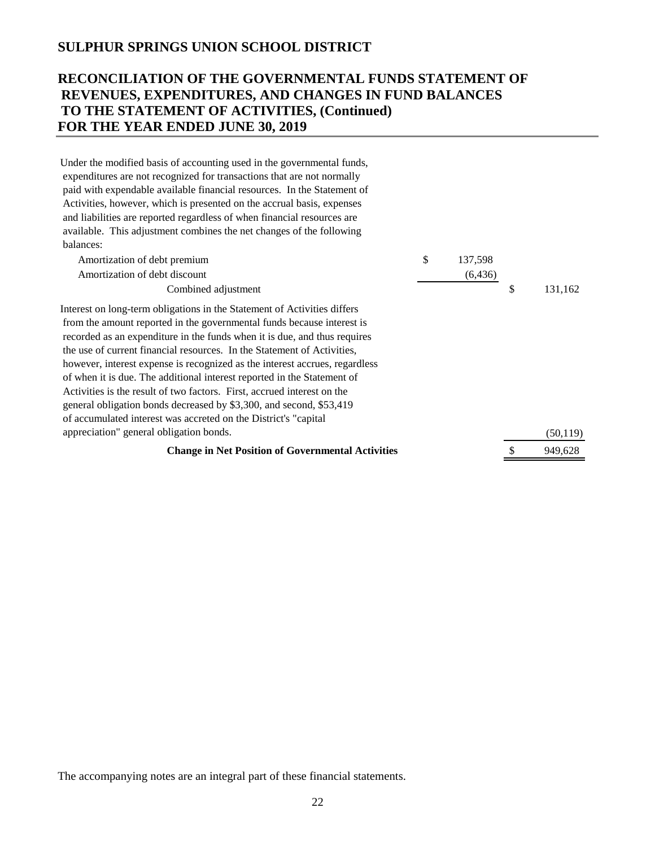# **RECONCILIATION OF THE GOVERNMENTAL FUNDS STATEMENT OF REVENUES, EXPENDITURES, AND CHANGES IN FUND BALANCES TO THE STATEMENT OF ACTIVITIES, (Continued) FOR THE YEAR ENDED JUNE 30, 2019**

| Under the modified basis of accounting used in the governmental funds,<br>expenditures are not recognized for transactions that are not normally<br>paid with expendable available financial resources. In the Statement of<br>Activities, however, which is presented on the accrual basis, expenses<br>and liabilities are reported regardless of when financial resources are<br>available. This adjustment combines the net changes of the following<br>balances:                                                                                                                                                                                                                      |               |               |
|--------------------------------------------------------------------------------------------------------------------------------------------------------------------------------------------------------------------------------------------------------------------------------------------------------------------------------------------------------------------------------------------------------------------------------------------------------------------------------------------------------------------------------------------------------------------------------------------------------------------------------------------------------------------------------------------|---------------|---------------|
| Amortization of debt premium                                                                                                                                                                                                                                                                                                                                                                                                                                                                                                                                                                                                                                                               | \$<br>137,598 |               |
| Amortization of debt discount                                                                                                                                                                                                                                                                                                                                                                                                                                                                                                                                                                                                                                                              | (6, 436)      |               |
| Combined adjustment                                                                                                                                                                                                                                                                                                                                                                                                                                                                                                                                                                                                                                                                        |               | \$<br>131,162 |
| Interest on long-term obligations in the Statement of Activities differs<br>from the amount reported in the governmental funds because interest is<br>recorded as an expenditure in the funds when it is due, and thus requires<br>the use of current financial resources. In the Statement of Activities,<br>however, interest expense is recognized as the interest accrues, regardless<br>of when it is due. The additional interest reported in the Statement of<br>Activities is the result of two factors. First, accrued interest on the<br>general obligation bonds decreased by \$3,300, and second, \$53,419<br>of accumulated interest was accreted on the District's "capital" |               |               |
| appreciation" general obligation bonds.                                                                                                                                                                                                                                                                                                                                                                                                                                                                                                                                                                                                                                                    |               | (50, 119)     |
| <b>Change in Net Position of Governmental Activities</b>                                                                                                                                                                                                                                                                                                                                                                                                                                                                                                                                                                                                                                   |               | 949,628       |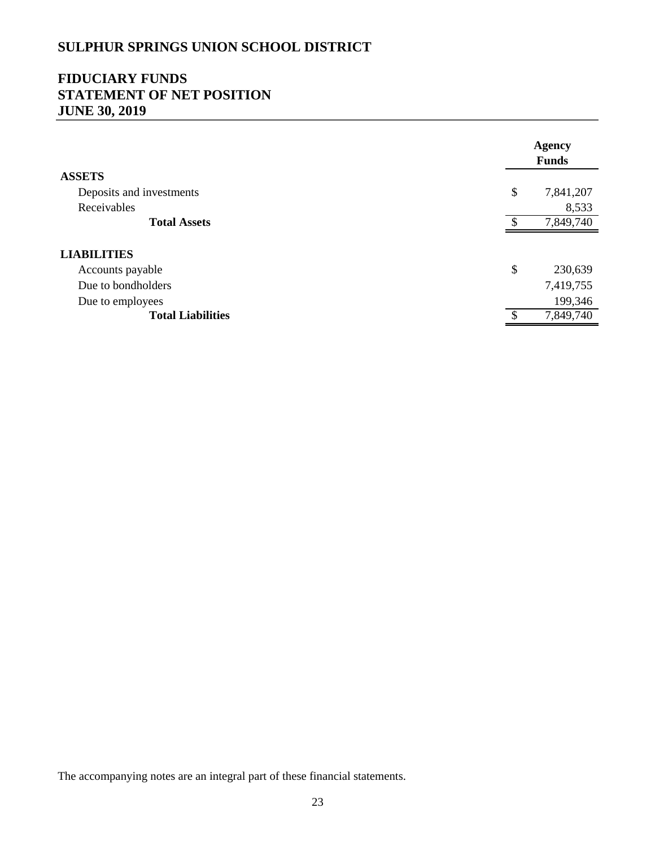# **FIDUCIARY FUNDS STATEMENT OF NET POSITION JUNE 30, 2019**

<span id="page-25-0"></span>

|                          | <b>Agency</b><br><b>Funds</b> |  |  |
|--------------------------|-------------------------------|--|--|
| <b>ASSETS</b>            |                               |  |  |
| Deposits and investments | \$<br>7,841,207               |  |  |
| Receivables              | 8,533                         |  |  |
| <b>Total Assets</b>      | 7,849,740                     |  |  |
| <b>LIABILITIES</b>       |                               |  |  |
| Accounts payable         | \$<br>230,639                 |  |  |
| Due to bondholders       | 7,419,755                     |  |  |
| Due to employees         | 199,346                       |  |  |
| <b>Total Liabilities</b> | 7,849,740                     |  |  |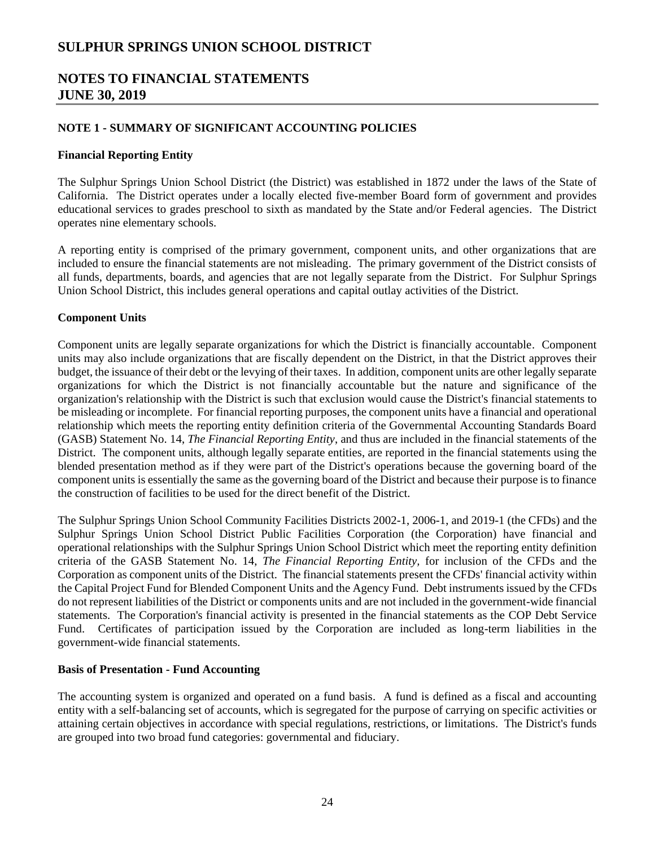## **NOTES TO FINANCIAL STATEMENTS JUNE 30, 2019**

### <span id="page-26-0"></span>**NOTE 1 - SUMMARY OF SIGNIFICANT ACCOUNTING POLICIES**

#### **Financial Reporting Entity**

The Sulphur Springs Union School District (the District) was established in 1872 under the laws of the State of California. The District operates under a locally elected five-member Board form of government and provides educational services to grades preschool to sixth as mandated by the State and/or Federal agencies. The District operates nine elementary schools.

A reporting entity is comprised of the primary government, component units, and other organizations that are included to ensure the financial statements are not misleading. The primary government of the District consists of all funds, departments, boards, and agencies that are not legally separate from the District. For Sulphur Springs Union School District, this includes general operations and capital outlay activities of the District.

### **Component Units**

Component units are legally separate organizations for which the District is financially accountable. Component units may also include organizations that are fiscally dependent on the District, in that the District approves their budget, the issuance of their debt or the levying of their taxes. In addition, component units are other legally separate organizations for which the District is not financially accountable but the nature and significance of the organization's relationship with the District is such that exclusion would cause the District's financial statements to be misleading or incomplete. For financial reporting purposes, the component units have a financial and operational relationship which meets the reporting entity definition criteria of the Governmental Accounting Standards Board (GASB) Statement No. 14, *The Financial Reporting Entity*, and thus are included in the financial statements of the District. The component units, although legally separate entities, are reported in the financial statements using the blended presentation method as if they were part of the District's operations because the governing board of the component units is essentially the same as the governing board of the District and because their purpose is to finance the construction of facilities to be used for the direct benefit of the District.

The Sulphur Springs Union School Community Facilities Districts 2002-1, 2006-1, and 2019-1 (the CFDs) and the Sulphur Springs Union School District Public Facilities Corporation (the Corporation) have financial and operational relationships with the Sulphur Springs Union School District which meet the reporting entity definition criteria of the GASB Statement No. 14, *The Financial Reporting Entity,* for inclusion of the CFDs and the Corporation as component units of the District. The financial statements present the CFDs' financial activity within the Capital Project Fund for Blended Component Units and the Agency Fund. Debt instruments issued by the CFDs do not represent liabilities of the District or components units and are not included in the government-wide financial statements. The Corporation's financial activity is presented in the financial statements as the COP Debt Service Fund. Certificates of participation issued by the Corporation are included as long-term liabilities in the government-wide financial statements.

#### **Basis of Presentation - Fund Accounting**

The accounting system is organized and operated on a fund basis. A fund is defined as a fiscal and accounting entity with a self-balancing set of accounts, which is segregated for the purpose of carrying on specific activities or attaining certain objectives in accordance with special regulations, restrictions, or limitations. The District's funds are grouped into two broad fund categories: governmental and fiduciary.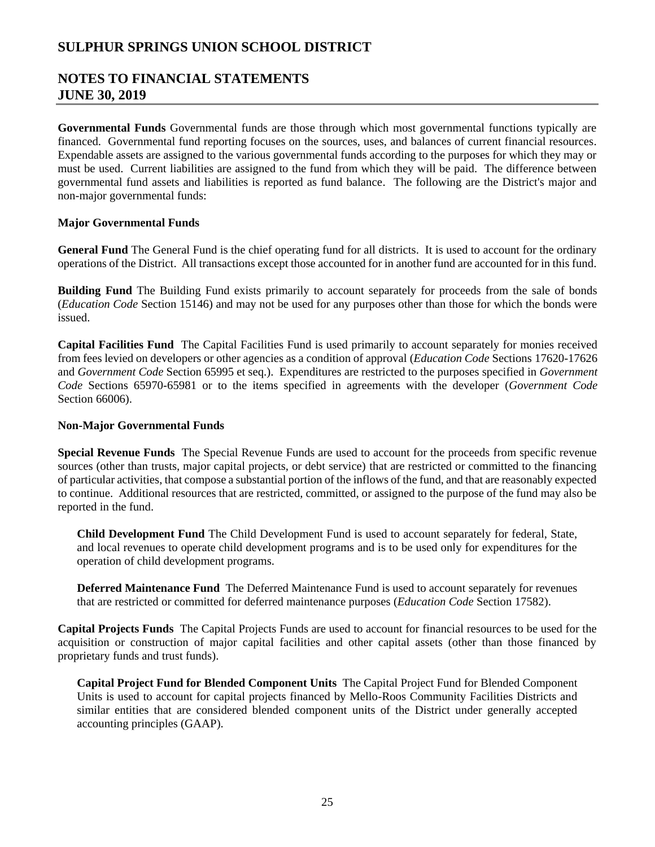## **NOTES TO FINANCIAL STATEMENTS JUNE 30, 2019**

**Governmental Funds** Governmental funds are those through which most governmental functions typically are financed. Governmental fund reporting focuses on the sources, uses, and balances of current financial resources. Expendable assets are assigned to the various governmental funds according to the purposes for which they may or must be used. Current liabilities are assigned to the fund from which they will be paid. The difference between governmental fund assets and liabilities is reported as fund balance. The following are the District's major and non-major governmental funds:

### **Major Governmental Funds**

**General Fund** The General Fund is the chief operating fund for all districts. It is used to account for the ordinary operations of the District. All transactions except those accounted for in another fund are accounted for in this fund.

**Building Fund** The Building Fund exists primarily to account separately for proceeds from the sale of bonds (*Education Code* Section 15146) and may not be used for any purposes other than those for which the bonds were issued.

**Capital Facilities Fund** The Capital Facilities Fund is used primarily to account separately for monies received from fees levied on developers or other agencies as a condition of approval (*Education Code* Sections 17620-17626 and *Government Code* Section 65995 et seq.). Expenditures are restricted to the purposes specified in *Government Code* Sections 65970-65981 or to the items specified in agreements with the developer (*Government Code*  Section 66006).

### **Non-Major Governmental Funds**

**Special Revenue Funds** The Special Revenue Funds are used to account for the proceeds from specific revenue sources (other than trusts, major capital projects, or debt service) that are restricted or committed to the financing of particular activities, that compose a substantial portion of the inflows of the fund, and that are reasonably expected to continue. Additional resources that are restricted, committed, or assigned to the purpose of the fund may also be reported in the fund.

**Child Development Fund** The Child Development Fund is used to account separately for federal, State, and local revenues to operate child development programs and is to be used only for expenditures for the operation of child development programs.

**Deferred Maintenance Fund** The Deferred Maintenance Fund is used to account separately for revenues that are restricted or committed for deferred maintenance purposes (*Education Code* Section 17582).

**Capital Projects Funds** The Capital Projects Funds are used to account for financial resources to be used for the acquisition or construction of major capital facilities and other capital assets (other than those financed by proprietary funds and trust funds).

**Capital Project Fund for Blended Component Units** The Capital Project Fund for Blended Component Units is used to account for capital projects financed by Mello-Roos Community Facilities Districts and similar entities that are considered blended component units of the District under generally accepted accounting principles (GAAP).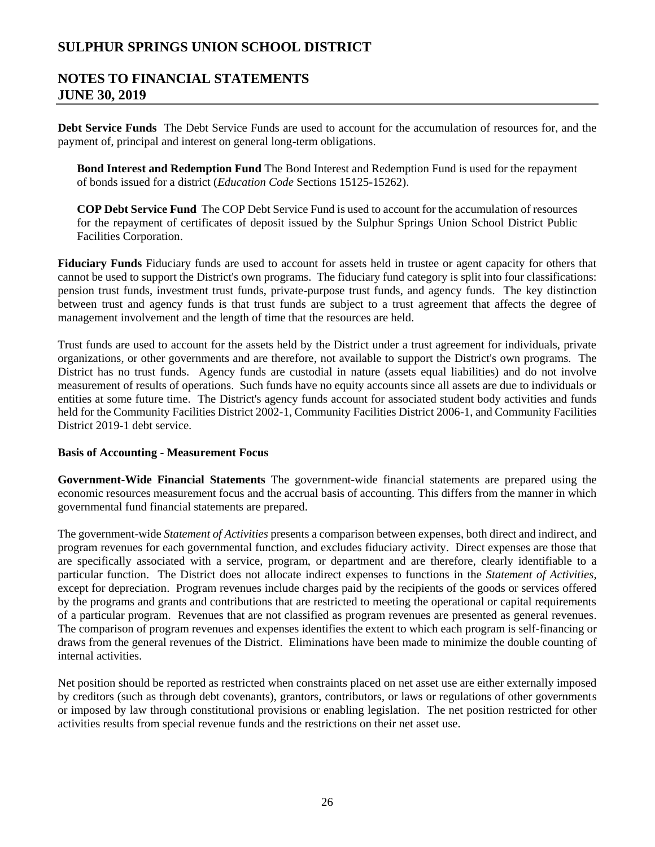# **NOTES TO FINANCIAL STATEMENTS JUNE 30, 2019**

**Debt Service Funds** The Debt Service Funds are used to account for the accumulation of resources for, and the payment of, principal and interest on general long-term obligations.

**Bond Interest and Redemption Fund** The Bond Interest and Redemption Fund is used for the repayment of bonds issued for a district (*Education Code* Sections 15125-15262).

**COP Debt Service Fund** The COP Debt Service Fund is used to account for the accumulation of resources for the repayment of certificates of deposit issued by the Sulphur Springs Union School District Public Facilities Corporation.

**Fiduciary Funds** Fiduciary funds are used to account for assets held in trustee or agent capacity for others that cannot be used to support the District's own programs. The fiduciary fund category is split into four classifications: pension trust funds, investment trust funds, private-purpose trust funds, and agency funds. The key distinction between trust and agency funds is that trust funds are subject to a trust agreement that affects the degree of management involvement and the length of time that the resources are held.

Trust funds are used to account for the assets held by the District under a trust agreement for individuals, private organizations, or other governments and are therefore, not available to support the District's own programs. The District has no trust funds. Agency funds are custodial in nature (assets equal liabilities) and do not involve measurement of results of operations. Such funds have no equity accounts since all assets are due to individuals or entities at some future time. The District's agency funds account for associated student body activities and funds held for the Community Facilities District 2002-1, Community Facilities District 2006-1, and Community Facilities District 2019-1 debt service.

## **Basis of Accounting - Measurement Focus**

**Government-Wide Financial Statements** The government-wide financial statements are prepared using the economic resources measurement focus and the accrual basis of accounting. This differs from the manner in which governmental fund financial statements are prepared.

The government-wide *Statement of Activities* presents a comparison between expenses, both direct and indirect, and program revenues for each governmental function, and excludes fiduciary activity. Direct expenses are those that are specifically associated with a service, program, or department and are therefore, clearly identifiable to a particular function. The District does not allocate indirect expenses to functions in the *Statement of Activities*, except for depreciation. Program revenues include charges paid by the recipients of the goods or services offered by the programs and grants and contributions that are restricted to meeting the operational or capital requirements of a particular program. Revenues that are not classified as program revenues are presented as general revenues. The comparison of program revenues and expenses identifies the extent to which each program is self-financing or draws from the general revenues of the District. Eliminations have been made to minimize the double counting of internal activities.

Net position should be reported as restricted when constraints placed on net asset use are either externally imposed by creditors (such as through debt covenants), grantors, contributors, or laws or regulations of other governments or imposed by law through constitutional provisions or enabling legislation. The net position restricted for other activities results from special revenue funds and the restrictions on their net asset use.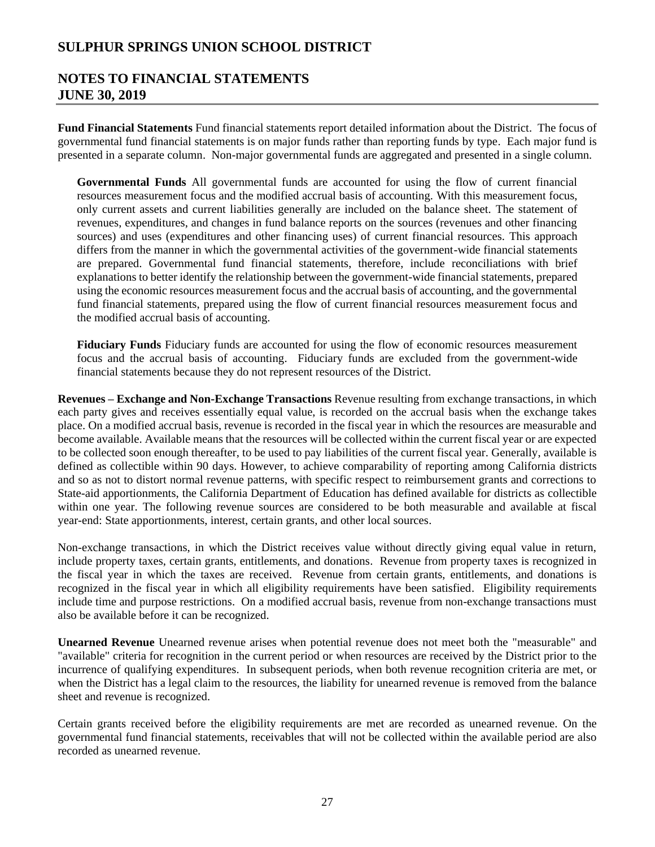## **NOTES TO FINANCIAL STATEMENTS JUNE 30, 2019**

**Fund Financial Statements** Fund financial statements report detailed information about the District. The focus of governmental fund financial statements is on major funds rather than reporting funds by type. Each major fund is presented in a separate column. Non-major governmental funds are aggregated and presented in a single column.

**Governmental Funds** All governmental funds are accounted for using the flow of current financial resources measurement focus and the modified accrual basis of accounting. With this measurement focus, only current assets and current liabilities generally are included on the balance sheet. The statement of revenues, expenditures, and changes in fund balance reports on the sources (revenues and other financing sources) and uses (expenditures and other financing uses) of current financial resources. This approach differs from the manner in which the governmental activities of the government-wide financial statements are prepared. Governmental fund financial statements, therefore, include reconciliations with brief explanations to better identify the relationship between the government-wide financial statements, prepared using the economic resources measurement focus and the accrual basis of accounting, and the governmental fund financial statements, prepared using the flow of current financial resources measurement focus and the modified accrual basis of accounting.

**Fiduciary Funds** Fiduciary funds are accounted for using the flow of economic resources measurement focus and the accrual basis of accounting. Fiduciary funds are excluded from the government-wide financial statements because they do not represent resources of the District.

**Revenues – Exchange and Non-Exchange Transactions** Revenue resulting from exchange transactions, in which each party gives and receives essentially equal value, is recorded on the accrual basis when the exchange takes place. On a modified accrual basis, revenue is recorded in the fiscal year in which the resources are measurable and become available. Available means that the resources will be collected within the current fiscal year or are expected to be collected soon enough thereafter, to be used to pay liabilities of the current fiscal year. Generally, available is defined as collectible within 90 days. However, to achieve comparability of reporting among California districts and so as not to distort normal revenue patterns, with specific respect to reimbursement grants and corrections to State-aid apportionments, the California Department of Education has defined available for districts as collectible within one year. The following revenue sources are considered to be both measurable and available at fiscal year-end: State apportionments, interest, certain grants, and other local sources.

Non-exchange transactions, in which the District receives value without directly giving equal value in return, include property taxes, certain grants, entitlements, and donations. Revenue from property taxes is recognized in the fiscal year in which the taxes are received. Revenue from certain grants, entitlements, and donations is recognized in the fiscal year in which all eligibility requirements have been satisfied. Eligibility requirements include time and purpose restrictions. On a modified accrual basis, revenue from non-exchange transactions must also be available before it can be recognized.

**Unearned Revenue** Unearned revenue arises when potential revenue does not meet both the "measurable" and "available" criteria for recognition in the current period or when resources are received by the District prior to the incurrence of qualifying expenditures. In subsequent periods, when both revenue recognition criteria are met, or when the District has a legal claim to the resources, the liability for unearned revenue is removed from the balance sheet and revenue is recognized.

Certain grants received before the eligibility requirements are met are recorded as unearned revenue. On the governmental fund financial statements, receivables that will not be collected within the available period are also recorded as unearned revenue.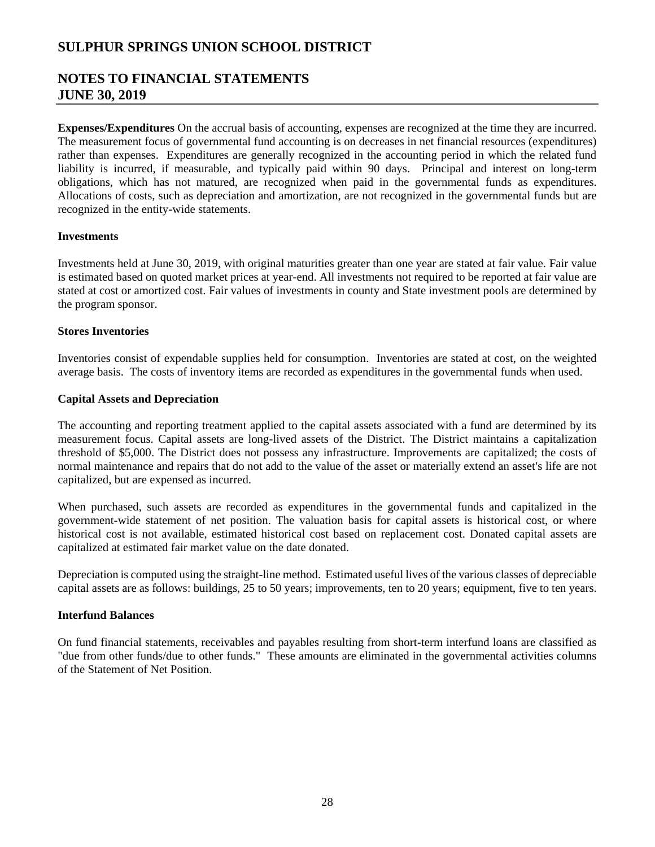## **NOTES TO FINANCIAL STATEMENTS JUNE 30, 2019**

**Expenses/Expenditures** On the accrual basis of accounting, expenses are recognized at the time they are incurred. The measurement focus of governmental fund accounting is on decreases in net financial resources (expenditures) rather than expenses. Expenditures are generally recognized in the accounting period in which the related fund liability is incurred, if measurable, and typically paid within 90 days. Principal and interest on long-term obligations, which has not matured, are recognized when paid in the governmental funds as expenditures. Allocations of costs, such as depreciation and amortization, are not recognized in the governmental funds but are recognized in the entity-wide statements.

### **Investments**

Investments held at June 30, 2019, with original maturities greater than one year are stated at fair value. Fair value is estimated based on quoted market prices at year-end. All investments not required to be reported at fair value are stated at cost or amortized cost. Fair values of investments in county and State investment pools are determined by the program sponsor.

### **Stores Inventories**

Inventories consist of expendable supplies held for consumption. Inventories are stated at cost, on the weighted average basis. The costs of inventory items are recorded as expenditures in the governmental funds when used.

### **Capital Assets and Depreciation**

The accounting and reporting treatment applied to the capital assets associated with a fund are determined by its measurement focus. Capital assets are long-lived assets of the District. The District maintains a capitalization threshold of \$5,000. The District does not possess any infrastructure. Improvements are capitalized; the costs of normal maintenance and repairs that do not add to the value of the asset or materially extend an asset's life are not capitalized, but are expensed as incurred.

When purchased, such assets are recorded as expenditures in the governmental funds and capitalized in the government-wide statement of net position. The valuation basis for capital assets is historical cost, or where historical cost is not available, estimated historical cost based on replacement cost. Donated capital assets are capitalized at estimated fair market value on the date donated.

Depreciation is computed using the straight-line method. Estimated useful lives of the various classes of depreciable capital assets are as follows: buildings, 25 to 50 years; improvements, ten to 20 years; equipment, five to ten years.

### **Interfund Balances**

On fund financial statements, receivables and payables resulting from short-term interfund loans are classified as "due from other funds/due to other funds." These amounts are eliminated in the governmental activities columns of the Statement of Net Position.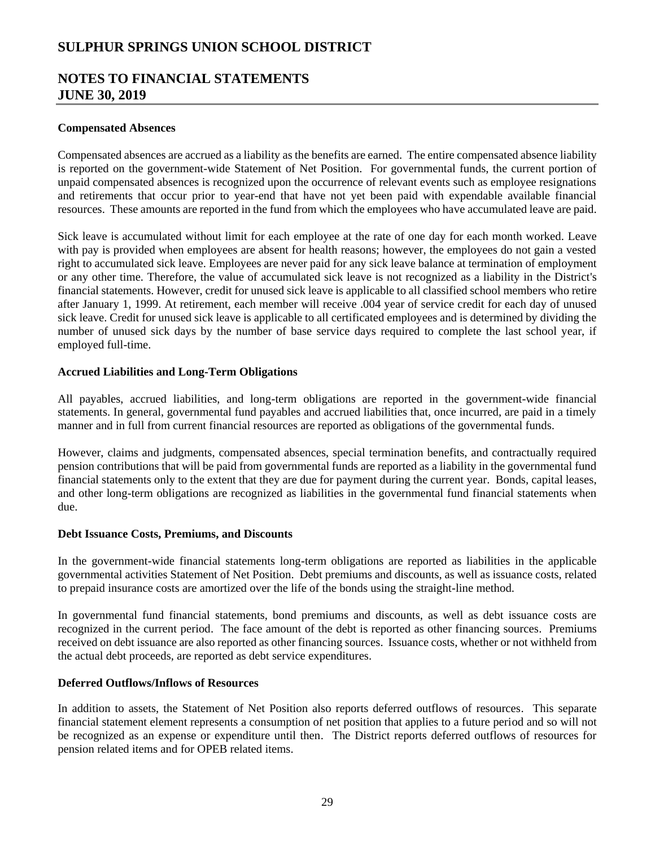## **NOTES TO FINANCIAL STATEMENTS JUNE 30, 2019**

### **Compensated Absences**

Compensated absences are accrued as a liability as the benefits are earned. The entire compensated absence liability is reported on the government-wide Statement of Net Position. For governmental funds, the current portion of unpaid compensated absences is recognized upon the occurrence of relevant events such as employee resignations and retirements that occur prior to year-end that have not yet been paid with expendable available financial resources. These amounts are reported in the fund from which the employees who have accumulated leave are paid.

Sick leave is accumulated without limit for each employee at the rate of one day for each month worked. Leave with pay is provided when employees are absent for health reasons; however, the employees do not gain a vested right to accumulated sick leave. Employees are never paid for any sick leave balance at termination of employment or any other time. Therefore, the value of accumulated sick leave is not recognized as a liability in the District's financial statements. However, credit for unused sick leave is applicable to all classified school members who retire after January 1, 1999. At retirement, each member will receive .004 year of service credit for each day of unused sick leave. Credit for unused sick leave is applicable to all certificated employees and is determined by dividing the number of unused sick days by the number of base service days required to complete the last school year, if employed full-time.

### **Accrued Liabilities and Long-Term Obligations**

All payables, accrued liabilities, and long-term obligations are reported in the government-wide financial statements. In general, governmental fund payables and accrued liabilities that, once incurred, are paid in a timely manner and in full from current financial resources are reported as obligations of the governmental funds.

However, claims and judgments, compensated absences, special termination benefits, and contractually required pension contributions that will be paid from governmental funds are reported as a liability in the governmental fund financial statements only to the extent that they are due for payment during the current year. Bonds, capital leases, and other long-term obligations are recognized as liabilities in the governmental fund financial statements when due.

### **Debt Issuance Costs, Premiums, and Discounts**

In the government-wide financial statements long-term obligations are reported as liabilities in the applicable governmental activities Statement of Net Position. Debt premiums and discounts, as well as issuance costs, related to prepaid insurance costs are amortized over the life of the bonds using the straight-line method.

In governmental fund financial statements, bond premiums and discounts, as well as debt issuance costs are recognized in the current period. The face amount of the debt is reported as other financing sources. Premiums received on debt issuance are also reported as other financing sources. Issuance costs, whether or not withheld from the actual debt proceeds, are reported as debt service expenditures.

### **Deferred Outflows/Inflows of Resources**

In addition to assets, the Statement of Net Position also reports deferred outflows of resources. This separate financial statement element represents a consumption of net position that applies to a future period and so will not be recognized as an expense or expenditure until then. The District reports deferred outflows of resources for pension related items and for OPEB related items.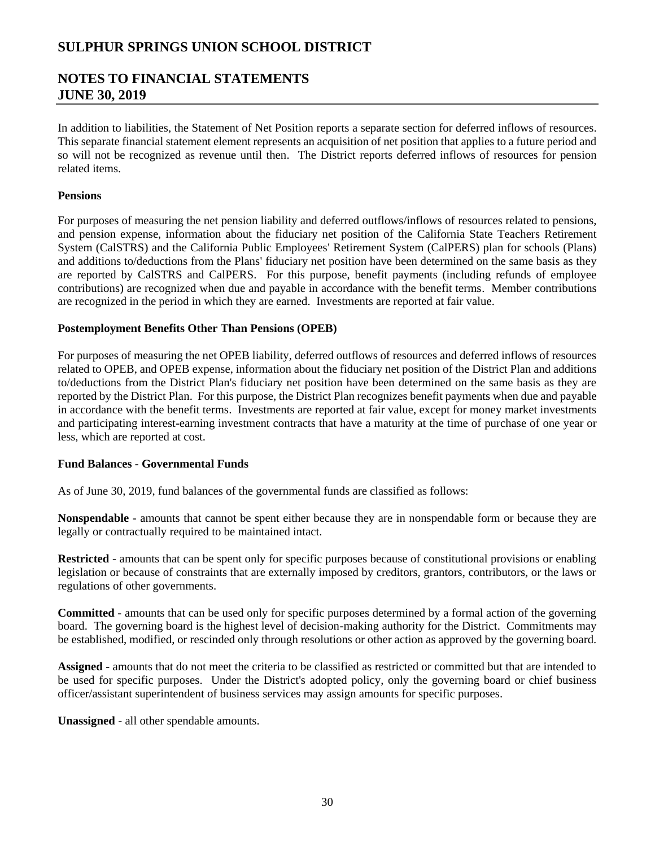## **NOTES TO FINANCIAL STATEMENTS JUNE 30, 2019**

In addition to liabilities, the Statement of Net Position reports a separate section for deferred inflows of resources. This separate financial statement element represents an acquisition of net position that applies to a future period and so will not be recognized as revenue until then. The District reports deferred inflows of resources for pension related items.

### **Pensions**

For purposes of measuring the net pension liability and deferred outflows/inflows of resources related to pensions, and pension expense, information about the fiduciary net position of the California State Teachers Retirement System (CalSTRS) and the California Public Employees' Retirement System (CalPERS) plan for schools (Plans) and additions to/deductions from the Plans' fiduciary net position have been determined on the same basis as they are reported by CalSTRS and CalPERS. For this purpose, benefit payments (including refunds of employee contributions) are recognized when due and payable in accordance with the benefit terms. Member contributions are recognized in the period in which they are earned. Investments are reported at fair value.

### **Postemployment Benefits Other Than Pensions (OPEB)**

For purposes of measuring the net OPEB liability, deferred outflows of resources and deferred inflows of resources related to OPEB, and OPEB expense, information about the fiduciary net position of the District Plan and additions to/deductions from the District Plan's fiduciary net position have been determined on the same basis as they are reported by the District Plan. For this purpose, the District Plan recognizes benefit payments when due and payable in accordance with the benefit terms. Investments are reported at fair value, except for money market investments and participating interest-earning investment contracts that have a maturity at the time of purchase of one year or less, which are reported at cost.

### **Fund Balances - Governmental Funds**

As of June 30, 2019, fund balances of the governmental funds are classified as follows:

**Nonspendable** - amounts that cannot be spent either because they are in nonspendable form or because they are legally or contractually required to be maintained intact.

**Restricted** - amounts that can be spent only for specific purposes because of constitutional provisions or enabling legislation or because of constraints that are externally imposed by creditors, grantors, contributors, or the laws or regulations of other governments.

**Committed** - amounts that can be used only for specific purposes determined by a formal action of the governing board. The governing board is the highest level of decision-making authority for the District. Commitments may be established, modified, or rescinded only through resolutions or other action as approved by the governing board.

**Assigned** - amounts that do not meet the criteria to be classified as restricted or committed but that are intended to be used for specific purposes. Under the District's adopted policy, only the governing board or chief business officer/assistant superintendent of business services may assign amounts for specific purposes.

**Unassigned** - all other spendable amounts.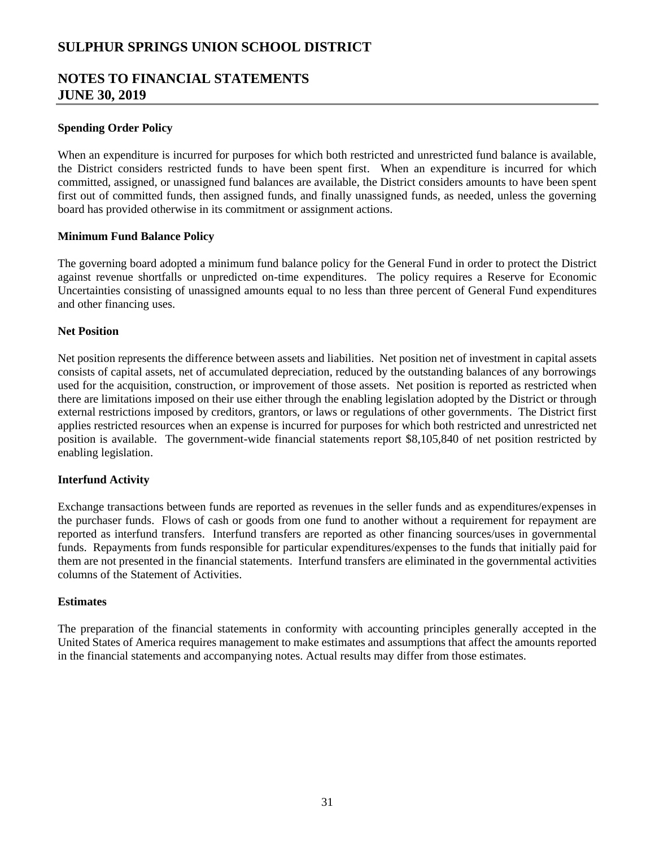## **NOTES TO FINANCIAL STATEMENTS JUNE 30, 2019**

### **Spending Order Policy**

When an expenditure is incurred for purposes for which both restricted and unrestricted fund balance is available, the District considers restricted funds to have been spent first. When an expenditure is incurred for which committed, assigned, or unassigned fund balances are available, the District considers amounts to have been spent first out of committed funds, then assigned funds, and finally unassigned funds, as needed, unless the governing board has provided otherwise in its commitment or assignment actions.

### **Minimum Fund Balance Policy**

The governing board adopted a minimum fund balance policy for the General Fund in order to protect the District against revenue shortfalls or unpredicted on-time expenditures. The policy requires a Reserve for Economic Uncertainties consisting of unassigned amounts equal to no less than three percent of General Fund expenditures and other financing uses.

### **Net Position**

Net position represents the difference between assets and liabilities. Net position net of investment in capital assets consists of capital assets, net of accumulated depreciation, reduced by the outstanding balances of any borrowings used for the acquisition, construction, or improvement of those assets. Net position is reported as restricted when there are limitations imposed on their use either through the enabling legislation adopted by the District or through external restrictions imposed by creditors, grantors, or laws or regulations of other governments. The District first applies restricted resources when an expense is incurred for purposes for which both restricted and unrestricted net position is available. The government-wide financial statements report \$8,105,840 of net position restricted by enabling legislation.

### **Interfund Activity**

Exchange transactions between funds are reported as revenues in the seller funds and as expenditures/expenses in the purchaser funds. Flows of cash or goods from one fund to another without a requirement for repayment are reported as interfund transfers. Interfund transfers are reported as other financing sources/uses in governmental funds. Repayments from funds responsible for particular expenditures/expenses to the funds that initially paid for them are not presented in the financial statements. Interfund transfers are eliminated in the governmental activities columns of the Statement of Activities.

#### **Estimates**

The preparation of the financial statements in conformity with accounting principles generally accepted in the United States of America requires management to make estimates and assumptions that affect the amounts reported in the financial statements and accompanying notes. Actual results may differ from those estimates.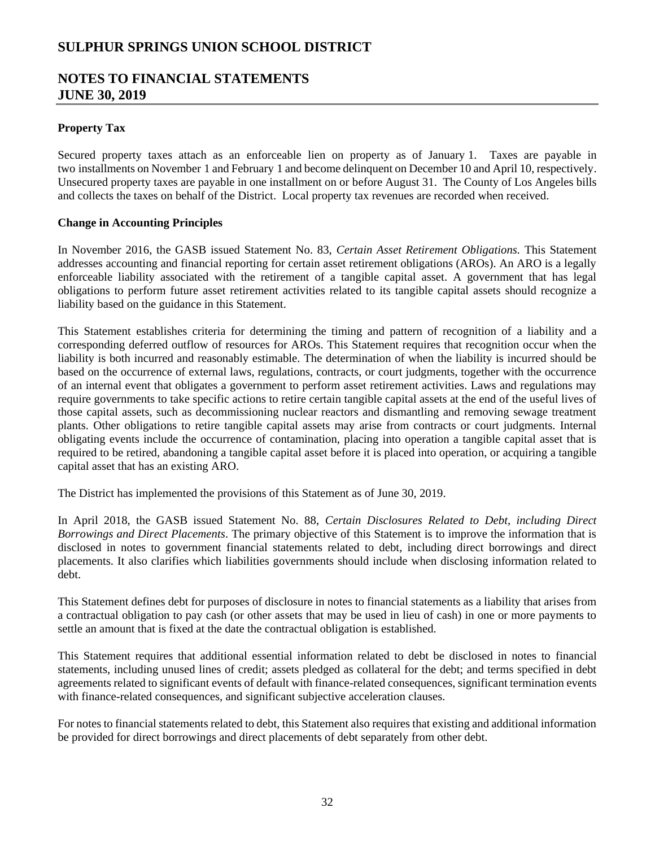## **NOTES TO FINANCIAL STATEMENTS JUNE 30, 2019**

### **Property Tax**

Secured property taxes attach as an enforceable lien on property as of January 1. Taxes are payable in two installments on November 1 and February 1 and become delinquent on December 10 and April 10, respectively. Unsecured property taxes are payable in one installment on or before August 31. The County of Los Angeles bills and collects the taxes on behalf of the District. Local property tax revenues are recorded when received.

### **Change in Accounting Principles**

In November 2016, the GASB issued Statement No. 83, *Certain Asset Retirement Obligations.* This Statement addresses accounting and financial reporting for certain asset retirement obligations (AROs). An ARO is a legally enforceable liability associated with the retirement of a tangible capital asset. A government that has legal obligations to perform future asset retirement activities related to its tangible capital assets should recognize a liability based on the guidance in this Statement.

This Statement establishes criteria for determining the timing and pattern of recognition of a liability and a corresponding deferred outflow of resources for AROs. This Statement requires that recognition occur when the liability is both incurred and reasonably estimable. The determination of when the liability is incurred should be based on the occurrence of external laws, regulations, contracts, or court judgments, together with the occurrence of an internal event that obligates a government to perform asset retirement activities. Laws and regulations may require governments to take specific actions to retire certain tangible capital assets at the end of the useful lives of those capital assets, such as decommissioning nuclear reactors and dismantling and removing sewage treatment plants. Other obligations to retire tangible capital assets may arise from contracts or court judgments. Internal obligating events include the occurrence of contamination, placing into operation a tangible capital asset that is required to be retired, abandoning a tangible capital asset before it is placed into operation, or acquiring a tangible capital asset that has an existing ARO.

The District has implemented the provisions of this Statement as of June 30, 2019.

In April 2018, the GASB issued Statement No. 88, *Certain Disclosures Related to Debt, including Direct Borrowings and Direct Placements*. The primary objective of this Statement is to improve the information that is disclosed in notes to government financial statements related to debt, including direct borrowings and direct placements. It also clarifies which liabilities governments should include when disclosing information related to debt.

This Statement defines debt for purposes of disclosure in notes to financial statements as a liability that arises from a contractual obligation to pay cash (or other assets that may be used in lieu of cash) in one or more payments to settle an amount that is fixed at the date the contractual obligation is established.

This Statement requires that additional essential information related to debt be disclosed in notes to financial statements, including unused lines of credit; assets pledged as collateral for the debt; and terms specified in debt agreements related to significant events of default with finance-related consequences, significant termination events with finance-related consequences, and significant subjective acceleration clauses.

For notes to financial statements related to debt, this Statement also requires that existing and additional information be provided for direct borrowings and direct placements of debt separately from other debt.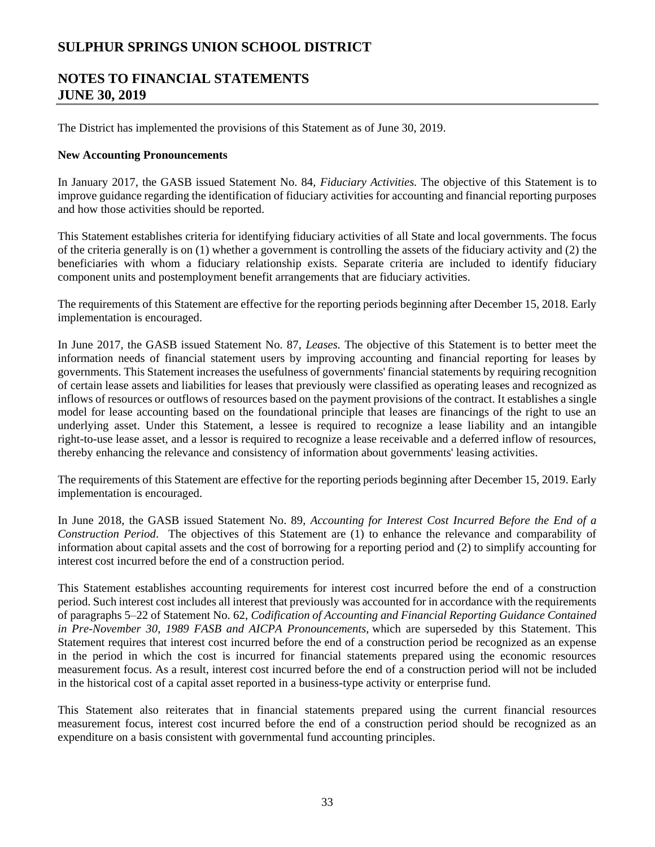## **NOTES TO FINANCIAL STATEMENTS JUNE 30, 2019**

The District has implemented the provisions of this Statement as of June 30, 2019.

### **New Accounting Pronouncements**

In January 2017, the GASB issued Statement No. 84, *Fiduciary Activities.* The objective of this Statement is to improve guidance regarding the identification of fiduciary activities for accounting and financial reporting purposes and how those activities should be reported.

This Statement establishes criteria for identifying fiduciary activities of all State and local governments. The focus of the criteria generally is on (1) whether a government is controlling the assets of the fiduciary activity and (2) the beneficiaries with whom a fiduciary relationship exists. Separate criteria are included to identify fiduciary component units and postemployment benefit arrangements that are fiduciary activities.

The requirements of this Statement are effective for the reporting periods beginning after December 15, 2018. Early implementation is encouraged.

In June 2017, the GASB issued Statement No. 87, *Leases.* The objective of this Statement is to better meet the information needs of financial statement users by improving accounting and financial reporting for leases by governments. This Statement increases the usefulness of governments' financial statements by requiring recognition of certain lease assets and liabilities for leases that previously were classified as operating leases and recognized as inflows of resources or outflows of resources based on the payment provisions of the contract. It establishes a single model for lease accounting based on the foundational principle that leases are financings of the right to use an underlying asset. Under this Statement, a lessee is required to recognize a lease liability and an intangible right-to-use lease asset, and a lessor is required to recognize a lease receivable and a deferred inflow of resources, thereby enhancing the relevance and consistency of information about governments' leasing activities.

The requirements of this Statement are effective for the reporting periods beginning after December 15, 2019. Early implementation is encouraged.

In June 2018, the GASB issued Statement No. 89, *Accounting for Interest Cost Incurred Before the End of a Construction Period*. The objectives of this Statement are (1) to enhance the relevance and comparability of information about capital assets and the cost of borrowing for a reporting period and (2) to simplify accounting for interest cost incurred before the end of a construction period.

This Statement establishes accounting requirements for interest cost incurred before the end of a construction period. Such interest cost includes all interest that previously was accounted for in accordance with the requirements of paragraphs 5–22 of Statement No. 62, *Codification of Accounting and Financial Reporting Guidance Contained in Pre-November 30, 1989 FASB and AICPA Pronouncements,* which are superseded by this Statement. This Statement requires that interest cost incurred before the end of a construction period be recognized as an expense in the period in which the cost is incurred for financial statements prepared using the economic resources measurement focus. As a result, interest cost incurred before the end of a construction period will not be included in the historical cost of a capital asset reported in a business-type activity or enterprise fund.

This Statement also reiterates that in financial statements prepared using the current financial resources measurement focus, interest cost incurred before the end of a construction period should be recognized as an expenditure on a basis consistent with governmental fund accounting principles.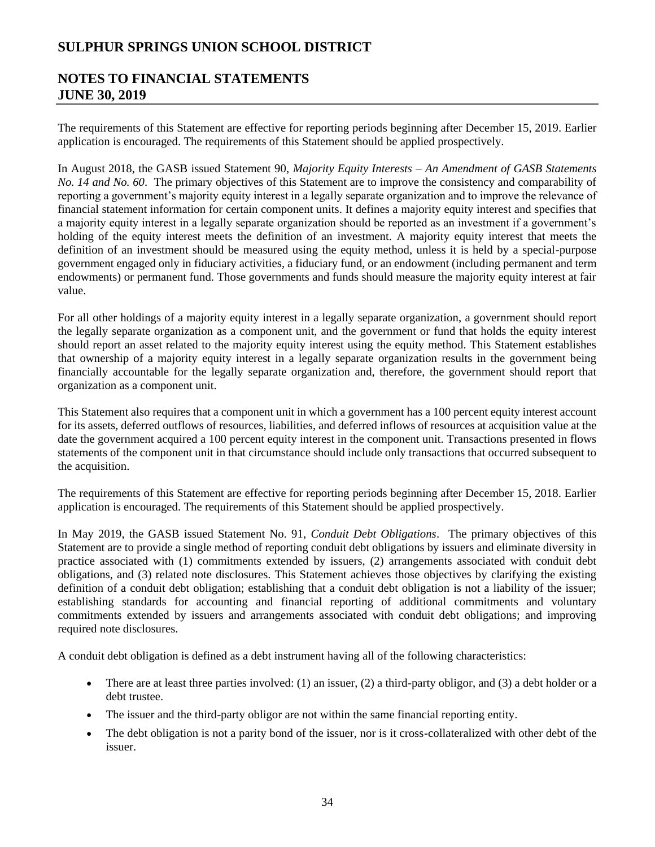# **NOTES TO FINANCIAL STATEMENTS JUNE 30, 2019**

The requirements of this Statement are effective for reporting periods beginning after December 15, 2019. Earlier application is encouraged. The requirements of this Statement should be applied prospectively.

In August 2018, the GASB issued Statement 90, *Majority Equity Interests – An Amendment of GASB Statements No. 14 and No. 60*. The primary objectives of this Statement are to improve the consistency and comparability of reporting a government's majority equity interest in a legally separate organization and to improve the relevance of financial statement information for certain component units. It defines a majority equity interest and specifies that a majority equity interest in a legally separate organization should be reported as an investment if a government's holding of the equity interest meets the definition of an investment. A majority equity interest that meets the definition of an investment should be measured using the equity method, unless it is held by a special-purpose government engaged only in fiduciary activities, a fiduciary fund, or an endowment (including permanent and term endowments) or permanent fund. Those governments and funds should measure the majority equity interest at fair value.

For all other holdings of a majority equity interest in a legally separate organization, a government should report the legally separate organization as a component unit, and the government or fund that holds the equity interest should report an asset related to the majority equity interest using the equity method. This Statement establishes that ownership of a majority equity interest in a legally separate organization results in the government being financially accountable for the legally separate organization and, therefore, the government should report that organization as a component unit.

This Statement also requires that a component unit in which a government has a 100 percent equity interest account for its assets, deferred outflows of resources, liabilities, and deferred inflows of resources at acquisition value at the date the government acquired a 100 percent equity interest in the component unit. Transactions presented in flows statements of the component unit in that circumstance should include only transactions that occurred subsequent to the acquisition.

The requirements of this Statement are effective for reporting periods beginning after December 15, 2018. Earlier application is encouraged. The requirements of this Statement should be applied prospectively.

In May 2019, the GASB issued Statement No. 91, *Conduit Debt Obligations*. The primary objectives of this Statement are to provide a single method of reporting conduit debt obligations by issuers and eliminate diversity in practice associated with (1) commitments extended by issuers, (2) arrangements associated with conduit debt obligations, and (3) related note disclosures. This Statement achieves those objectives by clarifying the existing definition of a conduit debt obligation; establishing that a conduit debt obligation is not a liability of the issuer; establishing standards for accounting and financial reporting of additional commitments and voluntary commitments extended by issuers and arrangements associated with conduit debt obligations; and improving required note disclosures.

A conduit debt obligation is defined as a debt instrument having all of the following characteristics:

- There are at least three parties involved: (1) an issuer, (2) a third-party obligor, and (3) a debt holder or a debt trustee.
- The issuer and the third-party obligor are not within the same financial reporting entity.
- The debt obligation is not a parity bond of the issuer, nor is it cross-collateralized with other debt of the issuer.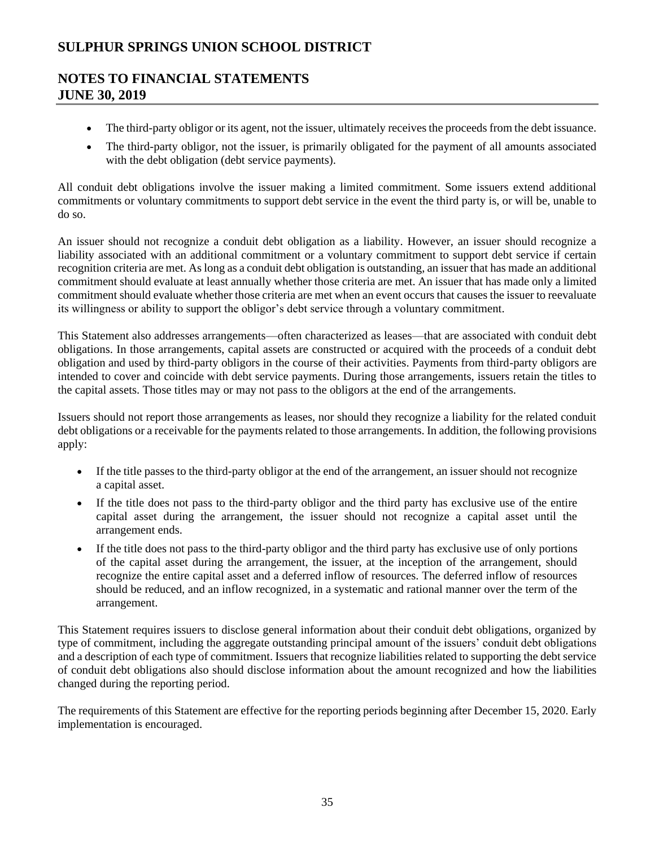## **NOTES TO FINANCIAL STATEMENTS JUNE 30, 2019**

- The third-party obligor or its agent, not the issuer, ultimately receives the proceeds from the debt issuance.
- The third-party obligor, not the issuer, is primarily obligated for the payment of all amounts associated with the debt obligation (debt service payments).

All conduit debt obligations involve the issuer making a limited commitment. Some issuers extend additional commitments or voluntary commitments to support debt service in the event the third party is, or will be, unable to do so.

An issuer should not recognize a conduit debt obligation as a liability. However, an issuer should recognize a liability associated with an additional commitment or a voluntary commitment to support debt service if certain recognition criteria are met. As long as a conduit debt obligation is outstanding, an issuer that has made an additional commitment should evaluate at least annually whether those criteria are met. An issuer that has made only a limited commitment should evaluate whether those criteria are met when an event occurs that causes the issuer to reevaluate its willingness or ability to support the obligor's debt service through a voluntary commitment.

This Statement also addresses arrangements—often characterized as leases—that are associated with conduit debt obligations. In those arrangements, capital assets are constructed or acquired with the proceeds of a conduit debt obligation and used by third-party obligors in the course of their activities. Payments from third-party obligors are intended to cover and coincide with debt service payments. During those arrangements, issuers retain the titles to the capital assets. Those titles may or may not pass to the obligors at the end of the arrangements.

Issuers should not report those arrangements as leases, nor should they recognize a liability for the related conduit debt obligations or a receivable for the payments related to those arrangements. In addition, the following provisions apply:

- If the title passes to the third-party obligor at the end of the arrangement, an issuer should not recognize a capital asset.
- If the title does not pass to the third-party obligor and the third party has exclusive use of the entire capital asset during the arrangement, the issuer should not recognize a capital asset until the arrangement ends.
- If the title does not pass to the third-party obligor and the third party has exclusive use of only portions of the capital asset during the arrangement, the issuer, at the inception of the arrangement, should recognize the entire capital asset and a deferred inflow of resources. The deferred inflow of resources should be reduced, and an inflow recognized, in a systematic and rational manner over the term of the arrangement.

This Statement requires issuers to disclose general information about their conduit debt obligations, organized by type of commitment, including the aggregate outstanding principal amount of the issuers' conduit debt obligations and a description of each type of commitment. Issuers that recognize liabilities related to supporting the debt service of conduit debt obligations also should disclose information about the amount recognized and how the liabilities changed during the reporting period.

The requirements of this Statement are effective for the reporting periods beginning after December 15, 2020. Early implementation is encouraged.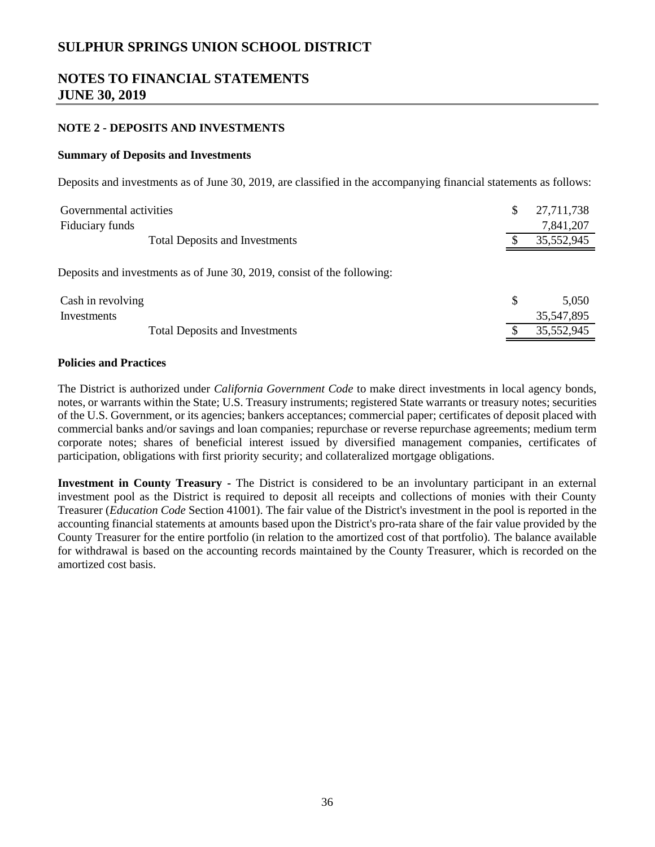# **NOTES TO FINANCIAL STATEMENTS JUNE 30, 2019**

## **NOTE 2 - DEPOSITS AND INVESTMENTS**

### **Summary of Deposits and Investments**

Deposits and investments as of June 30, 2019, are classified in the accompanying financial statements as follows:

| Governmental activities                                                 | \$<br>27,711,738 |
|-------------------------------------------------------------------------|------------------|
| Fiduciary funds                                                         | 7,841,207        |
| <b>Total Deposits and Investments</b>                                   | 35,552,945       |
| Deposits and investments as of June 30, 2019, consist of the following: |                  |
| Cash in revolving                                                       | \$<br>5,050      |
| Investments                                                             | 35,547,895       |
| <b>Total Deposits and Investments</b>                                   | 35,552,945       |

## **Policies and Practices**

The District is authorized under *California Government Code* to make direct investments in local agency bonds, notes, or warrants within the State; U.S. Treasury instruments; registered State warrants or treasury notes; securities of the U.S. Government, or its agencies; bankers acceptances; commercial paper; certificates of deposit placed with commercial banks and/or savings and loan companies; repurchase or reverse repurchase agreements; medium term corporate notes; shares of beneficial interest issued by diversified management companies, certificates of participation, obligations with first priority security; and collateralized mortgage obligations.

**Investment in County Treasury -** The District is considered to be an involuntary participant in an external investment pool as the District is required to deposit all receipts and collections of monies with their County Treasurer (*Education Code* Section 41001). The fair value of the District's investment in the pool is reported in the accounting financial statements at amounts based upon the District's pro-rata share of the fair value provided by the County Treasurer for the entire portfolio (in relation to the amortized cost of that portfolio). The balance available for withdrawal is based on the accounting records maintained by the County Treasurer, which is recorded on the amortized cost basis.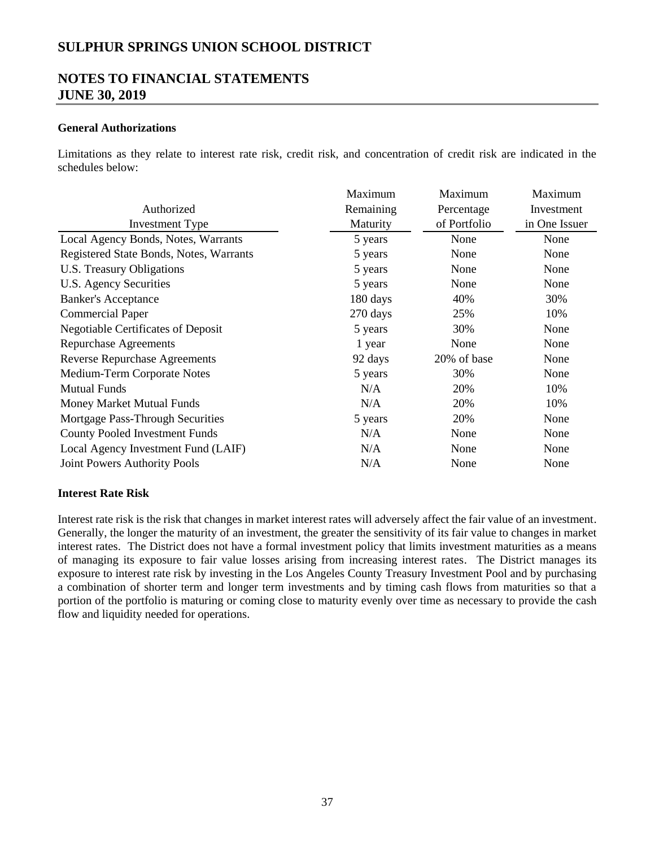# **NOTES TO FINANCIAL STATEMENTS JUNE 30, 2019**

### **General Authorizations**

Limitations as they relate to interest rate risk, credit risk, and concentration of credit risk are indicated in the schedules below:

|                                           | Maximum   | Maximum      | Maximum       |
|-------------------------------------------|-----------|--------------|---------------|
| Authorized                                | Remaining | Percentage   | Investment    |
| <b>Investment Type</b>                    | Maturity  | of Portfolio | in One Issuer |
| Local Agency Bonds, Notes, Warrants       | 5 years   | None         | None          |
| Registered State Bonds, Notes, Warrants   | 5 years   | None         | None          |
| U.S. Treasury Obligations                 | 5 years   | None         | None          |
| U.S. Agency Securities                    | 5 years   | None         | None          |
| <b>Banker's Acceptance</b>                | 180 days  | 40%          | 30%           |
| <b>Commercial Paper</b>                   | 270 days  | 25%          | 10%           |
| <b>Negotiable Certificates of Deposit</b> | 5 years   | 30%          | None          |
| Repurchase Agreements                     | 1 year    | None         | None          |
| <b>Reverse Repurchase Agreements</b>      | 92 days   | 20% of base  | None          |
| Medium-Term Corporate Notes               | 5 years   | 30%          | None          |
| <b>Mutual Funds</b>                       | N/A       | 20%          | 10%           |
| Money Market Mutual Funds                 | N/A       | 20%          | 10%           |
| Mortgage Pass-Through Securities          | 5 years   | 20%          | None          |
| <b>County Pooled Investment Funds</b>     | N/A       | None         | None          |
| Local Agency Investment Fund (LAIF)       | N/A       | None         | None          |
| Joint Powers Authority Pools              | N/A       | None         | None          |

### **Interest Rate Risk**

Interest rate risk is the risk that changes in market interest rates will adversely affect the fair value of an investment. Generally, the longer the maturity of an investment, the greater the sensitivity of its fair value to changes in market interest rates. The District does not have a formal investment policy that limits investment maturities as a means of managing its exposure to fair value losses arising from increasing interest rates. The District manages its exposure to interest rate risk by investing in the Los Angeles County Treasury Investment Pool and by purchasing a combination of shorter term and longer term investments and by timing cash flows from maturities so that a portion of the portfolio is maturing or coming close to maturity evenly over time as necessary to provide the cash flow and liquidity needed for operations.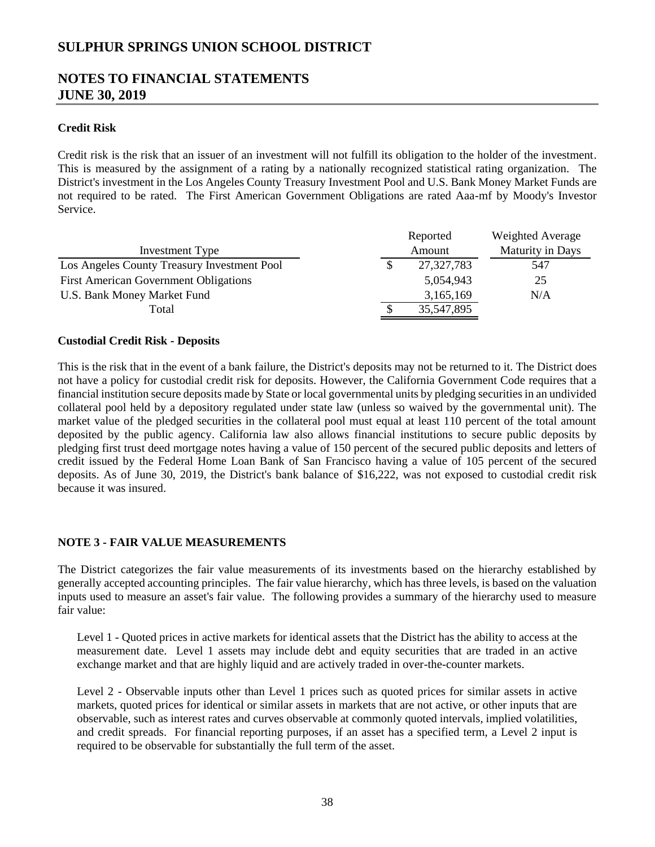## **NOTES TO FINANCIAL STATEMENTS JUNE 30, 2019**

## **Credit Risk**

Credit risk is the risk that an issuer of an investment will not fulfill its obligation to the holder of the investment. This is measured by the assignment of a rating by a nationally recognized statistical rating organization. The District's investment in the Los Angeles County Treasury Investment Pool and U.S. Bank Money Market Funds are not required to be rated. The First American Government Obligations are rated Aaa-mf by Moody's Investor Service.

|                                              | Reported   | Weighted Average |
|----------------------------------------------|------------|------------------|
| Investment Type                              | Amount     | Maturity in Days |
| Los Angeles County Treasury Investment Pool  | 27,327,783 | 547              |
| <b>First American Government Obligations</b> | 5,054,943  | 25               |
| U.S. Bank Money Market Fund                  | 3,165,169  | N/A              |
| Total                                        | 35,547,895 |                  |

### **Custodial Credit Risk - Deposits**

This is the risk that in the event of a bank failure, the District's deposits may not be returned to it. The District does not have a policy for custodial credit risk for deposits. However, the California Government Code requires that a financial institution secure deposits made by State or local governmental units by pledging securities in an undivided collateral pool held by a depository regulated under state law (unless so waived by the governmental unit). The market value of the pledged securities in the collateral pool must equal at least 110 percent of the total amount deposited by the public agency. California law also allows financial institutions to secure public deposits by pledging first trust deed mortgage notes having a value of 150 percent of the secured public deposits and letters of credit issued by the Federal Home Loan Bank of San Francisco having a value of 105 percent of the secured deposits. As of June 30, 2019, the District's bank balance of \$16,222, was not exposed to custodial credit risk because it was insured.

### **NOTE 3 - FAIR VALUE MEASUREMENTS**

The District categorizes the fair value measurements of its investments based on the hierarchy established by generally accepted accounting principles. The fair value hierarchy, which has three levels, is based on the valuation inputs used to measure an asset's fair value. The following provides a summary of the hierarchy used to measure fair value:

Level 1 - Quoted prices in active markets for identical assets that the District has the ability to access at the measurement date. Level 1 assets may include debt and equity securities that are traded in an active exchange market and that are highly liquid and are actively traded in over-the-counter markets.

Level 2 - Observable inputs other than Level 1 prices such as quoted prices for similar assets in active markets, quoted prices for identical or similar assets in markets that are not active, or other inputs that are observable, such as interest rates and curves observable at commonly quoted intervals, implied volatilities, and credit spreads. For financial reporting purposes, if an asset has a specified term, a Level 2 input is required to be observable for substantially the full term of the asset.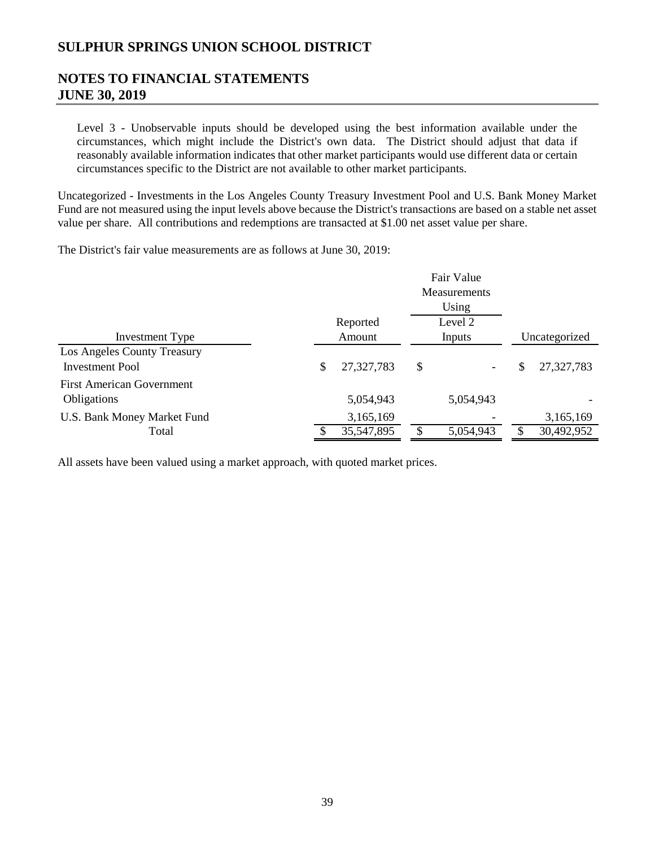# **NOTES TO FINANCIAL STATEMENTS JUNE 30, 2019**

Level 3 - Unobservable inputs should be developed using the best information available under the circumstances, which might include the District's own data. The District should adjust that data if reasonably available information indicates that other market participants would use different data or certain circumstances specific to the District are not available to other market participants.

Uncategorized - Investments in the Los Angeles County Treasury Investment Pool and U.S. Bank Money Market Fund are not measured using the input levels above because the District's transactions are based on a stable net asset value per share. All contributions and redemptions are transacted at \$1.00 net asset value per share.

The District's fair value measurements are as follows at June 30, 2019:

|                                  | Fair Value |                     |    |           |    |               |  |  |  |
|----------------------------------|------------|---------------------|----|-----------|----|---------------|--|--|--|
|                                  |            | <b>Measurements</b> |    |           |    |               |  |  |  |
|                                  |            |                     |    | Using     |    |               |  |  |  |
|                                  |            | Reported            |    | Level 2   |    |               |  |  |  |
| Investment Type                  | Amount     |                     |    | Inputs    |    | Uncategorized |  |  |  |
| Los Angeles County Treasury      |            |                     |    |           |    |               |  |  |  |
| <b>Investment Pool</b>           | \$         | 27,327,783          | \$ | -         | \$ | 27,327,783    |  |  |  |
| <b>First American Government</b> |            |                     |    |           |    |               |  |  |  |
| Obligations                      |            | 5,054,943           |    | 5,054,943 |    |               |  |  |  |
| U.S. Bank Money Market Fund      |            | 3,165,169           |    |           |    | 3,165,169     |  |  |  |
| Total                            |            | 35,547,895          |    | 5,054,943 | ۰D | 30,492,952    |  |  |  |

All assets have been valued using a market approach, with quoted market prices.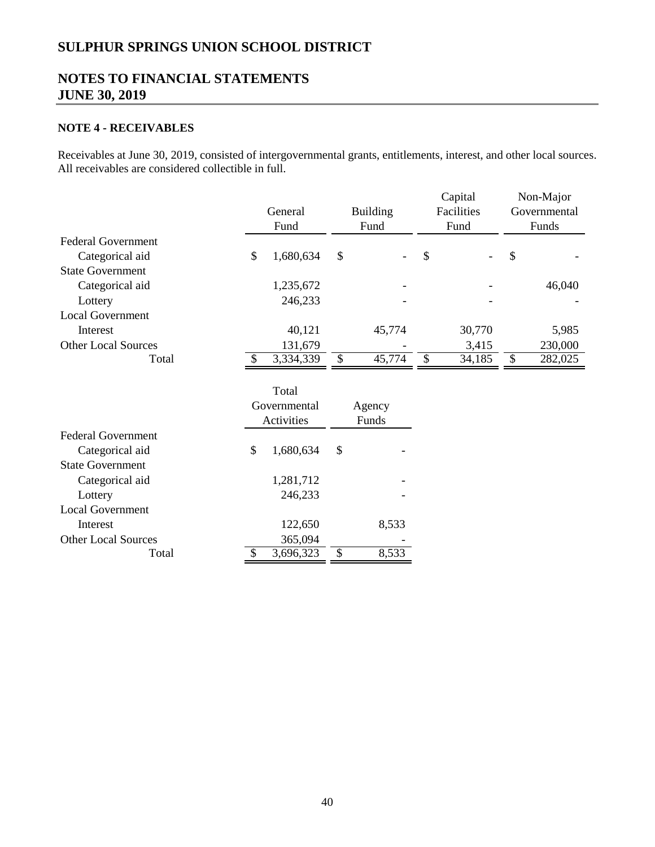# **NOTES TO FINANCIAL STATEMENTS JUNE 30, 2019**

### **NOTE 4 - RECEIVABLES**

Receivables at June 30, 2019, consisted of intergovernmental grants, entitlements, interest, and other local sources. All receivables are considered collectible in full.

|                            | General<br>Fund                     |           |    | <b>Building</b><br>Fund |                                     | Capital<br>Facilities<br>Fund | Non-Major<br>Governmental<br>Funds |         |  |
|----------------------------|-------------------------------------|-----------|----|-------------------------|-------------------------------------|-------------------------------|------------------------------------|---------|--|
| <b>Federal Government</b>  |                                     |           |    |                         |                                     |                               |                                    |         |  |
| Categorical aid            | \$                                  | 1,680,634 | \$ |                         | \$                                  |                               | \$                                 |         |  |
| <b>State Government</b>    |                                     |           |    |                         |                                     |                               |                                    |         |  |
| Categorical aid            |                                     | 1,235,672 |    |                         |                                     |                               |                                    | 46,040  |  |
| Lottery                    |                                     | 246,233   |    |                         |                                     |                               |                                    |         |  |
| <b>Local Government</b>    |                                     |           |    |                         |                                     |                               |                                    |         |  |
| Interest                   |                                     | 40,121    |    | 45,774                  |                                     | 30,770                        |                                    | 5,985   |  |
| <b>Other Local Sources</b> |                                     | 131,679   |    |                         |                                     | 3,415                         |                                    | 230,000 |  |
| Total                      | <sup>\$</sup>                       | 3,334,339 | \$ | 45,774                  | $\boldsymbol{\mathsf{S}}$<br>34,185 |                               | \$                                 | 282,025 |  |
|                            | Total<br>Governmental<br>Activities |           |    | Agency<br>Funds         |                                     |                               |                                    |         |  |
| <b>Federal Government</b>  |                                     |           |    |                         |                                     |                               |                                    |         |  |
| Categorical aid            | \$                                  | 1,680,634 | \$ |                         |                                     |                               |                                    |         |  |
| <b>State Government</b>    |                                     |           |    |                         |                                     |                               |                                    |         |  |
| Categorical aid            |                                     | 1,281,712 |    |                         |                                     |                               |                                    |         |  |
| Lottery                    |                                     | 246,233   |    |                         |                                     |                               |                                    |         |  |
| <b>Local Government</b>    |                                     |           |    |                         |                                     |                               |                                    |         |  |
| Interest                   |                                     | 122,650   |    | 8,533                   |                                     |                               |                                    |         |  |
| <b>Other Local Sources</b> |                                     | 365,094   |    |                         |                                     |                               |                                    |         |  |
| Total                      | \$                                  | 3,696,323 | \$ | 8,533                   |                                     |                               |                                    |         |  |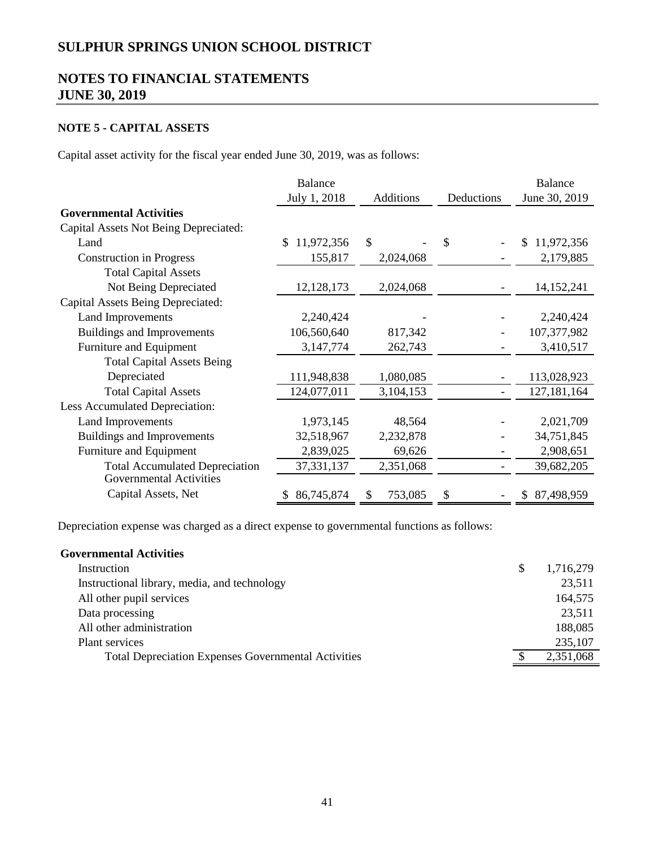# **NOTES TO FINANCIAL STATEMENTS JUNE 30, 2019**

## **NOTE 5 - CAPITAL ASSETS**

Capital asset activity for the fiscal year ended June 30, 2019, was as follows:

|                                       | <b>Balance</b>              |           |            | <b>Balance</b>    |
|---------------------------------------|-----------------------------|-----------|------------|-------------------|
|                                       | July 1, 2018                | Additions | Deductions | June 30, 2019     |
| <b>Governmental Activities</b>        |                             |           |            |                   |
| Capital Assets Not Being Depreciated: |                             |           |            |                   |
| Land                                  | 11,972,356<br>$\mathcal{S}$ | \$        | \$         | 11,972,356<br>\$. |
| <b>Construction in Progress</b>       | 155,817                     | 2,024,068 |            | 2,179,885         |
| <b>Total Capital Assets</b>           |                             |           |            |                   |
| Not Being Depreciated                 | 12,128,173                  | 2,024,068 |            | 14,152,241        |
| Capital Assets Being Depreciated:     |                             |           |            |                   |
| Land Improvements                     | 2,240,424                   |           |            | 2,240,424         |
| Buildings and Improvements            | 106,560,640                 | 817,342   |            | 107,377,982       |
| Furniture and Equipment               | 3,147,774                   | 262,743   |            | 3,410,517         |
| <b>Total Capital Assets Being</b>     |                             |           |            |                   |
| Depreciated                           | 111,948,838                 | 1,080,085 |            | 113,028,923       |
| <b>Total Capital Assets</b>           | 124,077,011                 | 3,104,153 |            | 127, 181, 164     |
| Less Accumulated Depreciation:        |                             |           |            |                   |
| <b>Land Improvements</b>              | 1,973,145                   | 48,564    |            | 2,021,709         |
| <b>Buildings and Improvements</b>     | 32,518,967                  | 2,232,878 |            | 34,751,845        |
| Furniture and Equipment               | 2,839,025                   | 69,626    |            | 2,908,651         |
| <b>Total Accumulated Depreciation</b> | 37, 331, 137                | 2,351,068 |            | 39,682,205        |
| <b>Governmental Activities</b>        |                             |           |            |                   |
| Capital Assets, Net                   | 86,745,874                  | 753,085   | \$         | 87,498,959        |

Depreciation expense was charged as a direct expense to governmental functions as follows:

| <b>Governmental Activities</b>                             |               |           |
|------------------------------------------------------------|---------------|-----------|
| Instruction                                                | <sup>\$</sup> | 1,716,279 |
| Instructional library, media, and technology               |               | 23,511    |
| All other pupil services                                   |               | 164,575   |
| Data processing                                            |               | 23,511    |
| All other administration                                   |               | 188,085   |
| Plant services                                             |               | 235,107   |
| <b>Total Depreciation Expenses Governmental Activities</b> |               | 2,351,068 |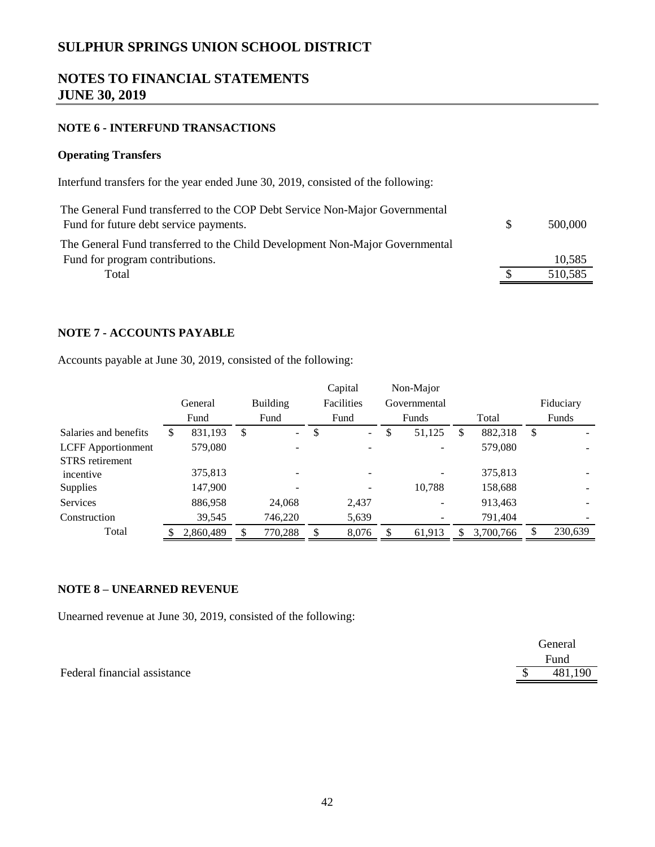# **NOTES TO FINANCIAL STATEMENTS JUNE 30, 2019**

## **NOTE 6 - INTERFUND TRANSACTIONS**

## **Operating Transfers**

Interfund transfers for the year ended June 30, 2019, consisted of the following:

| The General Fund transferred to the COP Debt Service Non-Major Governmental  |         |
|------------------------------------------------------------------------------|---------|
| Fund for future debt service payments.                                       | 500,000 |
| The General Fund transferred to the Child Development Non-Major Governmental |         |
| Fund for program contributions.                                              | 10,585  |
| Total                                                                        | 510,585 |

## **NOTE 7 - ACCOUNTS PAYABLE**

Accounts payable at June 30, 2019, consisted of the following:

|                           |    |                            |    |         |   | Capital    | Non-Major |              |    |           |               |         |  |
|---------------------------|----|----------------------------|----|---------|---|------------|-----------|--------------|----|-----------|---------------|---------|--|
|                           |    | <b>Building</b><br>General |    |         |   | Facilities |           | Governmental |    |           | Fiduciary     |         |  |
|                           |    | Fund                       |    | Fund    |   | Fund       |           | Funds        |    | Total     |               | Funds   |  |
| Salaries and benefits     | Jэ | 831,193                    | \$ | $\sim$  | S | $\sim$     | S         | 51,125       | \$ | 882.318   | <sup>\$</sup> |         |  |
| <b>LCFF</b> Apportionment |    | 579,080                    |    |         |   |            |           |              |    | 579,080   |               |         |  |
| <b>STRS</b> retirement    |    |                            |    |         |   |            |           |              |    |           |               |         |  |
| incentive                 |    | 375,813                    |    |         |   |            |           |              |    | 375,813   |               |         |  |
| Supplies                  |    | 147,900                    |    |         |   |            |           | 10,788       |    | 158,688   |               |         |  |
| <b>Services</b>           |    | 886,958                    |    | 24,068  |   | 2,437      |           |              |    | 913,463   |               |         |  |
| Construction              |    | 39,545                     |    | 746,220 |   | 5,639      |           |              |    | 791,404   |               |         |  |
| Total                     |    | 2,860,489                  |    | 770,288 |   | 8,076      |           | 61,913       |    | 3,700,766 |               | 230,639 |  |

## **NOTE 8 – UNEARNED REVENUE**

Unearned revenue at June 30, 2019, consisted of the following:

|                              | General |
|------------------------------|---------|
|                              | Fund    |
| Federal financial assistance | 481,190 |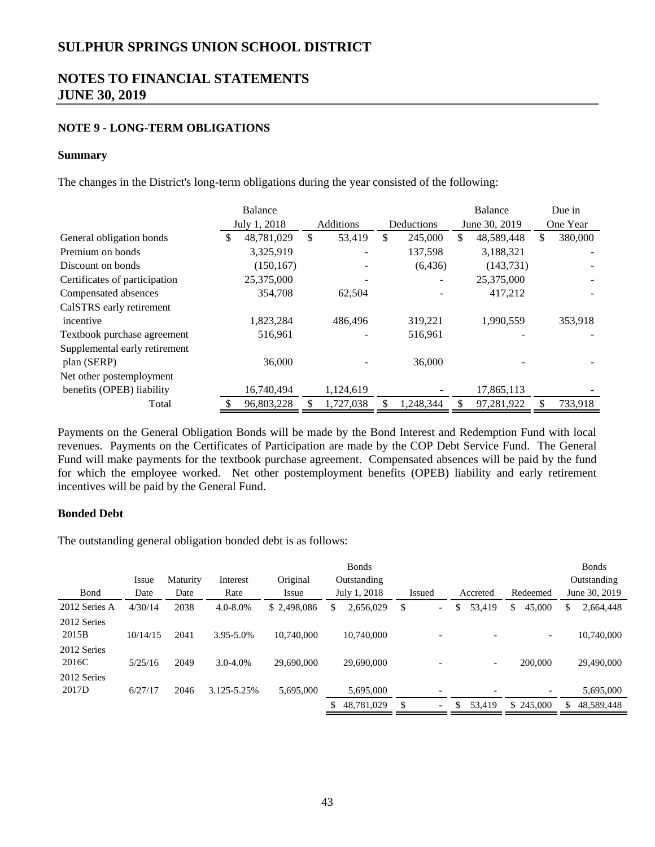# **NOTES TO FINANCIAL STATEMENTS JUNE 30, 2019**

### **NOTE 9 - LONG-TERM OBLIGATIONS**

#### **Summary**

The changes in the District's long-term obligations during the year consisted of the following:

|                               | Balance          |               |                  |    |            |     | <b>Balance</b> | Due in   |         |  |
|-------------------------------|------------------|---------------|------------------|----|------------|-----|----------------|----------|---------|--|
|                               | July 1, 2018     |               | <b>Additions</b> |    | Deductions |     | June 30, 2019  | One Year |         |  |
| General obligation bonds      | \$<br>48,781,029 | <sup>\$</sup> | 53,419           | \$ | 245,000    | \$. | 48,589,448     | S.       | 380,000 |  |
| Premium on bonds              | 3,325,919        |               |                  |    | 137,598    |     | 3,188,321      |          |         |  |
| Discount on bonds             | (150, 167)       |               |                  |    | (6, 436)   |     | (143, 731)     |          |         |  |
| Certificates of participation | 25,375,000       |               |                  |    |            |     | 25,375,000     |          |         |  |
| Compensated absences          | 354,708          |               | 62,504           |    |            |     | 417,212        |          |         |  |
| CalSTRS early retirement      |                  |               |                  |    |            |     |                |          |         |  |
| incentive                     | 1,823,284        |               | 486.496          |    | 319,221    |     | 1,990,559      |          | 353,918 |  |
| Textbook purchase agreement   | 516,961          |               |                  |    | 516,961    |     |                |          |         |  |
| Supplemental early retirement |                  |               |                  |    |            |     |                |          |         |  |
| plan (SERP)                   | 36,000           |               |                  |    | 36,000     |     |                |          |         |  |
| Net other postemployment      |                  |               |                  |    |            |     |                |          |         |  |
| benefits (OPEB) liability     | 16,740,494       |               | 1,124,619        |    |            |     | 17,865,113     |          |         |  |
| Total                         | 96,803,228       |               | 1,727,038        |    | 1,248,344  |     | 97,281,922     |          | 733,918 |  |

Payments on the General Obligation Bonds will be made by the Bond Interest and Redemption Fund with local revenues. Payments on the Certificates of Participation are made by the COP Debt Service Fund. The General Fund will make payments for the textbook purchase agreement. Compensated absences will be paid by the fund for which the employee worked. Net other postemployment benefits (OPEB) liability and early retirement incentives will be paid by the General Fund.

### **Bonded Debt**

The outstanding general obligation bonded debt is as follows:

|                      |          |          |               |             | <b>Bonds</b>    |                                |          |                          |   | <b>Bonds</b>  |
|----------------------|----------|----------|---------------|-------------|-----------------|--------------------------------|----------|--------------------------|---|---------------|
|                      | Issue    | Maturity | Interest      | Original    | Outstanding     |                                |          |                          |   | Outstanding   |
| Bond                 | Date     | Date     | Rate          | Issue       | July 1, 2018    | Issued                         | Accreted | Redeemed                 |   | June 30, 2019 |
| 2012 Series A        | 4/30/14  | 2038     | $4.0 - 8.0\%$ | \$2,498,086 | \$<br>2,656,029 | \$<br>$\overline{\phantom{a}}$ | 53,419   | \$<br>45,000             | S | 2,664,448     |
| 2012 Series<br>2015B | 10/14/15 | 2041     | 3.95-5.0%     | 10.740,000  | 10,740,000      | $\overline{\phantom{0}}$       |          | $\overline{\phantom{0}}$ |   | 10,740,000    |
| 2012 Series<br>2016C | 5/25/16  | 2049     | $3.0 - 4.0\%$ | 29,690,000  | 29,690,000      |                                | ۰        | 200,000                  |   | 29,490,000    |
| 2012 Series<br>2017D | 6/27/17  | 2046     | 3.125-5.25%   | 5,695,000   | 5,695,000       | $\overline{\phantom{a}}$       |          |                          |   | 5,695,000     |
|                      |          |          |               |             | 48,781,029      | \$<br>$\overline{\phantom{a}}$ | 53,419   | \$245,000                | S | 48,589,448    |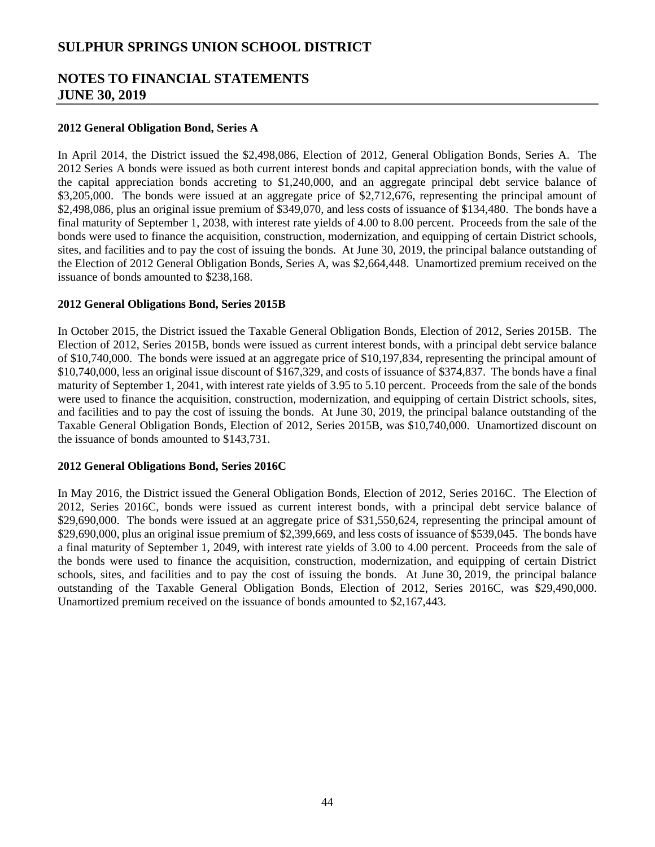## **NOTES TO FINANCIAL STATEMENTS JUNE 30, 2019**

## **2012 General Obligation Bond, Series A**

In April 2014, the District issued the \$2,498,086, Election of 2012, General Obligation Bonds, Series A. The 2012 Series A bonds were issued as both current interest bonds and capital appreciation bonds, with the value of the capital appreciation bonds accreting to \$1,240,000, and an aggregate principal debt service balance of \$3,205,000. The bonds were issued at an aggregate price of \$2,712,676, representing the principal amount of \$2,498,086, plus an original issue premium of \$349,070, and less costs of issuance of \$134,480. The bonds have a final maturity of September 1, 2038, with interest rate yields of 4.00 to 8.00 percent. Proceeds from the sale of the bonds were used to finance the acquisition, construction, modernization, and equipping of certain District schools, sites, and facilities and to pay the cost of issuing the bonds. At June 30, 2019, the principal balance outstanding of the Election of 2012 General Obligation Bonds, Series A, was \$2,664,448. Unamortized premium received on the issuance of bonds amounted to \$238,168.

### **2012 General Obligations Bond, Series 2015B**

In October 2015, the District issued the Taxable General Obligation Bonds, Election of 2012, Series 2015B. The Election of 2012, Series 2015B, bonds were issued as current interest bonds, with a principal debt service balance of \$10,740,000. The bonds were issued at an aggregate price of \$10,197,834, representing the principal amount of \$10,740,000, less an original issue discount of \$167,329, and costs of issuance of \$374,837. The bonds have a final maturity of September 1, 2041, with interest rate yields of 3.95 to 5.10 percent. Proceeds from the sale of the bonds were used to finance the acquisition, construction, modernization, and equipping of certain District schools, sites, and facilities and to pay the cost of issuing the bonds. At June 30, 2019, the principal balance outstanding of the Taxable General Obligation Bonds, Election of 2012, Series 2015B, was \$10,740,000. Unamortized discount on the issuance of bonds amounted to \$143,731.

### **2012 General Obligations Bond, Series 2016C**

In May 2016, the District issued the General Obligation Bonds, Election of 2012, Series 2016C. The Election of 2012, Series 2016C, bonds were issued as current interest bonds, with a principal debt service balance of \$29,690,000. The bonds were issued at an aggregate price of \$31,550,624, representing the principal amount of \$29,690,000, plus an original issue premium of \$2,399,669, and less costs of issuance of \$539,045. The bonds have a final maturity of September 1, 2049, with interest rate yields of 3.00 to 4.00 percent. Proceeds from the sale of the bonds were used to finance the acquisition, construction, modernization, and equipping of certain District schools, sites, and facilities and to pay the cost of issuing the bonds. At June 30, 2019, the principal balance outstanding of the Taxable General Obligation Bonds, Election of 2012, Series 2016C, was \$29,490,000. Unamortized premium received on the issuance of bonds amounted to \$2,167,443.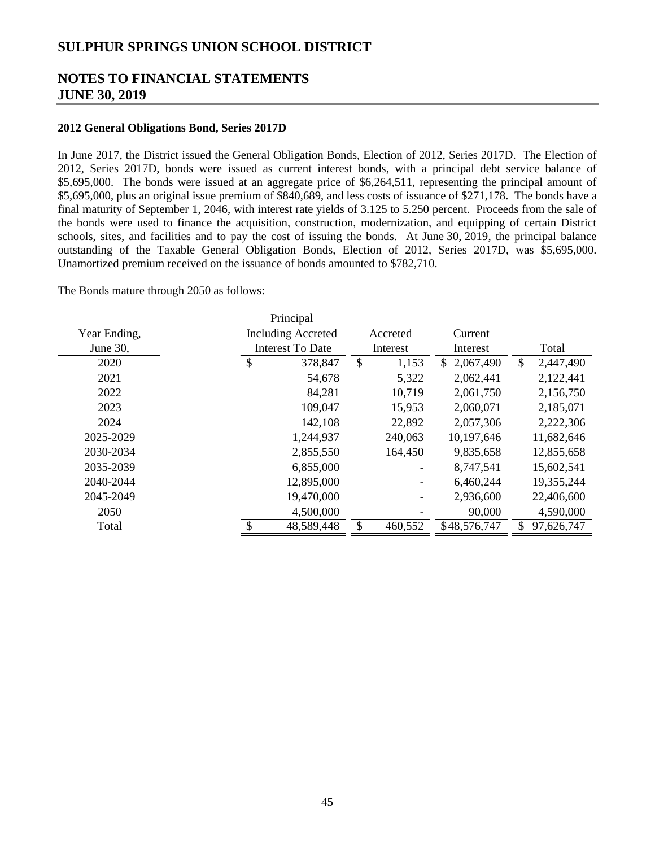## **NOTES TO FINANCIAL STATEMENTS JUNE 30, 2019**

### **2012 General Obligations Bond, Series 2017D**

In June 2017, the District issued the General Obligation Bonds, Election of 2012, Series 2017D. The Election of 2012, Series 2017D, bonds were issued as current interest bonds, with a principal debt service balance of \$5,695,000. The bonds were issued at an aggregate price of \$6,264,511, representing the principal amount of \$5,695,000, plus an original issue premium of \$840,689, and less costs of issuance of \$271,178. The bonds have a final maturity of September 1, 2046, with interest rate yields of 3.125 to 5.250 percent. Proceeds from the sale of the bonds were used to finance the acquisition, construction, modernization, and equipping of certain District schools, sites, and facilities and to pay the cost of issuing the bonds. At June 30, 2019, the principal balance outstanding of the Taxable General Obligation Bonds, Election of 2012, Series 2017D, was \$5,695,000. Unamortized premium received on the issuance of bonds amounted to \$782,710.

The Bonds mature through 2050 as follows:

| Year Ending, | <b>Including Accreted</b> | Accreted      | Current      |                 |
|--------------|---------------------------|---------------|--------------|-----------------|
| June 30,     | Interest To Date          | Interest      | Interest     | Total           |
| 2020         | \$<br>378,847             | \$<br>1,153   | \$2,067,490  | \$<br>2,447,490 |
| 2021         | 54,678                    | 5,322         | 2,062,441    | 2,122,441       |
| 2022         | 84,281                    | 10,719        | 2,061,750    | 2,156,750       |
| 2023         | 109,047                   | 15,953        | 2,060,071    | 2,185,071       |
| 2024         | 142,108                   | 22,892        | 2,057,306    | 2,222,306       |
| 2025-2029    | 1,244,937                 | 240,063       | 10,197,646   | 11,682,646      |
| 2030-2034    | 2,855,550                 | 164,450       | 9,835,658    | 12,855,658      |
| 2035-2039    | 6,855,000                 |               | 8,747,541    | 15,602,541      |
| 2040-2044    | 12,895,000                |               | 6,460,244    | 19,355,244      |
| 2045-2049    | 19,470,000                |               | 2,936,600    | 22,406,600      |
| 2050         | 4,500,000                 |               | 90,000       | 4,590,000       |
| Total        | 48,589,448                | \$<br>460,552 | \$48,576,747 | 97,626,747      |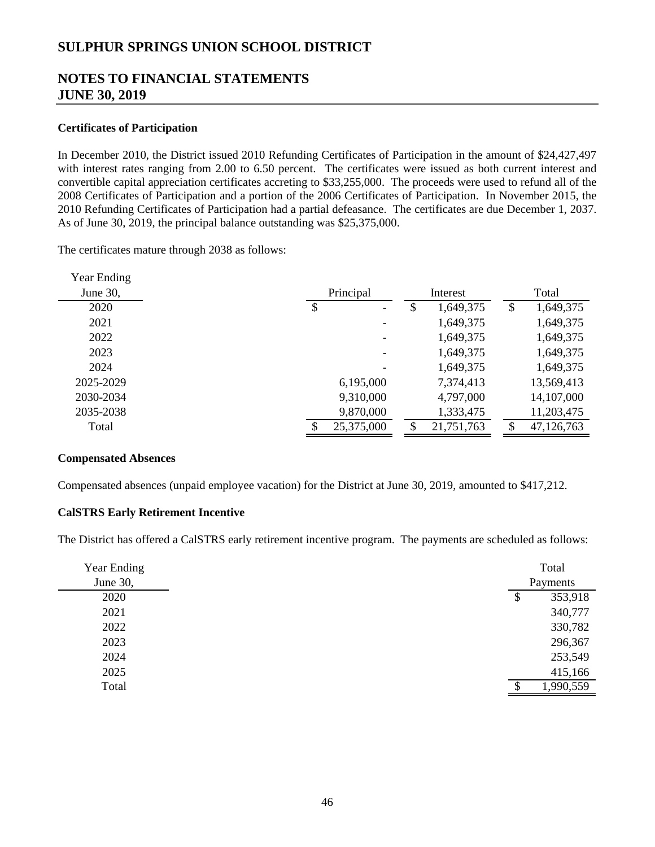## **NOTES TO FINANCIAL STATEMENTS JUNE 30, 2019**

### **Certificates of Participation**

In December 2010, the District issued 2010 Refunding Certificates of Participation in the amount of \$24,427,497 with interest rates ranging from 2.00 to 6.50 percent. The certificates were issued as both current interest and convertible capital appreciation certificates accreting to \$33,255,000. The proceeds were used to refund all of the 2008 Certificates of Participation and a portion of the 2006 Certificates of Participation. In November 2015, the 2010 Refunding Certificates of Participation had a partial defeasance. The certificates are due December 1, 2037. As of June 30, 2019, the principal balance outstanding was \$25,375,000.

The certificates mature through 2038 as follows:

| rear Ending |                                |                 |                 |  |
|-------------|--------------------------------|-----------------|-----------------|--|
| June $30$ , | Principal                      | Interest        |                 |  |
| 2020        | \$<br>$\overline{\phantom{a}}$ | 1,649,375<br>\$ | 1,649,375<br>\$ |  |
| 2021        |                                | 1,649,375       | 1,649,375       |  |
| 2022        |                                | 1,649,375       | 1,649,375       |  |
| 2023        |                                | 1,649,375       | 1,649,375       |  |
| 2024        |                                | 1,649,375       | 1,649,375       |  |
| 2025-2029   | 6,195,000                      | 7,374,413       | 13,569,413      |  |
| 2030-2034   | 9,310,000                      | 4,797,000       | 14,107,000      |  |
| 2035-2038   | 9,870,000                      | 1,333,475       | 11,203,475      |  |
| Total       | 25,375,000                     | 21,751,763      | 47,126,763      |  |

### **Compensated Absences**

 $Y = F$ 

Compensated absences (unpaid employee vacation) for the District at June 30, 2019, amounted to \$417,212.

### **CalSTRS Early Retirement Incentive**

The District has offered a CalSTRS early retirement incentive program. The payments are scheduled as follows:

| Year Ending |    | Total     |
|-------------|----|-----------|
| June 30,    |    | Payments  |
| 2020        | \$ | 353,918   |
| 2021        |    | 340,777   |
| 2022        |    | 330,782   |
| 2023        |    | 296,367   |
| 2024        |    | 253,549   |
| 2025        |    | 415,166   |
| Total       | -S | 1,990,559 |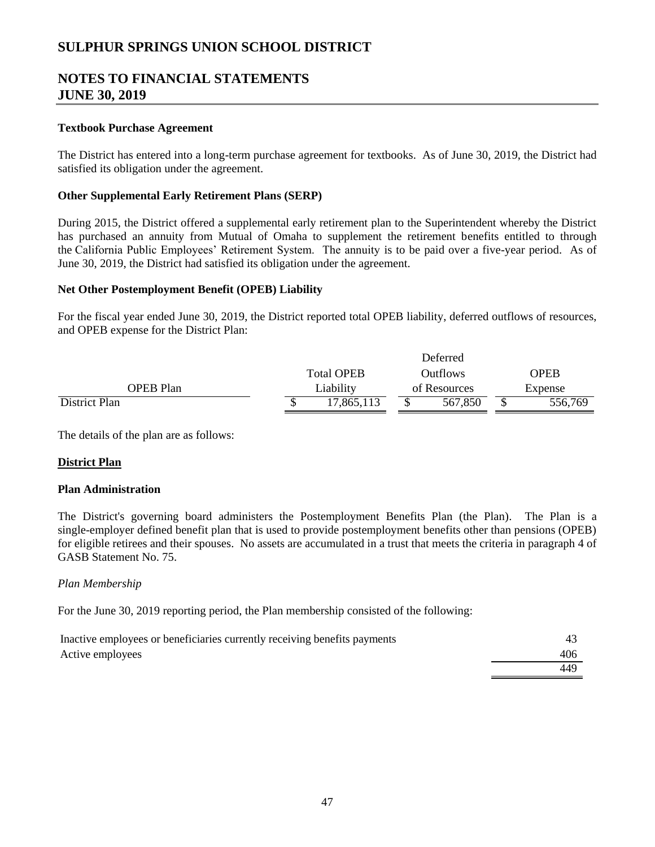## **NOTES TO FINANCIAL STATEMENTS JUNE 30, 2019**

### **Textbook Purchase Agreement**

The District has entered into a long-term purchase agreement for textbooks. As of June 30, 2019, the District had satisfied its obligation under the agreement.

### **Other Supplemental Early Retirement Plans (SERP)**

During 2015, the District offered a supplemental early retirement plan to the Superintendent whereby the District has purchased an annuity from Mutual of Omaha to supplement the retirement benefits entitled to through the California Public Employees' Retirement System. The annuity is to be paid over a five-year period. As of June 30, 2019, the District had satisfied its obligation under the agreement.

#### **Net Other Postemployment Benefit (OPEB) Liability**

For the fiscal year ended June 30, 2019, the District reported total OPEB liability, deferred outflows of resources, and OPEB expense for the District Plan:

|               |           |                   | Deferred        |   |         |
|---------------|-----------|-------------------|-----------------|---|---------|
|               |           | <b>Total OPEB</b> | <b>Outflows</b> |   | OPEB    |
| OPEB Plan     | Liability |                   | of Resources    |   | Expense |
| District Plan |           | 17,865,113        | 567,850         | ◡ | 556,769 |

The details of the plan are as follows:

### **District Plan**

#### **Plan Administration**

The District's governing board administers the Postemployment Benefits Plan (the Plan). The Plan is a single-employer defined benefit plan that is used to provide postemployment benefits other than pensions (OPEB) for eligible retirees and their spouses. No assets are accumulated in a trust that meets the criteria in paragraph 4 of GASB Statement No. 75.

#### *Plan Membership*

For the June 30, 2019 reporting period, the Plan membership consisted of the following:

| Inactive employees or beneficiaries currently receiving benefits payments |     |
|---------------------------------------------------------------------------|-----|
| Active employees                                                          | 406 |
|                                                                           | 449 |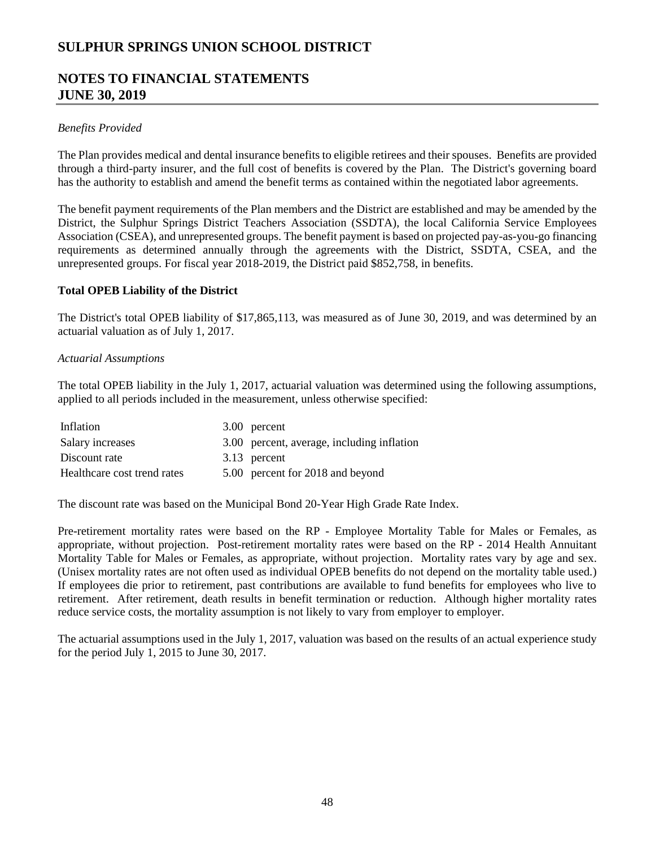## **NOTES TO FINANCIAL STATEMENTS JUNE 30, 2019**

## *Benefits Provided*

The Plan provides medical and dental insurance benefits to eligible retirees and their spouses. Benefits are provided through a third-party insurer, and the full cost of benefits is covered by the Plan. The District's governing board has the authority to establish and amend the benefit terms as contained within the negotiated labor agreements.

The benefit payment requirements of the Plan members and the District are established and may be amended by the District, the Sulphur Springs District Teachers Association (SSDTA), the local California Service Employees Association (CSEA), and unrepresented groups. The benefit payment is based on projected pay-as-you-go financing requirements as determined annually through the agreements with the District, SSDTA, CSEA, and the unrepresented groups. For fiscal year 2018-2019, the District paid \$852,758, in benefits.

### **Total OPEB Liability of the District**

The District's total OPEB liability of \$17,865,113, was measured as of June 30, 2019, and was determined by an actuarial valuation as of July 1, 2017.

#### *Actuarial Assumptions*

The total OPEB liability in the July 1, 2017, actuarial valuation was determined using the following assumptions, applied to all periods included in the measurement, unless otherwise specified:

| Inflation                   | 3.00 percent                               |
|-----------------------------|--------------------------------------------|
| Salary increases            | 3.00 percent, average, including inflation |
| Discount rate               | 3.13 percent                               |
| Healthcare cost trend rates | 5.00 percent for 2018 and beyond           |

The discount rate was based on the Municipal Bond 20-Year High Grade Rate Index.

Pre-retirement mortality rates were based on the RP - Employee Mortality Table for Males or Females, as appropriate, without projection. Post-retirement mortality rates were based on the RP - 2014 Health Annuitant Mortality Table for Males or Females, as appropriate, without projection. Mortality rates vary by age and sex. (Unisex mortality rates are not often used as individual OPEB benefits do not depend on the mortality table used.) If employees die prior to retirement, past contributions are available to fund benefits for employees who live to retirement. After retirement, death results in benefit termination or reduction. Although higher mortality rates reduce service costs, the mortality assumption is not likely to vary from employer to employer.

The actuarial assumptions used in the July 1, 2017, valuation was based on the results of an actual experience study for the period July 1, 2015 to June 30, 2017.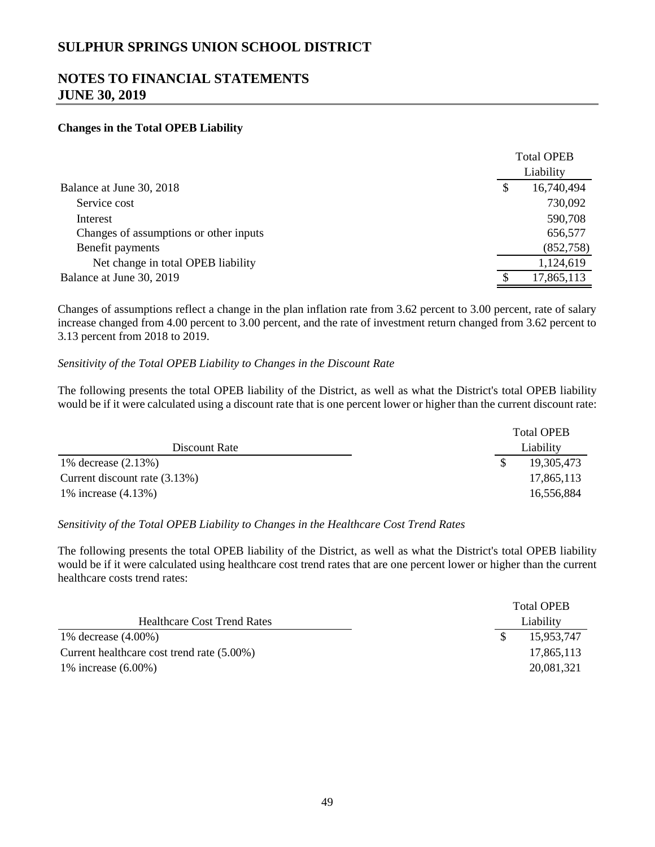# **NOTES TO FINANCIAL STATEMENTS JUNE 30, 2019**

### **Changes in the Total OPEB Liability**

|                                        |    | <b>Total OPEB</b> |
|----------------------------------------|----|-------------------|
|                                        |    | Liability         |
| Balance at June 30, 2018               | \$ | 16,740,494        |
| Service cost                           |    | 730,092           |
| Interest                               |    | 590,708           |
| Changes of assumptions or other inputs |    | 656,577           |
| Benefit payments                       |    | (852,758)         |
| Net change in total OPEB liability     |    | 1,124,619         |
| Balance at June 30, 2019               | -S | 17,865,113        |

Changes of assumptions reflect a change in the plan inflation rate from 3.62 percent to 3.00 percent, rate of salary increase changed from 4.00 percent to 3.00 percent, and the rate of investment return changed from 3.62 percent to 3.13 percent from 2018 to 2019.

### *Sensitivity of the Total OPEB Liability to Changes in the Discount Rate*

The following presents the total OPEB liability of the District, as well as what the District's total OPEB liability would be if it were calculated using a discount rate that is one percent lower or higher than the current discount rate:

|                                  | <b>Total OPEB</b> |
|----------------------------------|-------------------|
| Discount Rate                    | Liability         |
| 1% decrease (2.13%)              | 19.305.473        |
| Current discount rate $(3.13\%)$ | 17,865,113        |
| 1% increase (4.13%)              | 16,556,884        |

### *Sensitivity of the Total OPEB Liability to Changes in the Healthcare Cost Trend Rates*

The following presents the total OPEB liability of the District, as well as what the District's total OPEB liability would be if it were calculated using healthcare cost trend rates that are one percent lower or higher than the current healthcare costs trend rates:

|                                            | <b>Total OPEB</b> |
|--------------------------------------------|-------------------|
| <b>Healthcare Cost Trend Rates</b>         | Liability         |
| 1\% decrease (4.00\%)                      | 15.953.747        |
| Current healthcare cost trend rate (5.00%) | 17,865,113        |
| 1% increase $(6.00\%)$                     | 20,081,321        |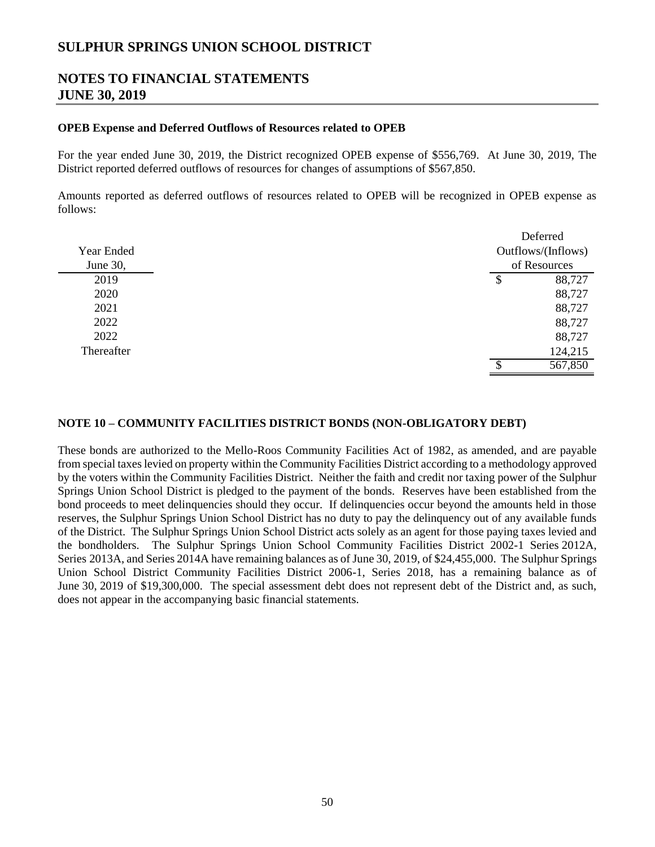## **NOTES TO FINANCIAL STATEMENTS JUNE 30, 2019**

### **OPEB Expense and Deferred Outflows of Resources related to OPEB**

For the year ended June 30, 2019, the District recognized OPEB expense of \$556,769. At June 30, 2019, The District reported deferred outflows of resources for changes of assumptions of \$567,850.

Amounts reported as deferred outflows of resources related to OPEB will be recognized in OPEB expense as follows:

|            | Deferred           |
|------------|--------------------|
| Year Ended | Outflows/(Inflows) |
| June 30,   | of Resources       |
| 2019       | 88,727<br>\$       |
| 2020       | 88,727             |
| 2021       | 88,727             |
| 2022       | 88,727             |
| 2022       | 88,727             |
| Thereafter | 124,215            |
|            | 567,850            |

### **NOTE 10 – COMMUNITY FACILITIES DISTRICT BONDS (NON-OBLIGATORY DEBT)**

These bonds are authorized to the Mello-Roos Community Facilities Act of 1982, as amended, and are payable from special taxes levied on property within the Community Facilities District according to a methodology approved by the voters within the Community Facilities District. Neither the faith and credit nor taxing power of the Sulphur Springs Union School District is pledged to the payment of the bonds. Reserves have been established from the bond proceeds to meet delinquencies should they occur. If delinquencies occur beyond the amounts held in those reserves, the Sulphur Springs Union School District has no duty to pay the delinquency out of any available funds of the District. The Sulphur Springs Union School District acts solely as an agent for those paying taxes levied and the bondholders. The Sulphur Springs Union School Community Facilities District 2002-1 Series 2012A, Series 2013A, and Series 2014A have remaining balances as of June 30, 2019, of \$24,455,000. The Sulphur Springs Union School District Community Facilities District 2006-1, Series 2018, has a remaining balance as of June 30, 2019 of \$19,300,000. The special assessment debt does not represent debt of the District and, as such, does not appear in the accompanying basic financial statements.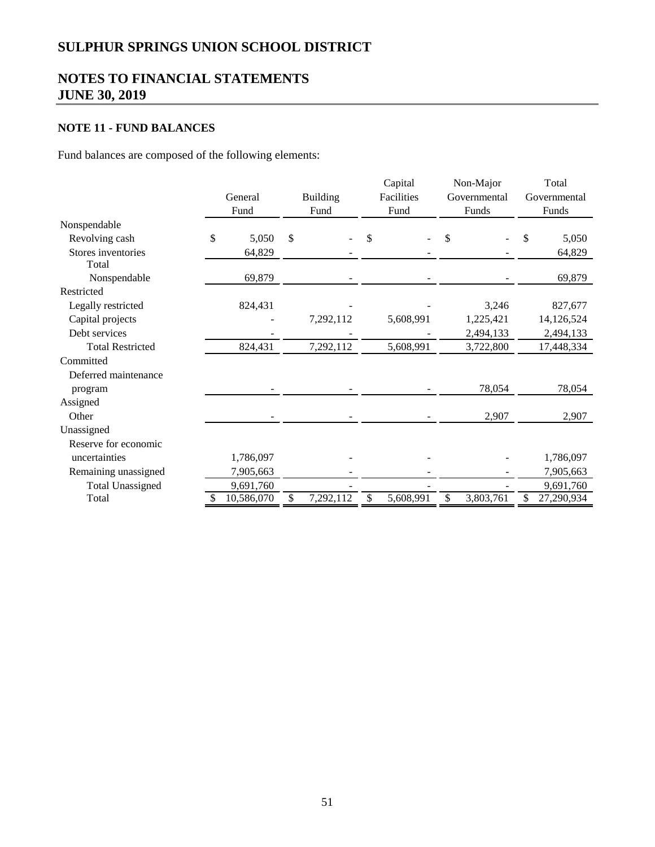# **NOTES TO FINANCIAL STATEMENTS JUNE 30, 2019**

## **NOTE 11 - FUND BALANCES**

Fund balances are composed of the following elements:

|                         |                  |                 | Capital         | Non-Major       | Total            |
|-------------------------|------------------|-----------------|-----------------|-----------------|------------------|
|                         | General          | <b>Building</b> | Facilities      | Governmental    | Governmental     |
|                         | Fund             | Fund            | Fund            | Funds           | Funds            |
| Nonspendable            |                  |                 |                 |                 |                  |
| Revolving cash          | \$<br>5,050      | \$              | \$              | \$              | \$<br>5,050      |
| Stores inventories      | 64,829           |                 |                 |                 | 64,829           |
| Total                   |                  |                 |                 |                 |                  |
| Nonspendable            | 69,879           |                 |                 |                 | 69,879           |
| Restricted              |                  |                 |                 |                 |                  |
| Legally restricted      | 824,431          |                 |                 | 3,246           | 827,677          |
| Capital projects        |                  | 7,292,112       | 5,608,991       | 1,225,421       | 14,126,524       |
| Debt services           |                  |                 |                 | 2,494,133       | 2,494,133        |
| <b>Total Restricted</b> | 824,431          | 7,292,112       | 5,608,991       | 3,722,800       | 17,448,334       |
| Committed               |                  |                 |                 |                 |                  |
| Deferred maintenance    |                  |                 |                 |                 |                  |
| program                 |                  |                 |                 | 78,054          | 78,054           |
| Assigned                |                  |                 |                 |                 |                  |
| Other                   |                  |                 |                 | 2,907           | 2,907            |
| Unassigned              |                  |                 |                 |                 |                  |
| Reserve for economic    |                  |                 |                 |                 |                  |
| uncertainties           | 1,786,097        |                 |                 |                 | 1,786,097        |
| Remaining unassigned    | 7,905,663        |                 |                 |                 | 7,905,663        |
| <b>Total Unassigned</b> | 9,691,760        |                 |                 |                 | 9,691,760        |
| Total                   | \$<br>10,586,070 | \$<br>7,292,112 | \$<br>5,608,991 | \$<br>3,803,761 | \$<br>27,290,934 |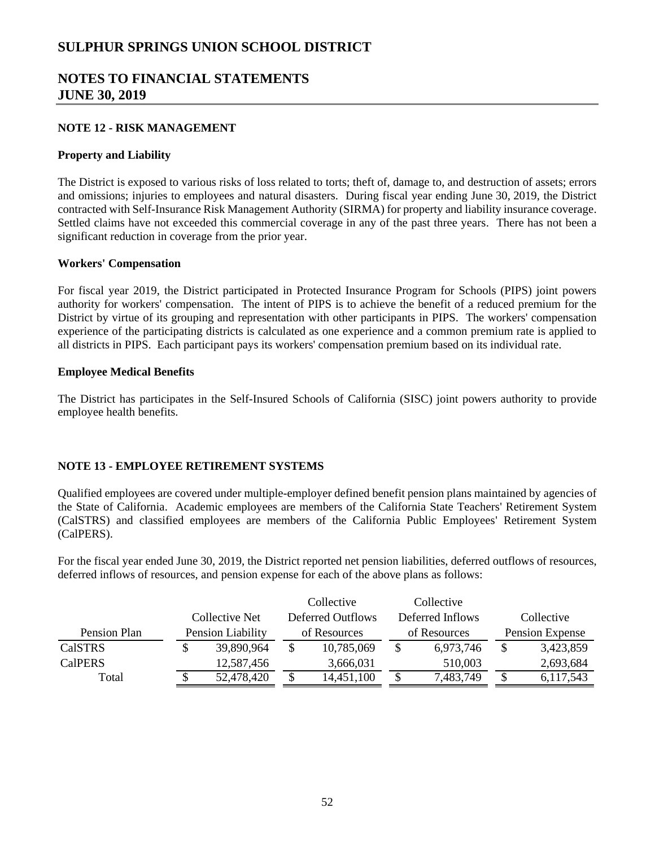## **NOTES TO FINANCIAL STATEMENTS JUNE 30, 2019**

### **NOTE 12 - RISK MANAGEMENT**

### **Property and Liability**

The District is exposed to various risks of loss related to torts; theft of, damage to, and destruction of assets; errors and omissions; injuries to employees and natural disasters. During fiscal year ending June 30, 2019, the District contracted with Self-Insurance Risk Management Authority (SIRMA) for property and liability insurance coverage. Settled claims have not exceeded this commercial coverage in any of the past three years. There has not been a significant reduction in coverage from the prior year.

### **Workers' Compensation**

For fiscal year 2019, the District participated in Protected Insurance Program for Schools (PIPS) joint powers authority for workers' compensation. The intent of PIPS is to achieve the benefit of a reduced premium for the District by virtue of its grouping and representation with other participants in PIPS. The workers' compensation experience of the participating districts is calculated as one experience and a common premium rate is applied to all districts in PIPS. Each participant pays its workers' compensation premium based on its individual rate.

### **Employee Medical Benefits**

The District has participates in the Self-Insured Schools of California (SISC) joint powers authority to provide employee health benefits.

### **NOTE 13 - EMPLOYEE RETIREMENT SYSTEMS**

Qualified employees are covered under multiple-employer defined benefit pension plans maintained by agencies of the State of California. Academic employees are members of the California State Teachers' Retirement System (CalSTRS) and classified employees are members of the California Public Employees' Retirement System (CalPERS).

For the fiscal year ended June 30, 2019, the District reported net pension liabilities, deferred outflows of resources, deferred inflows of resources, and pension expense for each of the above plans as follows:

|                |                   | Collective   |                   | Collective |                  |                 |              |                 |
|----------------|-------------------|--------------|-------------------|------------|------------------|-----------------|--------------|-----------------|
|                | Collective Net    |              | Deferred Outflows |            | Deferred Inflows | Collective      |              |                 |
| Pension Plan   | Pension Liability | of Resources |                   |            |                  |                 | of Resources | Pension Expense |
| <b>CalSTRS</b> | 39,890,964        | S            | 10,785,069        | S          | 6,973,746        | \$<br>3,423,859 |              |                 |
| <b>CalPERS</b> | 12,587,456        |              | 3,666,031         |            | 510,003          | 2,693,684       |              |                 |
| Total          | 52,478,420        | \$           | 14,451,100        |            | 7,483,749        | \$<br>6,117,543 |              |                 |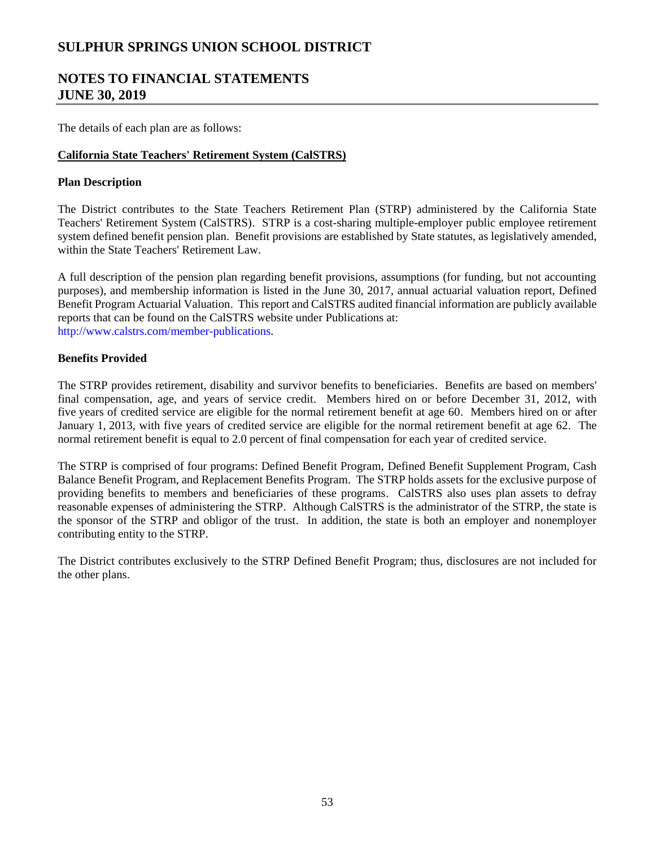## **NOTES TO FINANCIAL STATEMENTS JUNE 30, 2019**

The details of each plan are as follows:

### **California State Teachers' Retirement System (CalSTRS)**

### **Plan Description**

The District contributes to the State Teachers Retirement Plan (STRP) administered by the California State Teachers' Retirement System (CalSTRS). STRP is a cost-sharing multiple-employer public employee retirement system defined benefit pension plan. Benefit provisions are established by State statutes, as legislatively amended, within the State Teachers' Retirement Law.

A full description of the pension plan regarding benefit provisions, assumptions (for funding, but not accounting purposes), and membership information is listed in the June 30, 2017, annual actuarial valuation report, Defined Benefit Program Actuarial Valuation. This report and CalSTRS audited financial information are publicly available reports that can be found on the CalSTRS website under Publications at: [http://www.calstrs.com/member-publications.](http://www.calstrs.com/member-publications)

### **Benefits Provided**

The STRP provides retirement, disability and survivor benefits to beneficiaries. Benefits are based on members' final compensation, age, and years of service credit. Members hired on or before December 31, 2012, with five years of credited service are eligible for the normal retirement benefit at age 60. Members hired on or after January 1, 2013, with five years of credited service are eligible for the normal retirement benefit at age 62. The normal retirement benefit is equal to 2.0 percent of final compensation for each year of credited service.

The STRP is comprised of four programs: Defined Benefit Program, Defined Benefit Supplement Program, Cash Balance Benefit Program, and Replacement Benefits Program. The STRP holds assets for the exclusive purpose of providing benefits to members and beneficiaries of these programs. CalSTRS also uses plan assets to defray reasonable expenses of administering the STRP. Although CalSTRS is the administrator of the STRP, the state is the sponsor of the STRP and obligor of the trust. In addition, the state is both an employer and nonemployer contributing entity to the STRP.

The District contributes exclusively to the STRP Defined Benefit Program; thus, disclosures are not included for the other plans.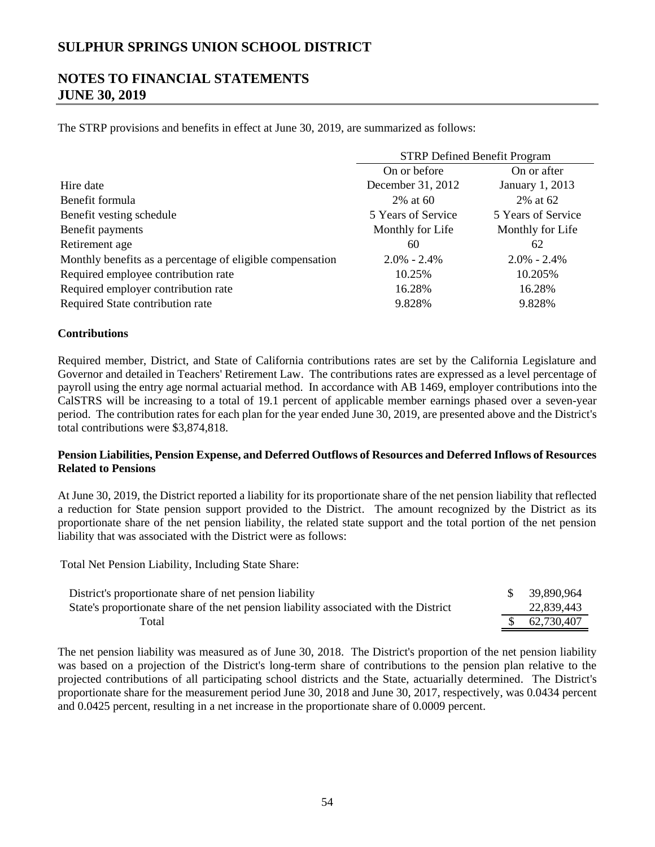# **NOTES TO FINANCIAL STATEMENTS JUNE 30, 2019**

The STRP provisions and benefits in effect at June 30, 2019, are summarized as follows:

|                                                           | <b>STRP Defined Benefit Program</b> |                        |  |
|-----------------------------------------------------------|-------------------------------------|------------------------|--|
|                                                           | On or before<br>On or after         |                        |  |
| Hire date                                                 | December 31, 2012                   | <b>January 1, 2013</b> |  |
| Benefit formula                                           | 2\% at $60$                         | 2% at 62               |  |
| Benefit vesting schedule                                  | 5 Years of Service                  | 5 Years of Service     |  |
| Benefit payments                                          | Monthly for Life                    | Monthly for Life       |  |
| Retirement age                                            | 60                                  | 62                     |  |
| Monthly benefits as a percentage of eligible compensation | $2.0\% - 2.4\%$                     | $2.0\% - 2.4\%$        |  |
| Required employee contribution rate                       | 10.25%                              | 10.205%                |  |
| Required employer contribution rate                       | 16.28%                              | 16.28%                 |  |
| Required State contribution rate                          | 9.828%                              | 9.828%                 |  |

## **Contributions**

Required member, District, and State of California contributions rates are set by the California Legislature and Governor and detailed in Teachers' Retirement Law. The contributions rates are expressed as a level percentage of payroll using the entry age normal actuarial method. In accordance with AB 1469, employer contributions into the CalSTRS will be increasing to a total of 19.1 percent of applicable member earnings phased over a seven-year period. The contribution rates for each plan for the year ended June 30, 2019, are presented above and the District's total contributions were \$3,874,818.

### **Pension Liabilities, Pension Expense, and Deferred Outflows of Resources and Deferred Inflows of Resources Related to Pensions**

At June 30, 2019, the District reported a liability for its proportionate share of the net pension liability that reflected a reduction for State pension support provided to the District. The amount recognized by the District as its proportionate share of the net pension liability, the related state support and the total portion of the net pension liability that was associated with the District were as follows:

Total Net Pension Liability, Including State Share:

| District's proportionate share of net pension liability                               | \$ 39,890,964 |
|---------------------------------------------------------------------------------------|---------------|
| State's proportionate share of the net pension liability associated with the District | 22,839,443    |
| Total                                                                                 | \$62,730,407  |

The net pension liability was measured as of June 30, 2018. The District's proportion of the net pension liability was based on a projection of the District's long-term share of contributions to the pension plan relative to the projected contributions of all participating school districts and the State, actuarially determined. The District's proportionate share for the measurement period June 30, 2018 and June 30, 2017, respectively, was 0.0434 percent and 0.0425 percent, resulting in a net increase in the proportionate share of 0.0009 percent.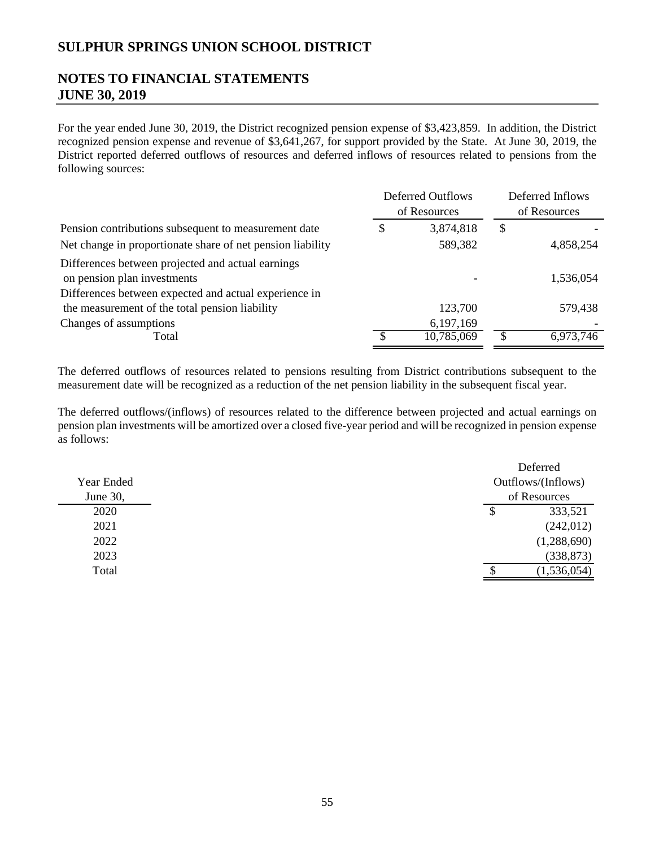# **NOTES TO FINANCIAL STATEMENTS JUNE 30, 2019**

For the year ended June 30, 2019, the District recognized pension expense of \$3,423,859. In addition, the District recognized pension expense and revenue of \$3,641,267, for support provided by the State. At June 30, 2019, the District reported deferred outflows of resources and deferred inflows of resources related to pensions from the following sources:

|                                                            | Deferred Outflows<br>of Resources |            | Deferred Inflows<br>of Resources |           |
|------------------------------------------------------------|-----------------------------------|------------|----------------------------------|-----------|
| Pension contributions subsequent to measurement date       | \$                                | 3,874,818  | \$                               |           |
| Net change in proportionate share of net pension liability |                                   | 589,382    |                                  | 4,858,254 |
| Differences between projected and actual earnings          |                                   |            |                                  |           |
| on pension plan investments                                |                                   |            |                                  | 1,536,054 |
| Differences between expected and actual experience in      |                                   |            |                                  |           |
| the measurement of the total pension liability             |                                   | 123,700    |                                  | 579,438   |
| Changes of assumptions                                     |                                   | 6,197,169  |                                  |           |
| Total                                                      |                                   | 10,785,069 |                                  | 6,973,746 |

The deferred outflows of resources related to pensions resulting from District contributions subsequent to the measurement date will be recognized as a reduction of the net pension liability in the subsequent fiscal year.

The deferred outflows/(inflows) of resources related to the difference between projected and actual earnings on pension plan investments will be amortized over a closed five-year period and will be recognized in pension expense as follows:

|            | Deferred           |
|------------|--------------------|
| Year Ended | Outflows/(Inflows) |
| June 30,   | of Resources       |
| 2020       | 333,521<br>\$      |
| 2021       | (242,012)          |
| 2022       | (1,288,690)        |
| 2023       | (338, 873)         |
| Total      | (1,536,054)        |
|            |                    |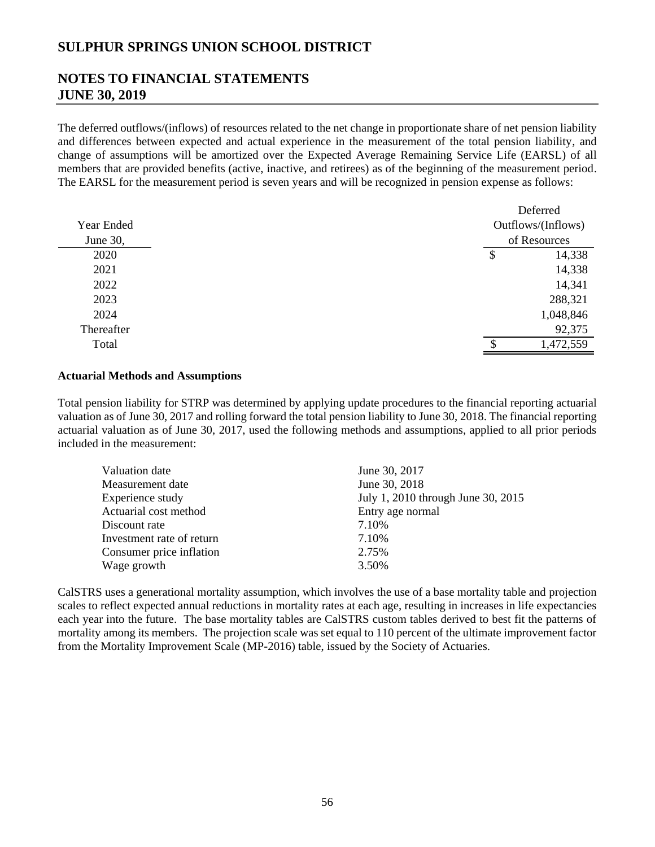# **NOTES TO FINANCIAL STATEMENTS JUNE 30, 2019**

The deferred outflows/(inflows) of resources related to the net change in proportionate share of net pension liability and differences between expected and actual experience in the measurement of the total pension liability, and change of assumptions will be amortized over the Expected Average Remaining Service Life (EARSL) of all members that are provided benefits (active, inactive, and retirees) as of the beginning of the measurement period. The EARSL for the measurement period is seven years and will be recognized in pension expense as follows:

|            | Deferred           |
|------------|--------------------|
| Year Ended | Outflows/(Inflows) |
| June 30,   | of Resources       |
| 2020       | 14,338<br>\$       |
| 2021       | 14,338             |
| 2022       | 14,341             |
| 2023       | 288,321            |
| 2024       | 1,048,846          |
| Thereafter | 92,375             |
| Total      | 1,472,559          |
|            |                    |

## **Actuarial Methods and Assumptions**

Total pension liability for STRP was determined by applying update procedures to the financial reporting actuarial valuation as of June 30, 2017 and rolling forward the total pension liability to June 30, 2018. The financial reporting actuarial valuation as of June 30, 2017, used the following methods and assumptions, applied to all prior periods included in the measurement:

| Valuation date            | June 30, 2017                      |
|---------------------------|------------------------------------|
| Measurement date          | June 30, 2018                      |
| Experience study          | July 1, 2010 through June 30, 2015 |
| Actuarial cost method     | Entry age normal                   |
| Discount rate             | 7.10%                              |
| Investment rate of return | 7.10%                              |
| Consumer price inflation  | 2.75%                              |
| Wage growth               | 3.50%                              |

CalSTRS uses a generational mortality assumption, which involves the use of a base mortality table and projection scales to reflect expected annual reductions in mortality rates at each age, resulting in increases in life expectancies each year into the future. The base mortality tables are CalSTRS custom tables derived to best fit the patterns of mortality among its members. The projection scale was set equal to 110 percent of the ultimate improvement factor from the Mortality Improvement Scale (MP-2016) table, issued by the Society of Actuaries.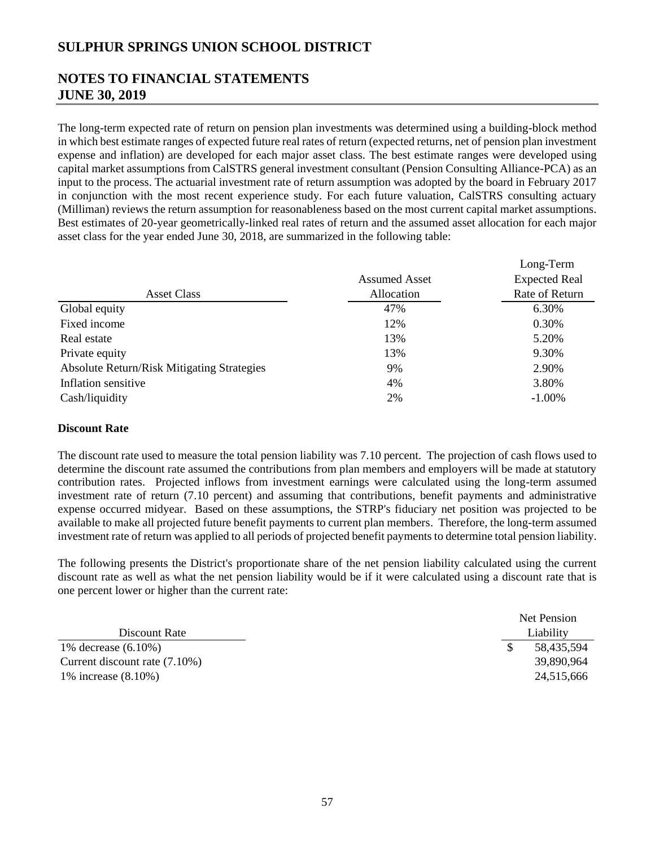# **NOTES TO FINANCIAL STATEMENTS JUNE 30, 2019**

The long-term expected rate of return on pension plan investments was determined using a building-block method in which best estimate ranges of expected future real rates of return (expected returns, net of pension plan investment expense and inflation) are developed for each major asset class. The best estimate ranges were developed using capital market assumptions from CalSTRS general investment consultant (Pension Consulting Alliance-PCA) as an input to the process. The actuarial investment rate of return assumption was adopted by the board in February 2017 in conjunction with the most recent experience study. For each future valuation, CalSTRS consulting actuary (Milliman) reviews the return assumption for reasonableness based on the most current capital market assumptions. Best estimates of 20-year geometrically-linked real rates of return and the assumed asset allocation for each major asset class for the year ended June 30, 2018, are summarized in the following table:

|                                                   |                      | Long-Term            |
|---------------------------------------------------|----------------------|----------------------|
|                                                   | <b>Assumed Asset</b> | <b>Expected Real</b> |
| Asset Class                                       | Allocation           | Rate of Return       |
| Global equity                                     | 47%                  | 6.30%                |
| Fixed income                                      | 12%                  | 0.30%                |
| Real estate                                       | 13%                  | 5.20%                |
| Private equity                                    | 13%                  | 9.30%                |
| <b>Absolute Return/Risk Mitigating Strategies</b> | 9%                   | 2.90%                |
| Inflation sensitive                               | 4%                   | 3.80%                |
| Cash/liquidity                                    | 2%                   | $-1.00\%$            |

### **Discount Rate**

The discount rate used to measure the total pension liability was 7.10 percent. The projection of cash flows used to determine the discount rate assumed the contributions from plan members and employers will be made at statutory contribution rates. Projected inflows from investment earnings were calculated using the long-term assumed investment rate of return (7.10 percent) and assuming that contributions, benefit payments and administrative expense occurred midyear. Based on these assumptions, the STRP's fiduciary net position was projected to be available to make all projected future benefit payments to current plan members. Therefore, the long-term assumed investment rate of return was applied to all periods of projected benefit payments to determine total pension liability.

The following presents the District's proportionate share of the net pension liability calculated using the current discount rate as well as what the net pension liability would be if it were calculated using a discount rate that is one percent lower or higher than the current rate:

|                               | Net Pension |            |
|-------------------------------|-------------|------------|
| Discount Rate                 |             | Liability  |
| 1% decrease $(6.10\%)$        |             | 58,435,594 |
| Current discount rate (7.10%) |             | 39,890,964 |
| 1% increase $(8.10\%)$        |             | 24,515,666 |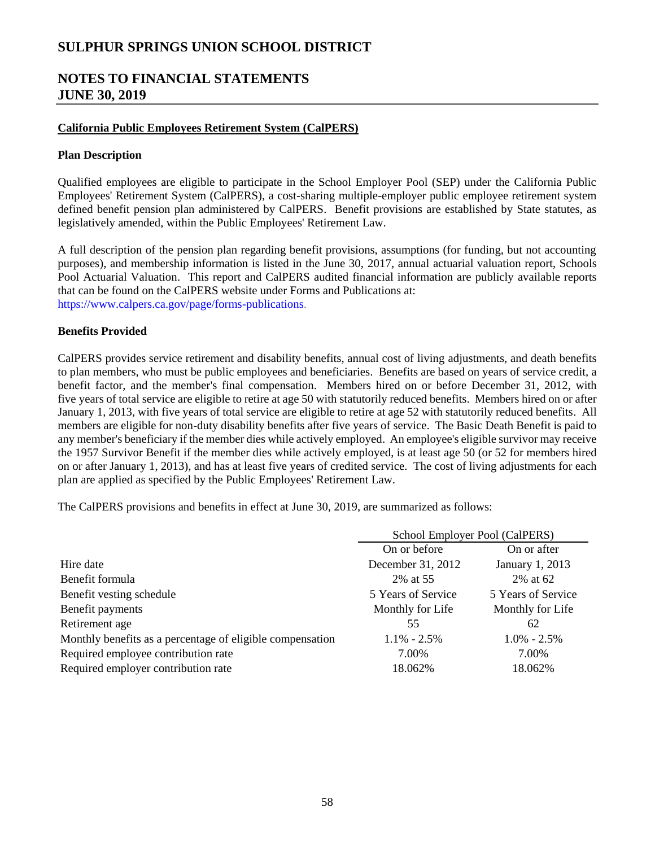## **NOTES TO FINANCIAL STATEMENTS JUNE 30, 2019**

### **California Public Employees Retirement System (CalPERS)**

#### **Plan Description**

Qualified employees are eligible to participate in the School Employer Pool (SEP) under the California Public Employees' Retirement System (CalPERS), a cost-sharing multiple-employer public employee retirement system defined benefit pension plan administered by CalPERS. Benefit provisions are established by State statutes, as legislatively amended, within the Public Employees' Retirement Law.

A full description of the pension plan regarding benefit provisions, assumptions (for funding, but not accounting purposes), and membership information is listed in the June 30, 2017, annual actuarial valuation report, Schools Pool Actuarial Valuation. This report and CalPERS audited financial information are publicly available reports that can be found on the CalPERS website under Forms and Publications at: [https://www.calpers.ca.gov/page/forms-publications.](https://www.calpers.ca.gov/page/forms-publications)

### **Benefits Provided**

CalPERS provides service retirement and disability benefits, annual cost of living adjustments, and death benefits to plan members, who must be public employees and beneficiaries. Benefits are based on years of service credit, a benefit factor, and the member's final compensation. Members hired on or before December 31, 2012, with five years of total service are eligible to retire at age 50 with statutorily reduced benefits. Members hired on or after January 1, 2013, with five years of total service are eligible to retire at age 52 with statutorily reduced benefits. All members are eligible for non-duty disability benefits after five years of service. The Basic Death Benefit is paid to any member's beneficiary if the member dies while actively employed. An employee's eligible survivor may receive the 1957 Survivor Benefit if the member dies while actively employed, is at least age 50 (or 52 for members hired on or after January 1, 2013), and has at least five years of credited service. The cost of living adjustments for each plan are applied as specified by the Public Employees' Retirement Law.

The CalPERS provisions and benefits in effect at June 30, 2019, are summarized as follows:

|                                                           | School Employer Pool (CalPERS) |                    |  |
|-----------------------------------------------------------|--------------------------------|--------------------|--|
|                                                           | On or before                   | On or after        |  |
| Hire date                                                 | December 31, 2012              | January 1, 2013    |  |
| Benefit formula                                           | 2% at 55                       | 2% at 62           |  |
| Benefit vesting schedule                                  | 5 Years of Service             | 5 Years of Service |  |
| Benefit payments                                          | Monthly for Life               | Monthly for Life   |  |
| Retirement age                                            | 55                             | 62                 |  |
| Monthly benefits as a percentage of eligible compensation | $1.1\% - 2.5\%$                | $1.0\% - 2.5\%$    |  |
| Required employee contribution rate                       | 7.00%                          | 7.00%              |  |
| Required employer contribution rate                       | 18.062%                        | 18.062%            |  |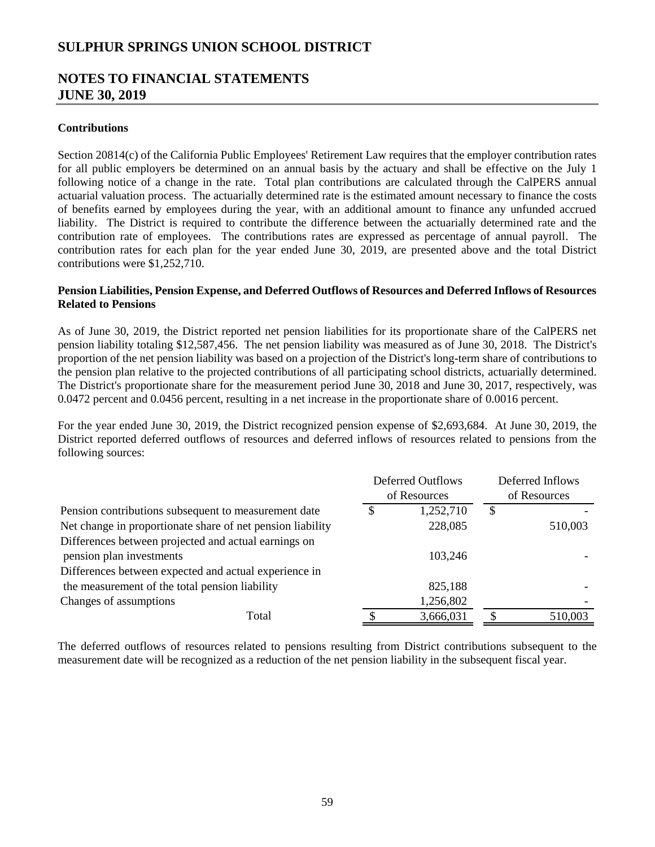# **NOTES TO FINANCIAL STATEMENTS JUNE 30, 2019**

### **Contributions**

Section 20814(c) of the California Public Employees' Retirement Law requires that the employer contribution rates for all public employers be determined on an annual basis by the actuary and shall be effective on the July 1 following notice of a change in the rate. Total plan contributions are calculated through the CalPERS annual actuarial valuation process. The actuarially determined rate is the estimated amount necessary to finance the costs of benefits earned by employees during the year, with an additional amount to finance any unfunded accrued liability. The District is required to contribute the difference between the actuarially determined rate and the contribution rate of employees. The contributions rates are expressed as percentage of annual payroll. The contribution rates for each plan for the year ended June 30, 2019, are presented above and the total District contributions were \$1,252,710.

### **Pension Liabilities, Pension Expense, and Deferred Outflows of Resources and Deferred Inflows of Resources Related to Pensions**

As of June 30, 2019, the District reported net pension liabilities for its proportionate share of the CalPERS net pension liability totaling \$12,587,456. The net pension liability was measured as of June 30, 2018. The District's proportion of the net pension liability was based on a projection of the District's long-term share of contributions to the pension plan relative to the projected contributions of all participating school districts, actuarially determined. The District's proportionate share for the measurement period June 30, 2018 and June 30, 2017, respectively, was 0.0472 percent and 0.0456 percent, resulting in a net increase in the proportionate share of 0.0016 percent.

For the year ended June 30, 2019, the District recognized pension expense of \$2,693,684. At June 30, 2019, the District reported deferred outflows of resources and deferred inflows of resources related to pensions from the following sources:

|                                                            | <b>Deferred Outflows</b><br>of Resources |           | Deferred Inflows<br>of Resources |         |
|------------------------------------------------------------|------------------------------------------|-----------|----------------------------------|---------|
|                                                            |                                          |           |                                  |         |
| Pension contributions subsequent to measurement date       | S                                        | 1,252,710 | \$                               |         |
| Net change in proportionate share of net pension liability |                                          | 228,085   |                                  | 510,003 |
| Differences between projected and actual earnings on       |                                          |           |                                  |         |
| pension plan investments                                   |                                          | 103,246   |                                  |         |
| Differences between expected and actual experience in      |                                          |           |                                  |         |
| the measurement of the total pension liability             |                                          | 825,188   |                                  |         |
| Changes of assumptions                                     |                                          | 1,256,802 |                                  |         |
| Total                                                      |                                          | 3,666,031 |                                  | 510,003 |

The deferred outflows of resources related to pensions resulting from District contributions subsequent to the measurement date will be recognized as a reduction of the net pension liability in the subsequent fiscal year.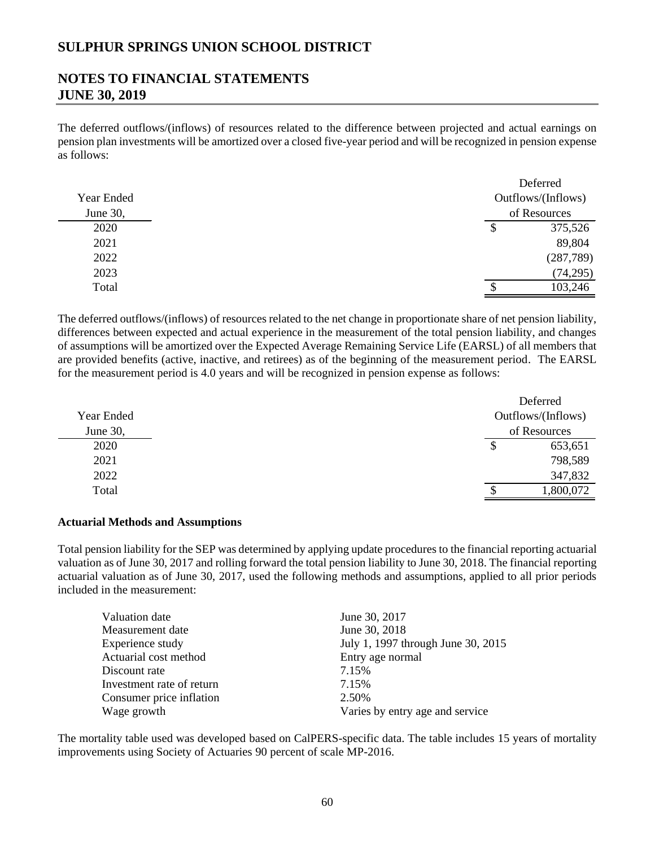## **NOTES TO FINANCIAL STATEMENTS JUNE 30, 2019**

The deferred outflows/(inflows) of resources related to the difference between projected and actual earnings on pension plan investments will be amortized over a closed five-year period and will be recognized in pension expense as follows:

|            | Deferred           |  |
|------------|--------------------|--|
| Year Ended | Outflows/(Inflows) |  |
| June 30,   | of Resources       |  |
| 2020       | 375,526<br>\$      |  |
| 2021       | 89,804             |  |
| 2022       | (287, 789)         |  |
| 2023       | (74,295)           |  |
| Total      | 103,246<br>S       |  |

The deferred outflows/(inflows) of resources related to the net change in proportionate share of net pension liability, differences between expected and actual experience in the measurement of the total pension liability, and changes of assumptions will be amortized over the Expected Average Remaining Service Life (EARSL) of all members that are provided benefits (active, inactive, and retirees) as of the beginning of the measurement period. The EARSL for the measurement period is 4.0 years and will be recognized in pension expense as follows:

|            | Deferred       |                    |  |  |
|------------|----------------|--------------------|--|--|
| Year Ended |                | Outflows/(Inflows) |  |  |
| June 30,   | of Resources   |                    |  |  |
| 2020       | 653,651<br>\$  |                    |  |  |
| 2021       | 798,589        |                    |  |  |
| 2022       | 347,832        |                    |  |  |
| Total      | 1,800,072<br>S |                    |  |  |
|            |                |                    |  |  |

### **Actuarial Methods and Assumptions**

Total pension liability for the SEP was determined by applying update procedures to the financial reporting actuarial valuation as of June 30, 2017 and rolling forward the total pension liability to June 30, 2018. The financial reporting actuarial valuation as of June 30, 2017, used the following methods and assumptions, applied to all prior periods included in the measurement:

| Valuation date            | June 30, 2017                      |
|---------------------------|------------------------------------|
| Measurement date          | June 30, 2018                      |
| Experience study          | July 1, 1997 through June 30, 2015 |
| Actuarial cost method     | Entry age normal                   |
| Discount rate             | 7.15%                              |
| Investment rate of return | 7.15%                              |
| Consumer price inflation  | 2.50%                              |
| Wage growth               | Varies by entry age and service    |

The mortality table used was developed based on CalPERS-specific data. The table includes 15 years of mortality improvements using Society of Actuaries 90 percent of scale MP-2016.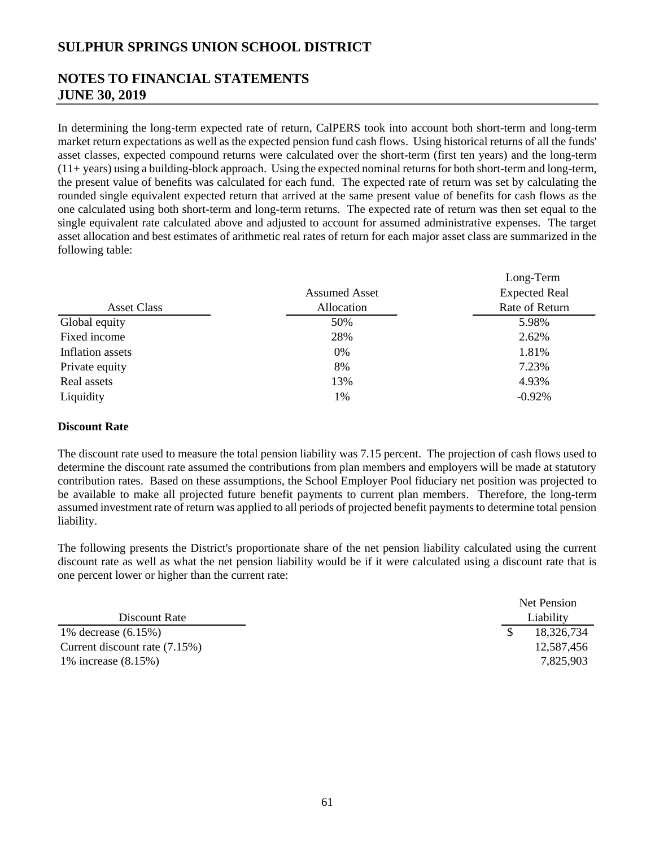## **NOTES TO FINANCIAL STATEMENTS JUNE 30, 2019**

In determining the long-term expected rate of return, CalPERS took into account both short-term and long-term market return expectations as well as the expected pension fund cash flows. Using historical returns of all the funds' asset classes, expected compound returns were calculated over the short-term (first ten years) and the long-term  $(11 + \text{years})$  using a building-block approach. Using the expected nominal returns for both short-term and long-term, the present value of benefits was calculated for each fund. The expected rate of return was set by calculating the rounded single equivalent expected return that arrived at the same present value of benefits for cash flows as the one calculated using both short-term and long-term returns. The expected rate of return was then set equal to the single equivalent rate calculated above and adjusted to account for assumed administrative expenses. The target asset allocation and best estimates of arithmetic real rates of return for each major asset class are summarized in the following table:

|                    |                      | Long-Term            |
|--------------------|----------------------|----------------------|
|                    | <b>Assumed Asset</b> | <b>Expected Real</b> |
| <b>Asset Class</b> | Allocation           | Rate of Return       |
| Global equity      | 50%                  | 5.98%                |
| Fixed income       | 28%                  | 2.62%                |
| Inflation assets   | 0%                   | 1.81%                |
| Private equity     | 8%                   | 7.23%                |
| Real assets        | 13%                  | 4.93%                |
| Liquidity          | 1%                   | $-0.92%$             |

## **Discount Rate**

The discount rate used to measure the total pension liability was 7.15 percent. The projection of cash flows used to determine the discount rate assumed the contributions from plan members and employers will be made at statutory contribution rates. Based on these assumptions, the School Employer Pool fiduciary net position was projected to be available to make all projected future benefit payments to current plan members. Therefore, the long-term assumed investment rate of return was applied to all periods of projected benefit payments to determine total pension liability.

The following presents the District's proportionate share of the net pension liability calculated using the current discount rate as well as what the net pension liability would be if it were calculated using a discount rate that is one percent lower or higher than the current rate:

 $\mathbf{v}$   $\mathbf{v}$ 

|                               | Net Pension |
|-------------------------------|-------------|
| Discount Rate                 | Liability   |
| 1\% decrease $(6.15\%)$       | 18,326,734  |
| Current discount rate (7.15%) | 12.587.456  |
| 1\% increase $(8.15\%)$       | 7.825.903   |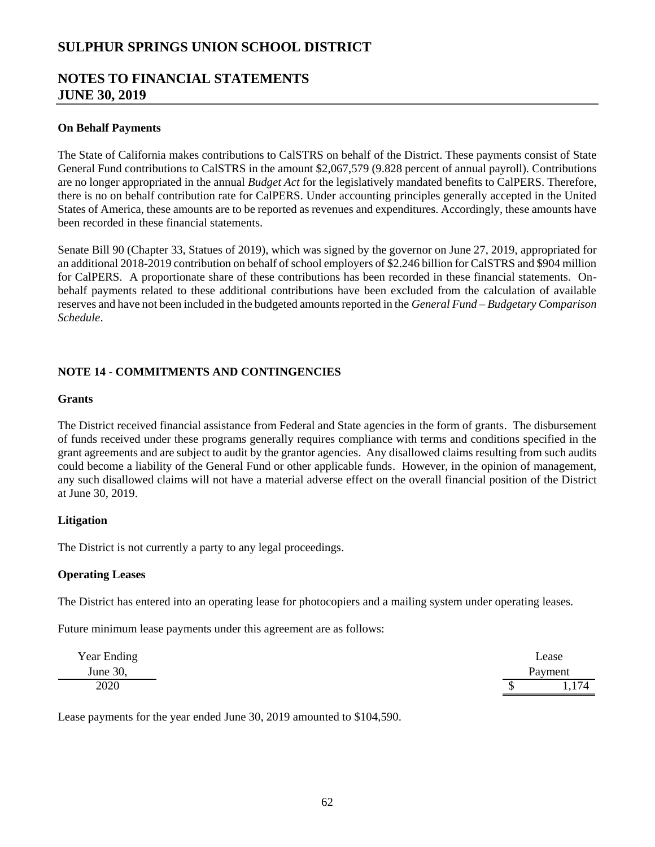## **NOTES TO FINANCIAL STATEMENTS JUNE 30, 2019**

### **On Behalf Payments**

The State of California makes contributions to CalSTRS on behalf of the District. These payments consist of State General Fund contributions to CalSTRS in the amount \$2,067,579 (9.828 percent of annual payroll). Contributions are no longer appropriated in the annual *Budget Act* for the legislatively mandated benefits to CalPERS. Therefore, there is no on behalf contribution rate for CalPERS. Under accounting principles generally accepted in the United States of America, these amounts are to be reported as revenues and expenditures. Accordingly, these amounts have been recorded in these financial statements.

Senate Bill 90 (Chapter 33, Statues of 2019), which was signed by the governor on June 27, 2019, appropriated for an additional 2018-2019 contribution on behalf of school employers of \$2.246 billion for CalSTRS and \$904 million for CalPERS. A proportionate share of these contributions has been recorded in these financial statements. Onbehalf payments related to these additional contributions have been excluded from the calculation of available reserves and have not been included in the budgeted amounts reported in the *General Fund – Budgetary Comparison Schedule*.

### **NOTE 14 - COMMITMENTS AND CONTINGENCIES**

#### **Grants**

The District received financial assistance from Federal and State agencies in the form of grants. The disbursement of funds received under these programs generally requires compliance with terms and conditions specified in the grant agreements and are subject to audit by the grantor agencies. Any disallowed claims resulting from such audits could become a liability of the General Fund or other applicable funds. However, in the opinion of management, any such disallowed claims will not have a material adverse effect on the overall financial position of the District at June 30, 2019.

### **Litigation**

The District is not currently a party to any legal proceedings.

#### **Operating Leases**

The District has entered into an operating lease for photocopiers and a mailing system under operating leases.

Future minimum lease payments under this agreement are as follows:

| Year Ending |  | Lease   |
|-------------|--|---------|
| June 30,    |  | Payment |
| 2020        |  | 1,174   |

Lease payments for the year ended June 30, 2019 amounted to \$104,590.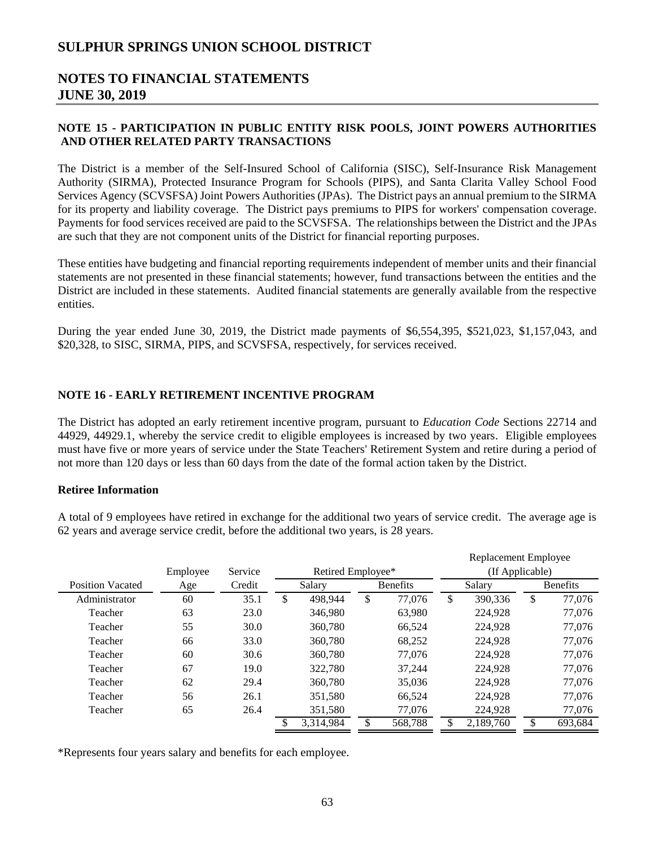## **NOTES TO FINANCIAL STATEMENTS JUNE 30, 2019**

## **NOTE 15 - PARTICIPATION IN PUBLIC ENTITY RISK POOLS, JOINT POWERS AUTHORITIES AND OTHER RELATED PARTY TRANSACTIONS**

The District is a member of the Self-Insured School of California (SISC), Self-Insurance Risk Management Authority (SIRMA), Protected Insurance Program for Schools (PIPS), and Santa Clarita Valley School Food Services Agency (SCVSFSA) Joint Powers Authorities (JPAs). The District pays an annual premium to the SIRMA for its property and liability coverage. The District pays premiums to PIPS for workers' compensation coverage. Payments for food services received are paid to the SCVSFSA. The relationships between the District and the JPAs are such that they are not component units of the District for financial reporting purposes.

These entities have budgeting and financial reporting requirements independent of member units and their financial statements are not presented in these financial statements; however, fund transactions between the entities and the District are included in these statements. Audited financial statements are generally available from the respective entities.

During the year ended June 30, 2019, the District made payments of \$6,554,395, \$521,023, \$1,157,043, and \$20,328, to SISC, SIRMA, PIPS, and SCVSFSA, respectively, for services received.

### **NOTE 16 - EARLY RETIREMENT INCENTIVE PROGRAM**

The District has adopted an early retirement incentive program, pursuant to *Education Code* Sections 22714 and 44929, 44929.1, whereby the service credit to eligible employees is increased by two years. Eligible employees must have five or more years of service under the State Teachers' Retirement System and retire during a period of not more than 120 days or less than 60 days from the date of the formal action taken by the District.

#### **Retiree Information**

A total of 9 employees have retired in exchange for the additional two years of service credit. The average age is 62 years and average service credit, before the additional two years, is 28 years.

|                         |          |         |     |                   |                 | Replacement Employee |                 |
|-------------------------|----------|---------|-----|-------------------|-----------------|----------------------|-----------------|
|                         | Employee | Service |     | Retired Employee* |                 | (If Applicable)      |                 |
| <b>Position Vacated</b> | Age      | Credit  |     | Salary            | <b>Benefits</b> | Salary               | <b>Benefits</b> |
| Administrator           | 60       | 35.1    | \$  | 498.944           | \$<br>77,076    | \$<br>390.336        | \$<br>77,076    |
| Teacher                 | 63       | 23.0    |     | 346,980           | 63,980          | 224,928              | 77,076          |
| Teacher                 | 55       | 30.0    |     | 360,780           | 66,524          | 224,928              | 77,076          |
| Teacher                 | 66       | 33.0    |     | 360,780           | 68,252          | 224.928              | 77,076          |
| Teacher                 | 60       | 30.6    |     | 360,780           | 77,076          | 224.928              | 77,076          |
| Teacher                 | 67       | 19.0    |     | 322,780           | 37.244          | 224.928              | 77,076          |
| Teacher                 | 62       | 29.4    |     | 360,780           | 35,036          | 224.928              | 77,076          |
| Teacher                 | 56       | 26.1    |     | 351.580           | 66.524          | 224.928              | 77,076          |
| Teacher                 | 65       | 26.4    |     | 351,580           | 77,076          | 224,928              | 77,076          |
|                         |          |         | \$. | 3.314.984         | \$<br>568,788   | \$<br>2.189.760      | \$<br>693,684   |

\*Represents four years salary and benefits for each employee.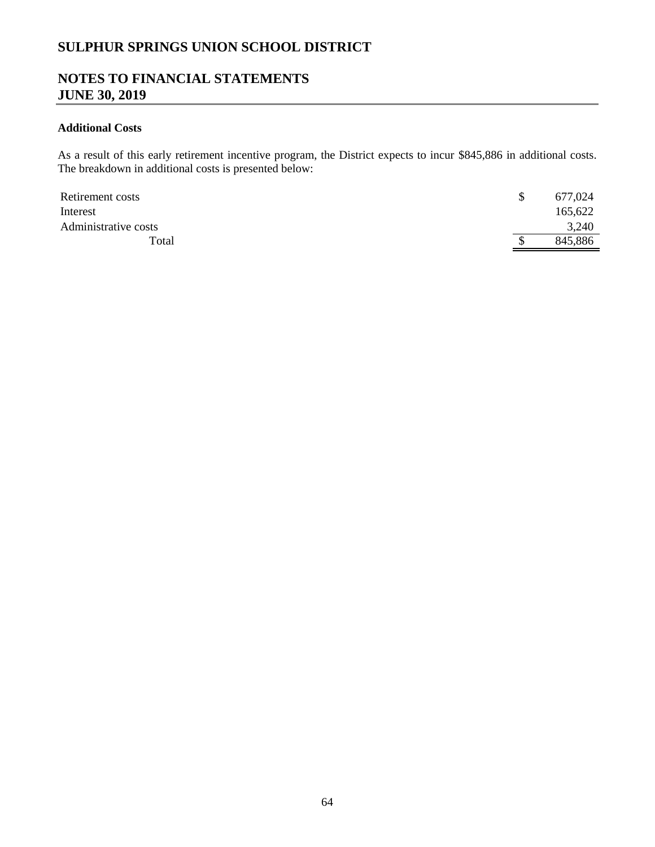# **NOTES TO FINANCIAL STATEMENTS JUNE 30, 2019**

## **Additional Costs**

As a result of this early retirement incentive program, the District expects to incur \$845,886 in additional costs. The breakdown in additional costs is presented below:

| Retirement costs     | 677,024 |
|----------------------|---------|
| Interest             | 165,622 |
| Administrative costs | 3,240   |
| Total                | 845,886 |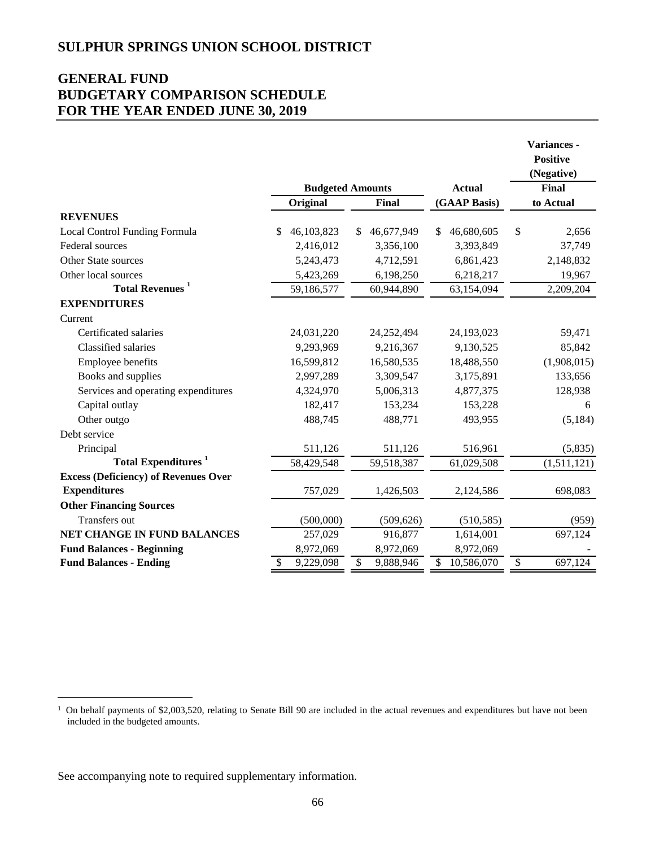# **GENERAL FUND BUDGETARY COMPARISON SCHEDULE FOR THE YEAR ENDED JUNE 30, 2019**

|                                             |                  |                         |                  | Variances -<br><b>Positive</b><br>(Negative) |
|---------------------------------------------|------------------|-------------------------|------------------|----------------------------------------------|
|                                             |                  | <b>Budgeted Amounts</b> | <b>Actual</b>    | Final                                        |
|                                             | Original         | Final                   | (GAAP Basis)     | to Actual                                    |
| <b>REVENUES</b>                             |                  |                         |                  |                                              |
| Local Control Funding Formula               | \$<br>46,103,823 | 46,677,949<br>\$        | \$<br>46,680,605 | \$<br>2,656                                  |
| Federal sources                             | 2,416,012        | 3,356,100               | 3,393,849        | 37,749                                       |
| Other State sources                         | 5,243,473        | 4,712,591               | 6,861,423        | 2,148,832                                    |
| Other local sources                         | 5,423,269        | 6,198,250               | 6,218,217        | 19,967                                       |
| <b>Total Revenues</b> <sup>1</sup>          | 59,186,577       | 60,944,890              | 63,154,094       | 2,209,204                                    |
| <b>EXPENDITURES</b>                         |                  |                         |                  |                                              |
| Current                                     |                  |                         |                  |                                              |
| Certificated salaries                       | 24,031,220       | 24,252,494              | 24,193,023       | 59,471                                       |
| Classified salaries                         | 9,293,969        | 9,216,367               | 9,130,525        | 85,842                                       |
| Employee benefits                           | 16,599,812       | 16,580,535              | 18,488,550       | (1,908,015)                                  |
| Books and supplies                          | 2,997,289        | 3,309,547               | 3,175,891        | 133,656                                      |
| Services and operating expenditures         | 4,324,970        | 5,006,313               | 4,877,375        | 128,938                                      |
| Capital outlay                              | 182,417          | 153,234                 | 153,228          | 6                                            |
| Other outgo                                 | 488,745          | 488,771                 | 493,955          | (5, 184)                                     |
| Debt service                                |                  |                         |                  |                                              |
| Principal                                   | 511,126          | 511,126                 | 516,961          | (5,835)                                      |
| Total Expenditures <sup>1</sup>             | 58,429,548       | 59,518,387              | 61,029,508       | (1,511,121)                                  |
| <b>Excess (Deficiency) of Revenues Over</b> |                  |                         |                  |                                              |
| <b>Expenditures</b>                         | 757,029          | 1,426,503               | 2,124,586        | 698,083                                      |
| <b>Other Financing Sources</b>              |                  |                         |                  |                                              |
| Transfers out                               | (500,000)        | (509, 626)              | (510, 585)       | (959)                                        |
| <b>NET CHANGE IN FUND BALANCES</b>          | 257,029          | 916,877                 | 1,614,001        | 697,124                                      |
| <b>Fund Balances - Beginning</b>            | 8,972,069        | 8,972,069               | 8,972,069        |                                              |
| <b>Fund Balances - Ending</b>               | 9,229,098<br>\$  | \$<br>9,888,946         | 10,586,070<br>\$ | \$<br>697,124                                |

See accompanying note to required supplementary information.

<sup>&</sup>lt;sup>1</sup> On behalf payments of \$2,003,520, relating to Senate Bill 90 are included in the actual revenues and expenditures but have not been included in the budgeted amounts.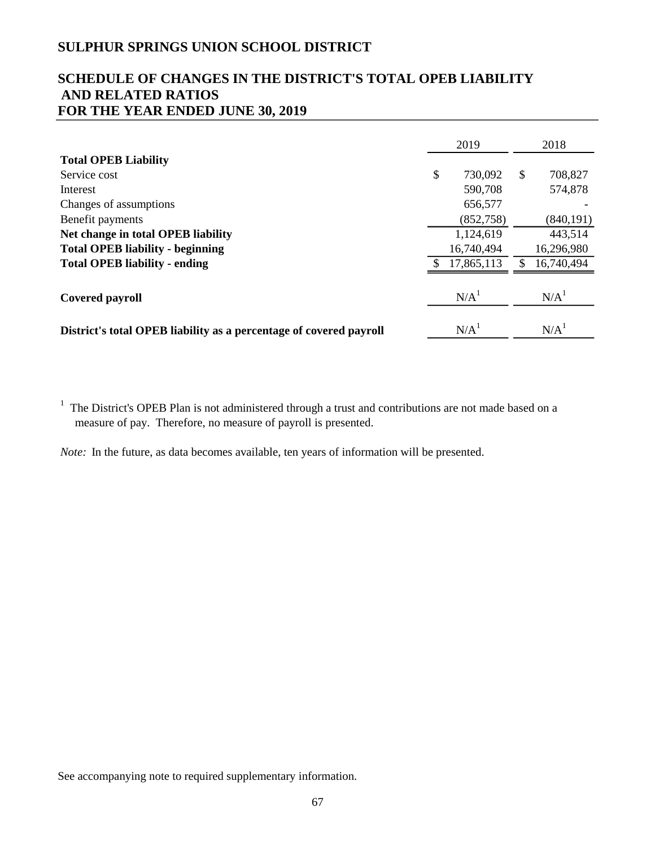# **SCHEDULE OF CHANGES IN THE DISTRICT'S TOTAL OPEB LIABILITY AND RELATED RATIOS FOR THE YEAR ENDED JUNE 30, 2019**

|                                                                    | 2019             |    | 2018             |
|--------------------------------------------------------------------|------------------|----|------------------|
| <b>Total OPEB Liability</b>                                        |                  |    |                  |
| Service cost                                                       | \$<br>730,092    | \$ | 708,827          |
| Interest                                                           | 590,708          |    | 574,878          |
| Changes of assumptions                                             | 656,577          |    |                  |
| Benefit payments                                                   | (852,758)        |    | (840, 191)       |
| Net change in total OPEB liability                                 | 1,124,619        |    | 443,514          |
| <b>Total OPEB liability - beginning</b>                            | 16,740,494       |    | 16,296,980       |
| <b>Total OPEB liability - ending</b>                               | 17,865,113       | \$ | 16,740,494       |
| <b>Covered payroll</b>                                             | N/A <sup>1</sup> |    | N/A <sup>1</sup> |
| District's total OPEB liability as a percentage of covered payroll | N/A <sup>1</sup> |    | N/A <sup>1</sup> |

<sup>1</sup> The District's OPEB Plan is not administered through a trust and contributions are not made based on a measure of pay. Therefore, no measure of payroll is presented.

*Note:* In the future, as data becomes available, ten years of information will be presented.

See accompanying note to required supplementary information.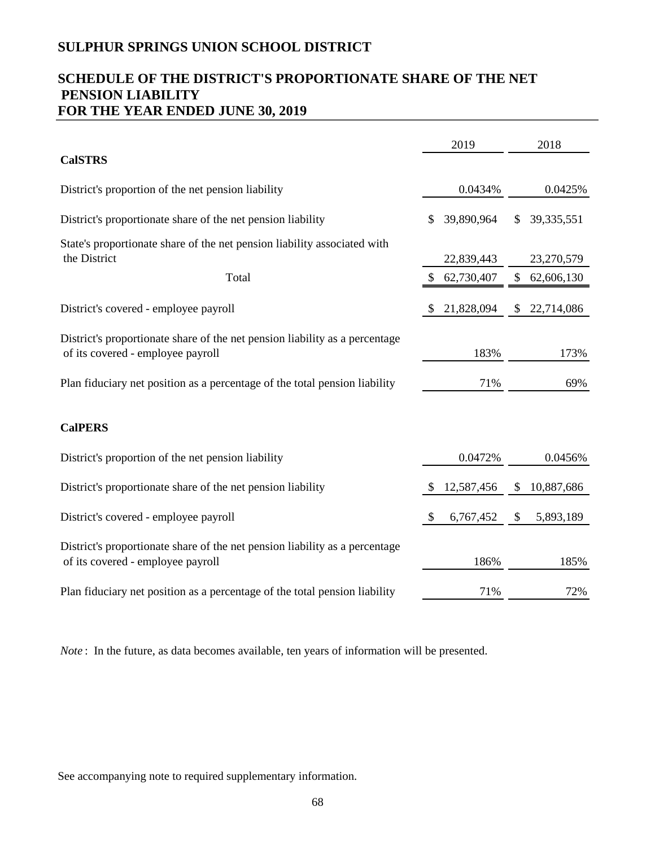# **SCHEDULE OF THE DISTRICT'S PROPORTIONATE SHARE OF THE NET PENSION LIABILITY FOR THE YEAR ENDED JUNE 30, 2019**

|                                                                                                                  | 2019                                     | 2018               |  |  |
|------------------------------------------------------------------------------------------------------------------|------------------------------------------|--------------------|--|--|
| <b>CalSTRS</b>                                                                                                   |                                          |                    |  |  |
| District's proportion of the net pension liability                                                               | 0.0434%                                  | 0.0425%            |  |  |
| District's proportionate share of the net pension liability                                                      | 39,890,964<br>\$                         | \$<br>39, 335, 551 |  |  |
| State's proportionate share of the net pension liability associated with<br>the District                         | 22,839,443                               | 23,270,579         |  |  |
| Total                                                                                                            | 62,730,407<br>$\mathcal{S}$              | \$<br>62,606,130   |  |  |
| District's covered - employee payroll                                                                            | 21,828,094<br>$\boldsymbol{\mathcal{S}}$ | \$<br>22,714,086   |  |  |
| District's proportionate share of the net pension liability as a percentage<br>of its covered - employee payroll | 183%                                     | 173%               |  |  |
| Plan fiduciary net position as a percentage of the total pension liability                                       | 71%                                      |                    |  |  |
| <b>CalPERS</b>                                                                                                   |                                          |                    |  |  |
| District's proportion of the net pension liability                                                               | 0.0472%                                  | 0.0456%            |  |  |
| District's proportionate share of the net pension liability                                                      | 12,587,456<br>-SS                        | 10,887,686<br>\$   |  |  |
| District's covered - employee payroll                                                                            | $\frac{1}{2}$<br>6,767,452               | 5,893,189<br>\$    |  |  |
| District's proportionate share of the net pension liability as a percentage<br>of its covered - employee payroll | 186%                                     | 185%               |  |  |
| Plan fiduciary net position as a percentage of the total pension liability                                       | 71%                                      | 72%                |  |  |

*Note* : In the future, as data becomes available, ten years of information will be presented.

See accompanying note to required supplementary information.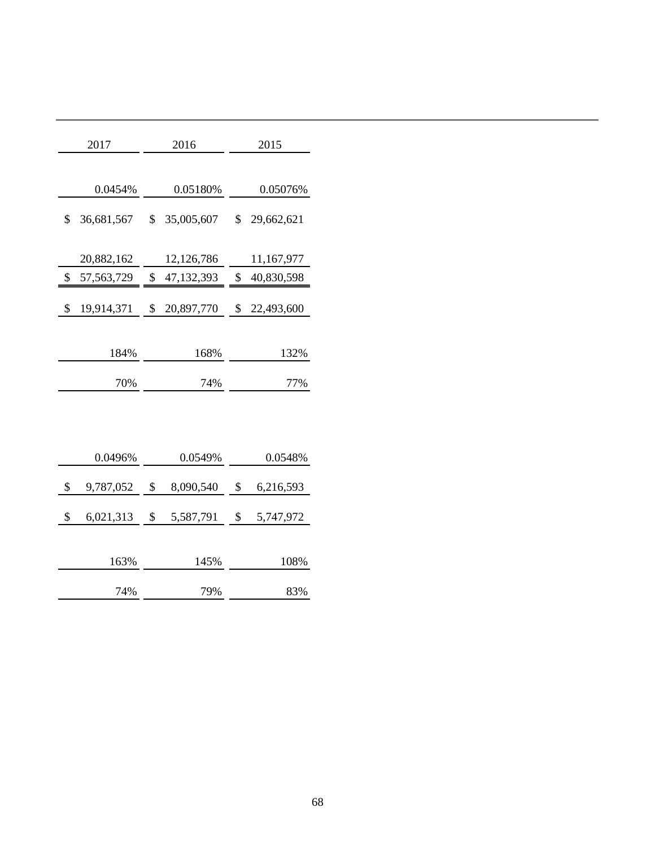|    | 2017         |              | 2016         |                | 2015       |
|----|--------------|--------------|--------------|----------------|------------|
|    |              |              |              |                |            |
|    | 0.0454%      |              | 0.05180%     |                | 0.05076%   |
| \$ | 36,681,567   | \$           | 35,005,607   | \$             | 29,662,621 |
|    | 20,882,162   |              | 12, 126, 786 |                | 11,167,977 |
| S  | 57, 563, 729 | $\mathbb{S}$ | 47,132,393   | $\mathbb{S}$   | 40,830,598 |
| \$ | 19,914,371   | \$           | 20,897,770   | $\mathbb{S}^-$ | 22,493,600 |
|    |              |              |              |                |            |
|    | 184%         |              | 168%         |                | 132%       |
|    | 70%          |              | 74%          |                | 77%        |

| 0.0496%         | 0.0549%         | 0.0548%         |
|-----------------|-----------------|-----------------|
| \$<br>9,787,052 | \$<br>8,090,540 | \$<br>6,216,593 |
|                 |                 |                 |
| \$<br>6,021,313 | \$<br>5,587,791 | \$<br>5,747,972 |
|                 |                 |                 |
|                 |                 |                 |
| 163%            | 145%            | 108%            |
|                 |                 |                 |
| 74%             | 79%             | 83%             |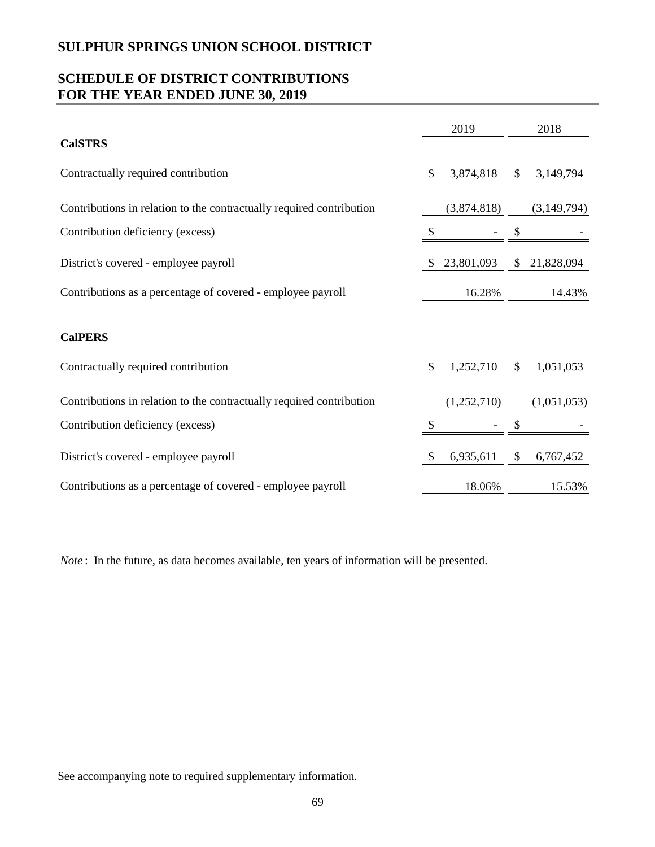# **SCHEDULE OF DISTRICT CONTRIBUTIONS FOR THE YEAR ENDED JUNE 30, 2019**

|                                                                      | 2019             |               | 2018        |
|----------------------------------------------------------------------|------------------|---------------|-------------|
| <b>CalSTRS</b>                                                       |                  |               |             |
| Contractually required contribution                                  | \$<br>3,874,818  | $\mathcal{S}$ | 3,149,794   |
| Contributions in relation to the contractually required contribution | (3,874,818)      |               | (3,149,794) |
| Contribution deficiency (excess)                                     |                  |               |             |
| District's covered - employee payroll                                | \$<br>23,801,093 | $\mathcal{L}$ | 21,828,094  |
| Contributions as a percentage of covered - employee payroll          | 16.28%           |               | 14.43%      |
| <b>CalPERS</b>                                                       |                  |               |             |
| Contractually required contribution                                  | \$<br>1,252,710  | $\mathcal{S}$ | 1,051,053   |
| Contributions in relation to the contractually required contribution | (1,252,710)      |               | (1,051,053) |
| Contribution deficiency (excess)                                     |                  |               |             |
| District's covered - employee payroll                                | \$<br>6,935,611  | \$            | 6,767,452   |
| Contributions as a percentage of covered - employee payroll          | 18.06%           |               | 15.53%      |

*Note* : In the future, as data becomes available, ten years of information will be presented.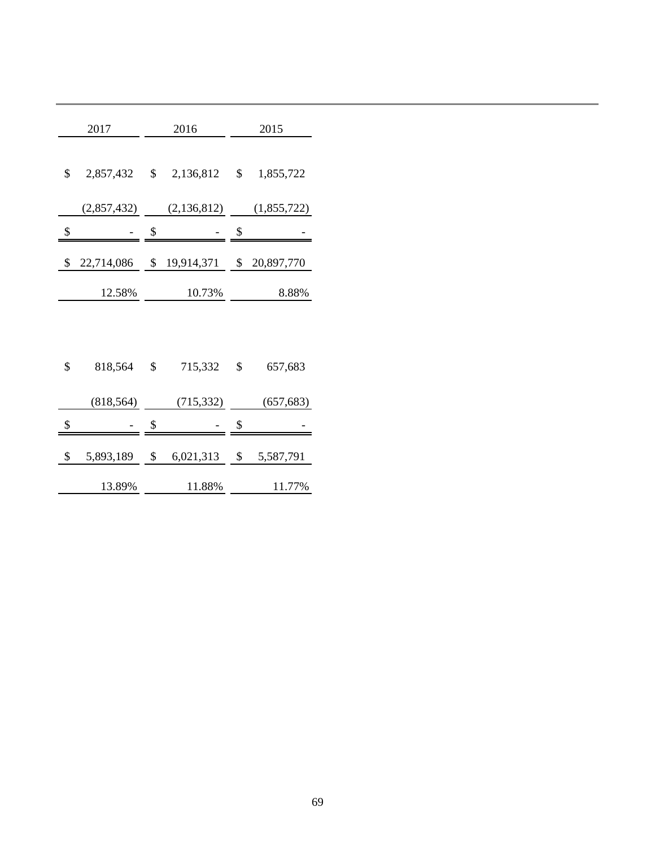|                            | 2017          | 2016                      | 2015        |
|----------------------------|---------------|---------------------------|-------------|
| \$                         |               | 2,857,432 \$ 2,136,812 \$ | 1,855,722   |
|                            | (2,857,432)   | (2,136,812)               | (1,855,722) |
| $\boldsymbol{\mathsf{\$}}$ | $-$ \$        | $-$ \$                    |             |
| \$                         | 22,714,086 \$ | 19,914,371 \$ 20,897,770  |             |
|                            | 12.58%        | 10.73%                    | 8.88%       |
|                            |               |                           |             |
| \$                         | 818,564 \$    | 715,332 \$                | 657,683     |
|                            | (818, 564)    | (715, 332)                | (657, 683)  |
| $\boldsymbol{\mathsf{\$}}$ | - \$          | $-$ \$                    |             |
| $\boldsymbol{\mathsf{S}}$  | 5,893,189 \$  | $6,021,313$ \$            | 5,587,791   |
|                            | 13.89%        | 11.88%                    | 11.77%      |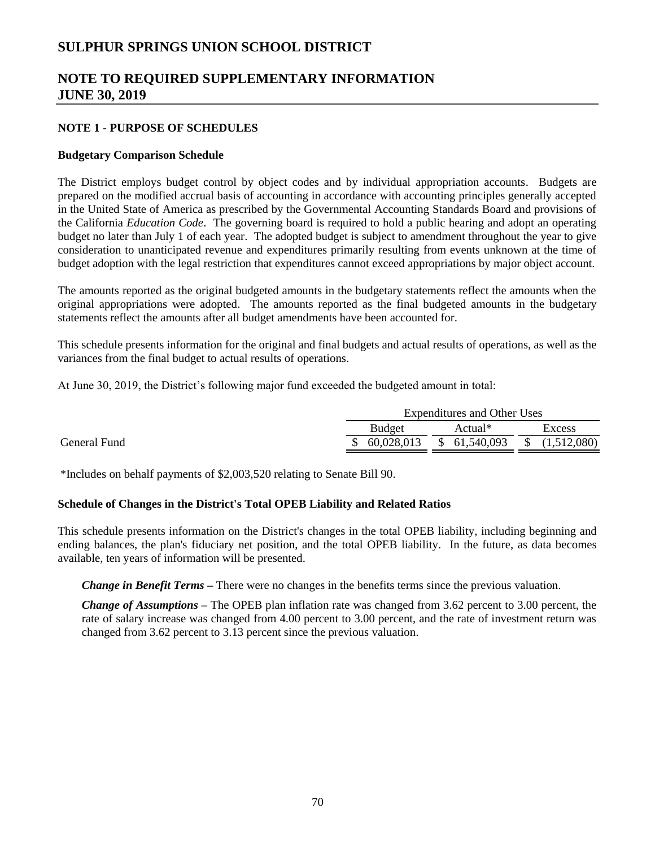## **NOTE TO REQUIRED SUPPLEMENTARY INFORMATION JUNE 30, 2019**

### **NOTE 1 - PURPOSE OF SCHEDULES**

#### **Budgetary Comparison Schedule**

The District employs budget control by object codes and by individual appropriation accounts. Budgets are prepared on the modified accrual basis of accounting in accordance with accounting principles generally accepted in the United State of America as prescribed by the Governmental Accounting Standards Board and provisions of the California *Education Code*. The governing board is required to hold a public hearing and adopt an operating budget no later than July 1 of each year. The adopted budget is subject to amendment throughout the year to give consideration to unanticipated revenue and expenditures primarily resulting from events unknown at the time of budget adoption with the legal restriction that expenditures cannot exceed appropriations by major object account.

The amounts reported as the original budgeted amounts in the budgetary statements reflect the amounts when the original appropriations were adopted. The amounts reported as the final budgeted amounts in the budgetary statements reflect the amounts after all budget amendments have been accounted for.

This schedule presents information for the original and final budgets and actual results of operations, as well as the variances from the final budget to actual results of operations.

At June 30, 2019, the District's following major fund exceeded the budgeted amount in total:

|              |               | <b>Expenditures and Other Uses</b> |                           |
|--------------|---------------|------------------------------------|---------------------------|
|              | <b>Budget</b> | $Actual*$                          | Excess                    |
| General Fund | 60,028,013    | \$61,540,093                       | $\frac{1}{2}$ (1,512,080) |

\*Includes on behalf payments of \$2,003,520 relating to Senate Bill 90.

### **Schedule of Changes in the District's Total OPEB Liability and Related Ratios**

This schedule presents information on the District's changes in the total OPEB liability, including beginning and ending balances, the plan's fiduciary net position, and the total OPEB liability. In the future, as data becomes available, ten years of information will be presented.

*Change in Benefit Terms –* There were no changes in the benefits terms since the previous valuation.

*Change of Assumptions –* The OPEB plan inflation rate was changed from 3.62 percent to 3.00 percent, the rate of salary increase was changed from 4.00 percent to 3.00 percent, and the rate of investment return was changed from 3.62 percent to 3.13 percent since the previous valuation.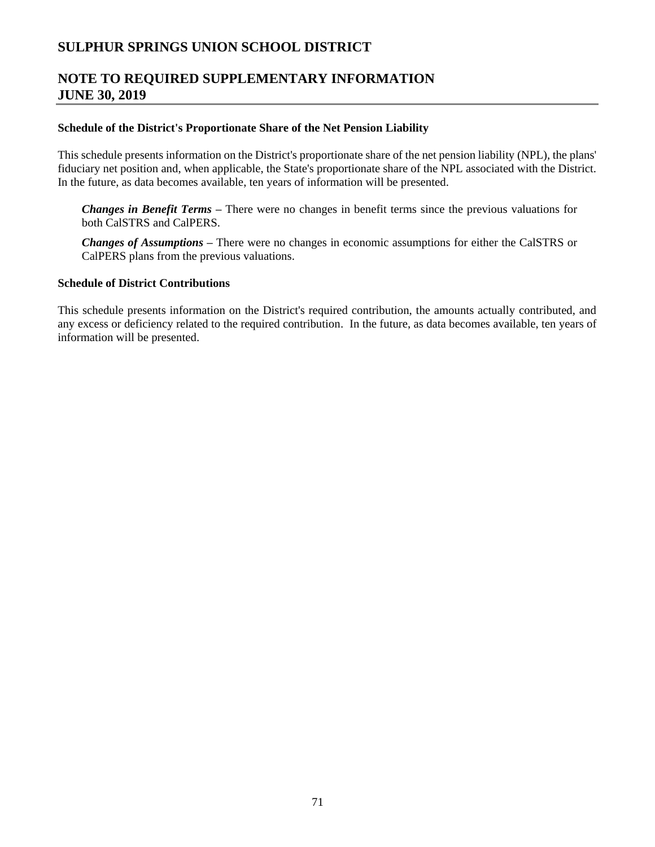## **NOTE TO REQUIRED SUPPLEMENTARY INFORMATION JUNE 30, 2019**

### **Schedule of the District's Proportionate Share of the Net Pension Liability**

This schedule presents information on the District's proportionate share of the net pension liability (NPL), the plans' fiduciary net position and, when applicable, the State's proportionate share of the NPL associated with the District. In the future, as data becomes available, ten years of information will be presented.

*Changes in Benefit Terms –* There were no changes in benefit terms since the previous valuations for both CalSTRS and CalPERS.

*Changes of Assumptions –* There were no changes in economic assumptions for either the CalSTRS or CalPERS plans from the previous valuations.

### **Schedule of District Contributions**

This schedule presents information on the District's required contribution, the amounts actually contributed, and any excess or deficiency related to the required contribution. In the future, as data becomes available, ten years of information will be presented.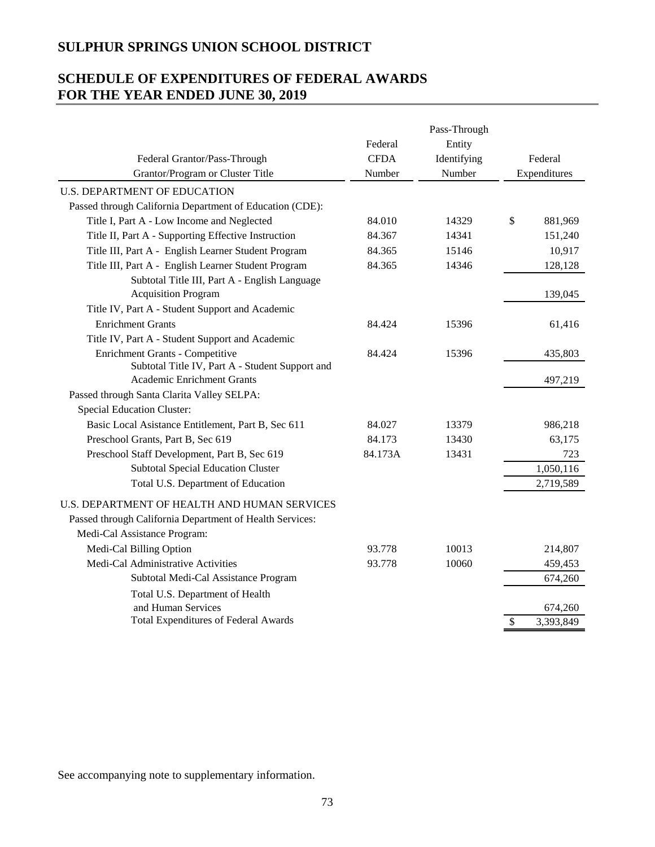# **SCHEDULE OF EXPENDITURES OF FEDERAL AWARDS FOR THE YEAR ENDED JUNE 30, 2019**

|                                                                               | Federal     | Pass-Through<br>Entity |                 |
|-------------------------------------------------------------------------------|-------------|------------------------|-----------------|
| Federal Grantor/Pass-Through                                                  | <b>CFDA</b> | Identifying            | Federal         |
| Grantor/Program or Cluster Title                                              | Number      | Number                 | Expenditures    |
| <b>U.S. DEPARTMENT OF EDUCATION</b>                                           |             |                        |                 |
| Passed through California Department of Education (CDE):                      |             |                        |                 |
| Title I, Part A - Low Income and Neglected                                    | 84.010      | 14329                  | \$<br>881,969   |
| Title II, Part A - Supporting Effective Instruction                           | 84.367      | 14341                  | 151,240         |
| Title III, Part A - English Learner Student Program                           | 84.365      | 15146                  | 10,917          |
| Title III, Part A - English Learner Student Program                           | 84.365      | 14346                  | 128,128         |
| Subtotal Title III, Part A - English Language<br><b>Acquisition Program</b>   |             |                        | 139,045         |
| Title IV, Part A - Student Support and Academic                               |             |                        |                 |
| <b>Enrichment Grants</b>                                                      | 84.424      | 15396                  | 61,416          |
| Title IV, Part A - Student Support and Academic                               |             |                        |                 |
| Enrichment Grants - Competitive                                               | 84.424      | 15396                  | 435,803         |
| Subtotal Title IV, Part A - Student Support and<br>Academic Enrichment Grants |             |                        | 497,219         |
| Passed through Santa Clarita Valley SELPA:                                    |             |                        |                 |
| <b>Special Education Cluster:</b>                                             |             |                        |                 |
| Basic Local Asistance Entitlement, Part B, Sec 611                            | 84.027      | 13379                  | 986,218         |
| Preschool Grants, Part B, Sec 619                                             | 84.173      | 13430                  | 63,175          |
| Preschool Staff Development, Part B, Sec 619                                  | 84.173A     | 13431                  | 723             |
| <b>Subtotal Special Education Cluster</b>                                     |             |                        | 1,050,116       |
| Total U.S. Department of Education                                            |             |                        | 2,719,589       |
| U.S. DEPARTMENT OF HEALTH AND HUMAN SERVICES                                  |             |                        |                 |
| Passed through California Department of Health Services:                      |             |                        |                 |
| Medi-Cal Assistance Program:                                                  |             |                        |                 |
| Medi-Cal Billing Option                                                       | 93.778      | 10013                  | 214,807         |
| Medi-Cal Administrative Activities                                            | 93.778      | 10060                  | 459,453         |
| Subtotal Medi-Cal Assistance Program                                          |             |                        | 674,260         |
| Total U.S. Department of Health                                               |             |                        |                 |
| and Human Services                                                            |             |                        | 674,260         |
| <b>Total Expenditures of Federal Awards</b>                                   |             |                        | \$<br>3,393,849 |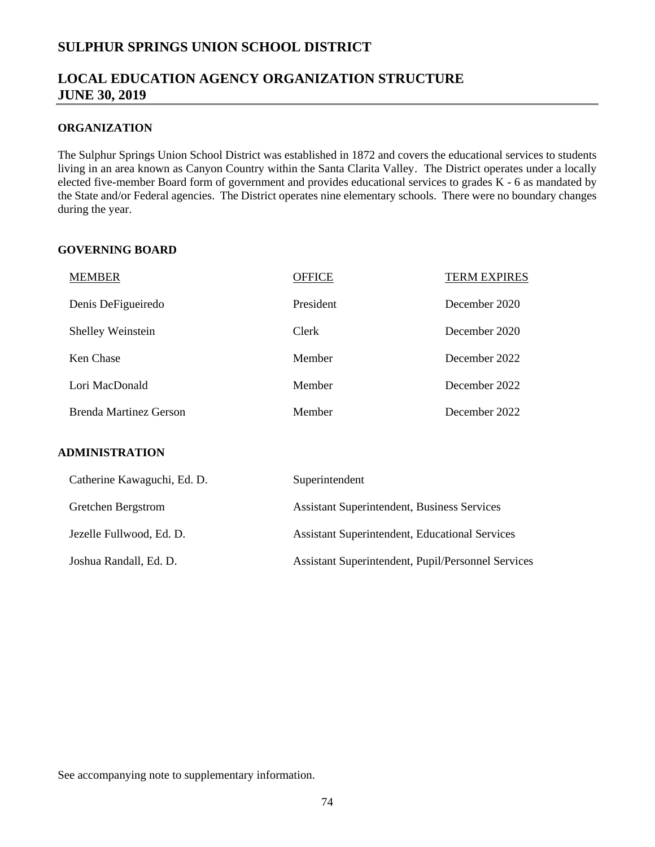## **LOCAL EDUCATION AGENCY ORGANIZATION STRUCTURE JUNE 30, 2019**

### **ORGANIZATION**

The Sulphur Springs Union School District was established in 1872 and covers the educational services to students living in an area known as Canyon Country within the Santa Clarita Valley. The District operates under a locally elected five-member Board form of government and provides educational services to grades K - 6 as mandated by the State and/or Federal agencies. The District operates nine elementary schools. There were no boundary changes during the year.

### **GOVERNING BOARD**

| <b>MEMBER</b>            | OFFICE       | <b>TERM EXPIRES</b> |
|--------------------------|--------------|---------------------|
| Denis DeFigueiredo       | President    | December 2020       |
| <b>Shelley Weinstein</b> | <b>Clerk</b> | December 2020       |
| Ken Chase                | Member       | December 2022       |
| Lori MacDonald           | Member       | December 2022       |
| Brenda Martinez Gerson   | Member       | December 2022       |

### **ADMINISTRATION**

| Catherine Kawaguchi, Ed. D. | Superintendent                                        |
|-----------------------------|-------------------------------------------------------|
| Gretchen Bergstrom          | Assistant Superintendent, Business Services           |
| Jezelle Fullwood, Ed. D.    | <b>Assistant Superintendent, Educational Services</b> |
| Joshua Randall, Ed. D.      | Assistant Superintendent, Pupil/Personnel Services    |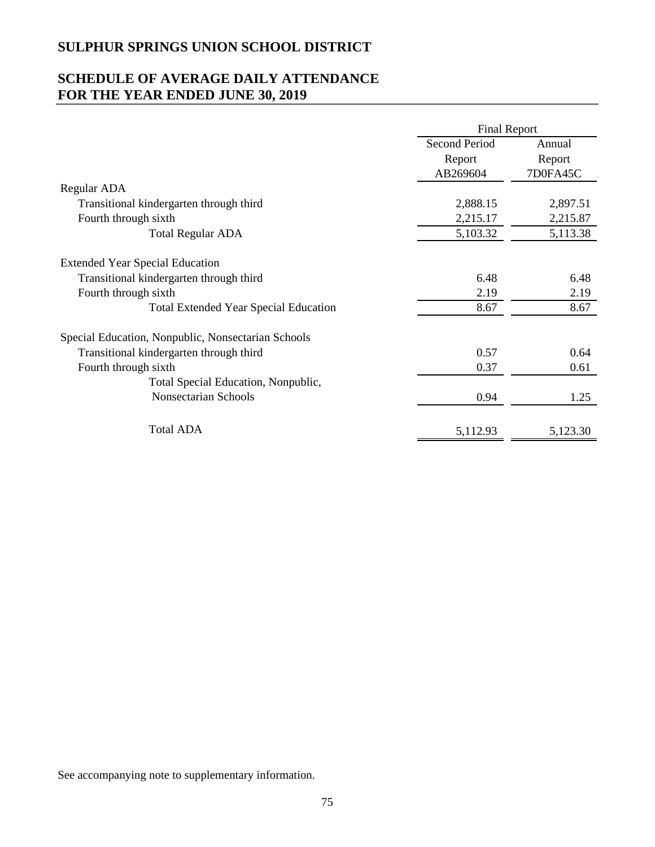# **SCHEDULE OF AVERAGE DAILY ATTENDANCE FOR THE YEAR ENDED JUNE 30, 2019**

|                                                    | <b>Final Report</b>  |          |  |
|----------------------------------------------------|----------------------|----------|--|
|                                                    | <b>Second Period</b> | Annual   |  |
|                                                    | Report               | Report   |  |
|                                                    | AB269604             | 7D0FA45C |  |
| Regular ADA                                        |                      |          |  |
| Transitional kindergarten through third            | 2,888.15             | 2,897.51 |  |
| Fourth through sixth                               | 2,215.17             | 2,215.87 |  |
| <b>Total Regular ADA</b>                           | 5,103.32             | 5,113.38 |  |
| <b>Extended Year Special Education</b>             |                      |          |  |
| Transitional kindergarten through third            | 6.48                 | 6.48     |  |
| Fourth through sixth                               | 2.19                 | 2.19     |  |
| <b>Total Extended Year Special Education</b>       | 8.67                 | 8.67     |  |
| Special Education, Nonpublic, Nonsectarian Schools |                      |          |  |
| Transitional kindergarten through third            | 0.57                 | 0.64     |  |
| Fourth through sixth                               | 0.37                 | 0.61     |  |
| Total Special Education, Nonpublic,                |                      |          |  |
| Nonsectarian Schools                               | 0.94                 | 1.25     |  |
| <b>Total ADA</b>                                   | 5,112.93             | 5,123.30 |  |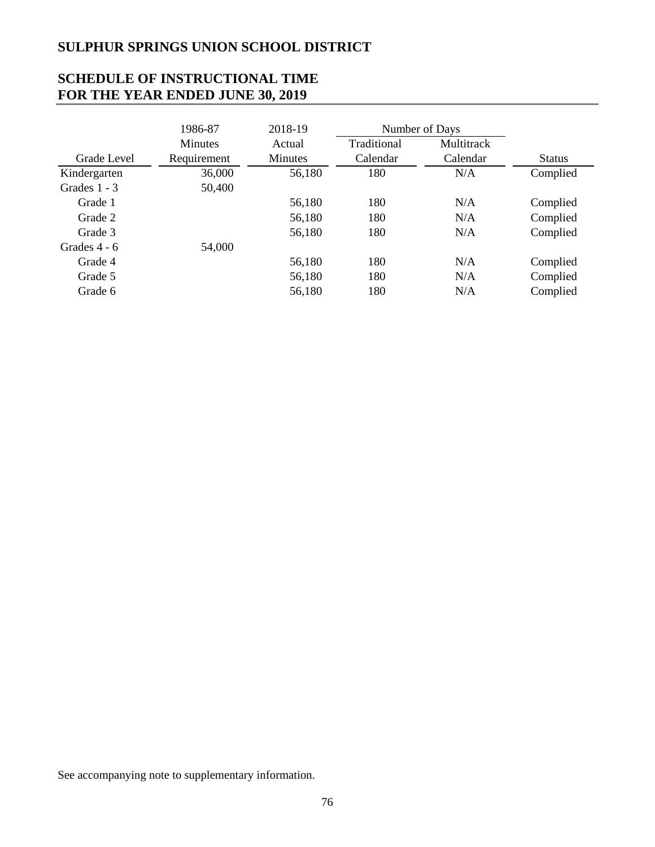|                | 1986-87     | 2018-19 | Number of Days |            |               |
|----------------|-------------|---------|----------------|------------|---------------|
|                | Minutes     | Actual  | Traditional    | Multitrack |               |
| Grade Level    | Requirement | Minutes | Calendar       | Calendar   | <b>Status</b> |
| Kindergarten   | 36,000      | 56,180  | 180            | N/A        | Complied      |
| Grades $1 - 3$ | 50,400      |         |                |            |               |
| Grade 1        |             | 56,180  | 180            | N/A        | Complied      |
| Grade 2        |             | 56,180  | 180            | N/A        | Complied      |
| Grade 3        |             | 56,180  | 180            | N/A        | Complied      |
| Grades 4 - 6   | 54,000      |         |                |            |               |
| Grade 4        |             | 56,180  | 180            | N/A        | Complied      |
| Grade 5        |             | 56,180  | 180            | N/A        | Complied      |
| Grade 6        |             | 56,180  | 180            | N/A        | Complied      |

# **SCHEDULE OF INSTRUCTIONAL TIME FOR THE YEAR ENDED JUNE 30, 2019**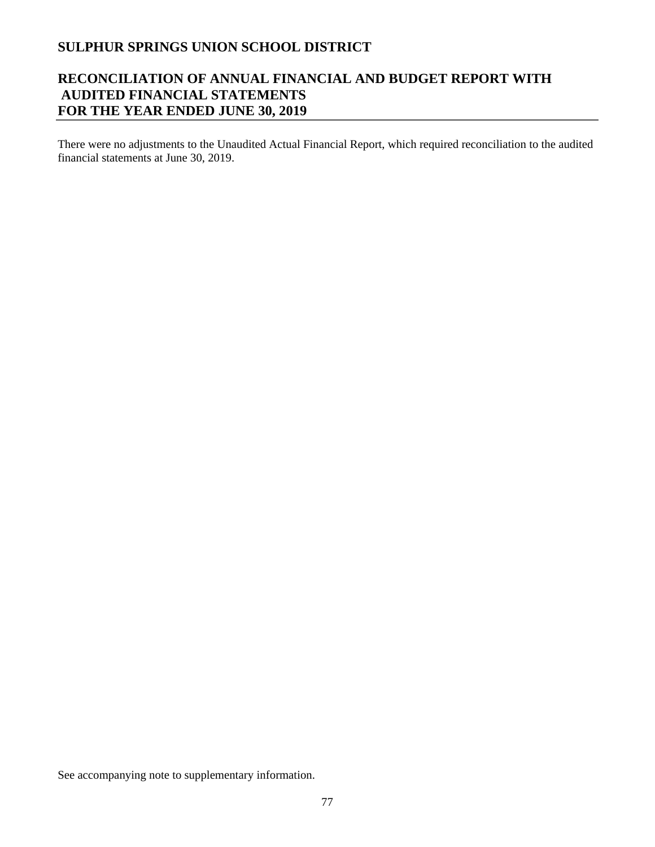# **RECONCILIATION OF ANNUAL FINANCIAL AND BUDGET REPORT WITH AUDITED FINANCIAL STATEMENTS FOR THE YEAR ENDED JUNE 30, 2019**

There were no adjustments to the Unaudited Actual Financial Report, which required reconciliation to the audited financial statements at June 30, 2019.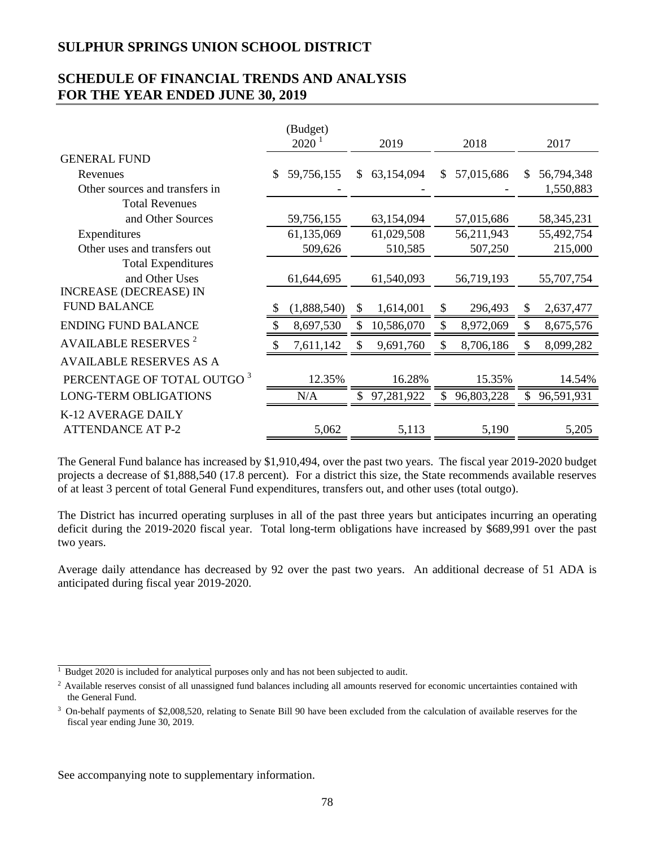## **SCHEDULE OF FINANCIAL TRENDS AND ANALYSIS FOR THE YEAR ENDED JUNE 30, 2019**

|                                        |    | (Budget)<br>$2020$ <sup>1</sup> |     | 2019       |     | 2018       |    | 2017         |
|----------------------------------------|----|---------------------------------|-----|------------|-----|------------|----|--------------|
| <b>GENERAL FUND</b>                    |    |                                 |     |            |     |            |    |              |
| Revenues                               | \$ | 59,756,155                      | \$. | 63,154,094 | \$. | 57,015,686 | S. | 56,794,348   |
| Other sources and transfers in         |    |                                 |     |            |     |            |    | 1,550,883    |
| <b>Total Revenues</b>                  |    |                                 |     |            |     |            |    |              |
| and Other Sources                      |    | 59,756,155                      |     | 63,154,094 |     | 57,015,686 |    | 58, 345, 231 |
| Expenditures                           |    | 61,135,069                      |     | 61,029,508 |     | 56,211,943 |    | 55,492,754   |
| Other uses and transfers out           |    | 509,626                         |     | 510,585    |     | 507,250    |    | 215,000      |
| <b>Total Expenditures</b>              |    |                                 |     |            |     |            |    |              |
| and Other Uses                         |    | 61,644,695                      |     | 61,540,093 |     | 56,719,193 |    | 55,707,754   |
| <b>INCREASE (DECREASE) IN</b>          |    |                                 |     |            |     |            |    |              |
| <b>FUND BALANCE</b>                    | S  | (1,888,540)                     | S   | 1,614,001  | \$  | 296,493    | S  | 2,637,477    |
| <b>ENDING FUND BALANCE</b>             |    | 8,697,530                       |     | 10,586,070 |     | 8,972,069  |    | 8,675,576    |
| <b>AVAILABLE RESERVES</b> <sup>2</sup> |    | 7,611,142                       | \$. | 9,691,760  | \$  | 8,706,186  |    | 8,099,282    |
| <b>AVAILABLE RESERVES AS A</b>         |    |                                 |     |            |     |            |    |              |
| PERCENTAGE OF TOTAL OUTGO <sup>3</sup> |    | 12.35%                          |     | 16.28%     |     | 15.35%     |    | 14.54%       |
| <b>LONG-TERM OBLIGATIONS</b>           |    | N/A                             |     | 97,281,922 |     | 96,803,228 |    | 96,591,931   |
| K-12 AVERAGE DAILY                     |    |                                 |     |            |     |            |    |              |
| <b>ATTENDANCE AT P-2</b>               |    | 5,062                           |     | 5,113      |     | 5,190      |    | 5,205        |

The General Fund balance has increased by \$1,910,494, over the past two years. The fiscal year 2019-2020 budget projects a decrease of \$1,888,540 (17.8 percent). For a district this size, the State recommends available reserves of at least 3 percent of total General Fund expenditures, transfers out, and other uses (total outgo).

The District has incurred operating surpluses in all of the past three years but anticipates incurring an operating deficit during the 2019-2020 fiscal year. Total long-term obligations have increased by \$689,991 over the past two years.

Average daily attendance has decreased by 92 over the past two years. An additional decrease of 51 ADA is anticipated during fiscal year 2019-2020.

<sup>&</sup>lt;sup>1</sup> Budget 2020 is included for analytical purposes only and has not been subjected to audit.

 $<sup>2</sup>$  Available reserves consist of all unassigned fund balances including all amounts reserved for economic uncertainties contained with</sup> the General Fund.

<sup>&</sup>lt;sup>3</sup> On-behalf payments of \$2,008,520, relating to Senate Bill 90 have been excluded from the calculation of available reserves for the fiscal year ending June 30, 2019.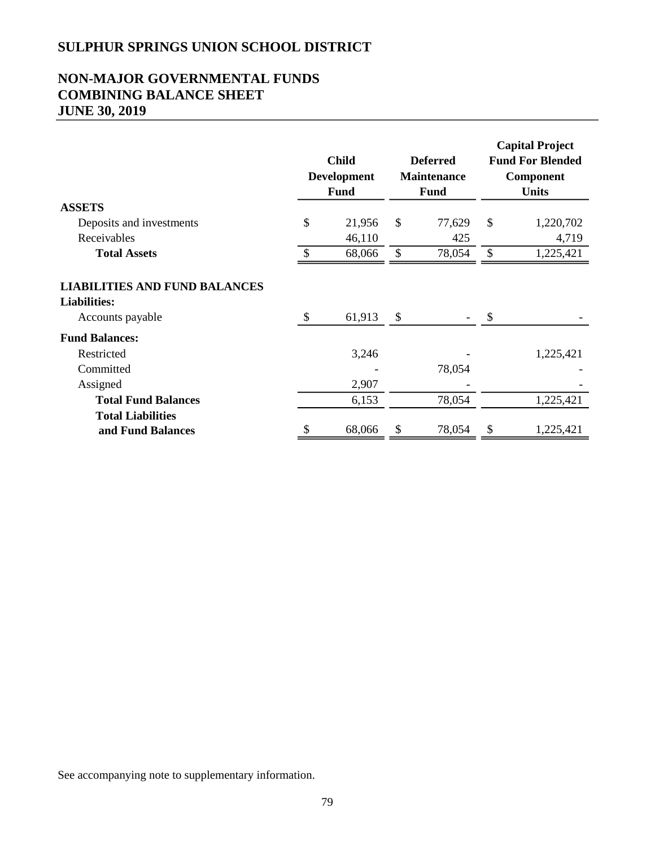# **NON-MAJOR GOVERNMENTAL FUNDS COMBINING BALANCE SHEET JUNE 30, 2019**

|                                                             | <b>Child</b><br><b>Development</b><br><b>Fund</b> |        | <b>Deferred</b><br><b>Maintenance</b><br><b>Fund</b> |        | <b>Capital Project</b><br><b>Fund For Blended</b><br>Component<br><b>Units</b> |           |
|-------------------------------------------------------------|---------------------------------------------------|--------|------------------------------------------------------|--------|--------------------------------------------------------------------------------|-----------|
| <b>ASSETS</b>                                               |                                                   |        |                                                      |        |                                                                                |           |
| Deposits and investments                                    | \$                                                | 21,956 | $\mathcal{S}$                                        | 77,629 | $\boldsymbol{\mathsf{S}}$                                                      | 1,220,702 |
| Receivables                                                 |                                                   | 46,110 |                                                      | 425    |                                                                                | 4,719     |
| <b>Total Assets</b>                                         | \$.                                               | 68,066 | \$                                                   | 78,054 | \$                                                                             | 1,225,421 |
| <b>LIABILITIES AND FUND BALANCES</b><br><b>Liabilities:</b> |                                                   |        |                                                      |        |                                                                                |           |
| Accounts payable                                            | S                                                 | 61,913 | $\mathcal{S}$                                        |        | \$                                                                             |           |
| <b>Fund Balances:</b>                                       |                                                   |        |                                                      |        |                                                                                |           |
| Restricted                                                  |                                                   | 3,246  |                                                      |        |                                                                                | 1,225,421 |
| Committed                                                   |                                                   |        |                                                      | 78,054 |                                                                                |           |
| Assigned                                                    |                                                   | 2,907  |                                                      |        |                                                                                |           |
| <b>Total Fund Balances</b>                                  |                                                   | 6,153  |                                                      | 78,054 |                                                                                | 1,225,421 |
| <b>Total Liabilities</b>                                    |                                                   |        |                                                      |        |                                                                                |           |
| and Fund Balances                                           |                                                   | 68,066 | \$                                                   | 78,054 | \$                                                                             | 1,225,421 |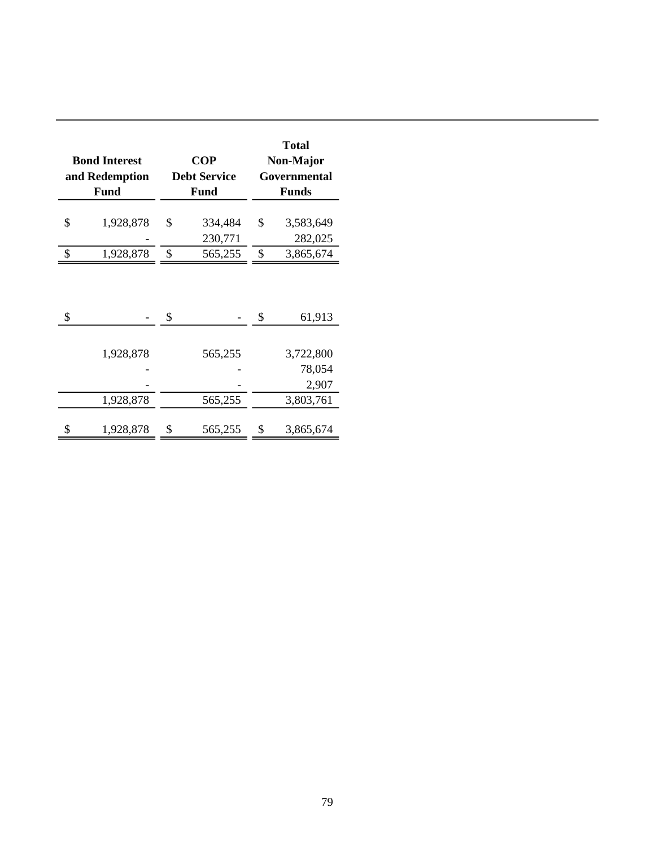| <b>Bond Interest</b><br>and Redemption<br>Fund |     | COP<br><b>Debt Service</b><br>Fund | Total<br><b>Non-Major</b><br>Governmental<br>Funds |                      |
|------------------------------------------------|-----|------------------------------------|----------------------------------------------------|----------------------|
| \$<br>1,928,878                                | \$. | 334.484<br>230,771                 | S                                                  | 3,583,649<br>282,025 |
| 1,928,878                                      | S   | 565,255                            | \$                                                 | 3,865,674            |

|                 | \$            | \$<br>61,913    |
|-----------------|---------------|-----------------|
|                 |               |                 |
| 1,928,878       | 565,255       | 3,722,800       |
|                 |               | 78,054          |
|                 |               | 2,907           |
| 1,928,878       | 565,255       | 3,803,761       |
|                 |               |                 |
| 1,928,878<br>\$ | \$<br>565,255 | \$<br>3,865,674 |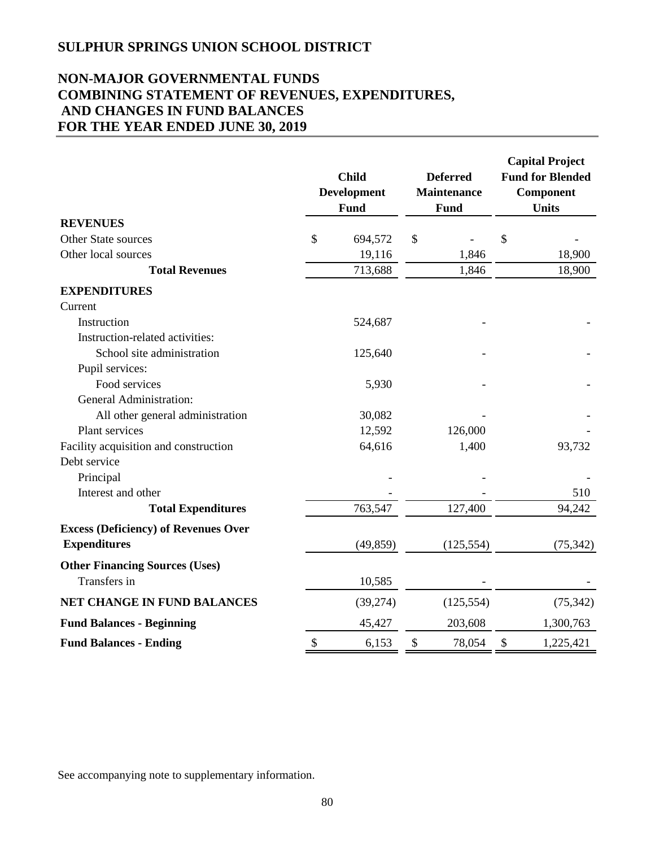# **NON-MAJOR GOVERNMENTAL FUNDS COMBINING STATEMENT OF REVENUES, EXPENDITURES, AND CHANGES IN FUND BALANCES FOR THE YEAR ENDED JUNE 30, 2019**

|                                             |                           | <b>Child</b><br><b>Development</b><br><b>Fund</b> | <b>Deferred</b><br><b>Maintenance</b><br><b>Fund</b> |               | <b>Capital Project</b><br><b>Fund for Blended</b><br>Component<br><b>Units</b> |
|---------------------------------------------|---------------------------|---------------------------------------------------|------------------------------------------------------|---------------|--------------------------------------------------------------------------------|
| <b>REVENUES</b>                             |                           |                                                   |                                                      |               |                                                                                |
| <b>Other State sources</b>                  | $\mathcal{S}$             | 694,572                                           | \$                                                   | $\mathcal{S}$ |                                                                                |
| Other local sources                         |                           | 19,116                                            | 1,846                                                |               | 18,900                                                                         |
| <b>Total Revenues</b>                       |                           | 713,688                                           | 1,846                                                |               | 18,900                                                                         |
| <b>EXPENDITURES</b>                         |                           |                                                   |                                                      |               |                                                                                |
| Current                                     |                           |                                                   |                                                      |               |                                                                                |
| Instruction                                 |                           | 524,687                                           |                                                      |               |                                                                                |
| Instruction-related activities:             |                           |                                                   |                                                      |               |                                                                                |
| School site administration                  |                           | 125,640                                           |                                                      |               |                                                                                |
| Pupil services:                             |                           |                                                   |                                                      |               |                                                                                |
| Food services                               |                           | 5,930                                             |                                                      |               |                                                                                |
| <b>General Administration:</b>              |                           |                                                   |                                                      |               |                                                                                |
| All other general administration            |                           | 30,082                                            |                                                      |               |                                                                                |
| Plant services                              |                           | 12,592                                            | 126,000                                              |               |                                                                                |
| Facility acquisition and construction       |                           | 64,616                                            | 1,400                                                |               | 93,732                                                                         |
| Debt service                                |                           |                                                   |                                                      |               |                                                                                |
| Principal                                   |                           |                                                   |                                                      |               |                                                                                |
| Interest and other                          |                           |                                                   |                                                      |               | 510                                                                            |
| <b>Total Expenditures</b>                   |                           | 763,547                                           | 127,400                                              |               | 94,242                                                                         |
| <b>Excess (Deficiency) of Revenues Over</b> |                           |                                                   |                                                      |               |                                                                                |
| <b>Expenditures</b>                         |                           | (49, 859)                                         | (125, 554)                                           |               | (75, 342)                                                                      |
| <b>Other Financing Sources (Uses)</b>       |                           |                                                   |                                                      |               |                                                                                |
| Transfers in                                |                           | 10,585                                            |                                                      |               |                                                                                |
| <b>NET CHANGE IN FUND BALANCES</b>          |                           | (39, 274)                                         | (125, 554)                                           |               | (75, 342)                                                                      |
| <b>Fund Balances - Beginning</b>            |                           | 45,427                                            | 203,608                                              |               | 1,300,763                                                                      |
| <b>Fund Balances - Ending</b>               | $\boldsymbol{\mathsf{S}}$ | 6,153                                             | \$<br>78,054                                         | \$            | 1,225,421                                                                      |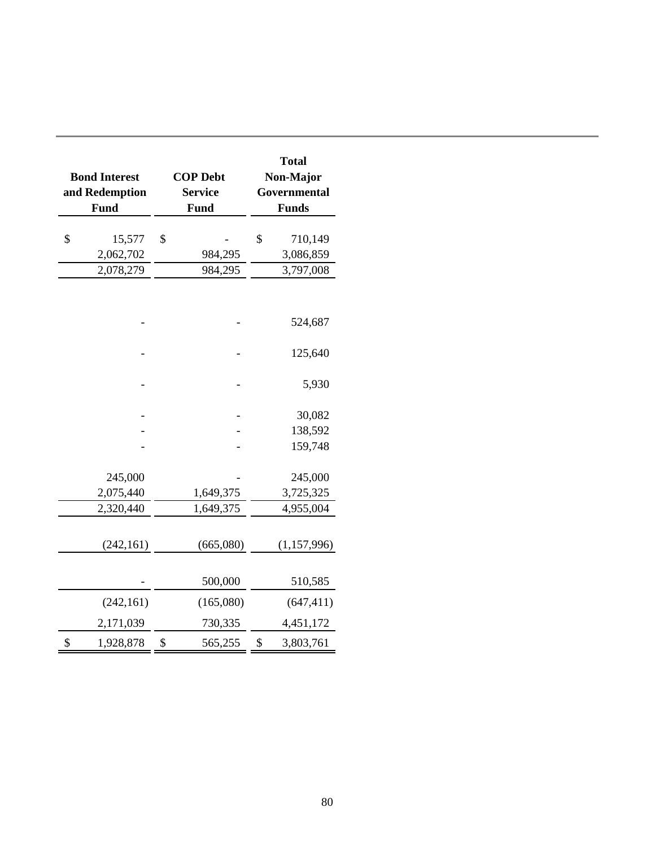| <b>Bond Interest</b><br>and Redemption<br><b>Fund</b> |            | <b>COP Debt</b><br><b>Service</b><br><b>Fund</b> |    | <b>Total</b><br>Non-Major<br>Governmental<br><b>Funds</b> |  |  |
|-------------------------------------------------------|------------|--------------------------------------------------|----|-----------------------------------------------------------|--|--|
|                                                       |            |                                                  |    |                                                           |  |  |
| \$                                                    | 15,577     | \$                                               | \$ | 710,149                                                   |  |  |
|                                                       | 2,062,702  | 984,295                                          |    | 3,086,859                                                 |  |  |
|                                                       | 2,078,279  | 984,295                                          |    | 3,797,008                                                 |  |  |
|                                                       |            |                                                  |    |                                                           |  |  |
|                                                       |            |                                                  |    | 524,687                                                   |  |  |
|                                                       |            |                                                  |    | 125,640                                                   |  |  |
|                                                       |            |                                                  |    | 5,930                                                     |  |  |
|                                                       |            |                                                  |    | 30,082                                                    |  |  |
|                                                       |            |                                                  |    | 138,592                                                   |  |  |
|                                                       |            |                                                  |    | 159,748                                                   |  |  |
|                                                       | 245,000    |                                                  |    | 245,000                                                   |  |  |
|                                                       | 2,075,440  | 1,649,375                                        |    | 3,725,325                                                 |  |  |
|                                                       | 2,320,440  | 1,649,375                                        |    | 4,955,004                                                 |  |  |
|                                                       |            |                                                  |    |                                                           |  |  |
|                                                       | (242, 161) | (665,080)                                        |    | (1,157,996)                                               |  |  |
|                                                       |            |                                                  |    |                                                           |  |  |
|                                                       |            | 500,000                                          |    | 510,585                                                   |  |  |
|                                                       | (242, 161) | (165,080)                                        |    | (647, 411)                                                |  |  |
|                                                       | 2,171,039  | 730,335                                          |    | 4,451,172                                                 |  |  |
| \$                                                    | 1,928,878  | \$<br>565,255                                    | \$ | 3,803,761                                                 |  |  |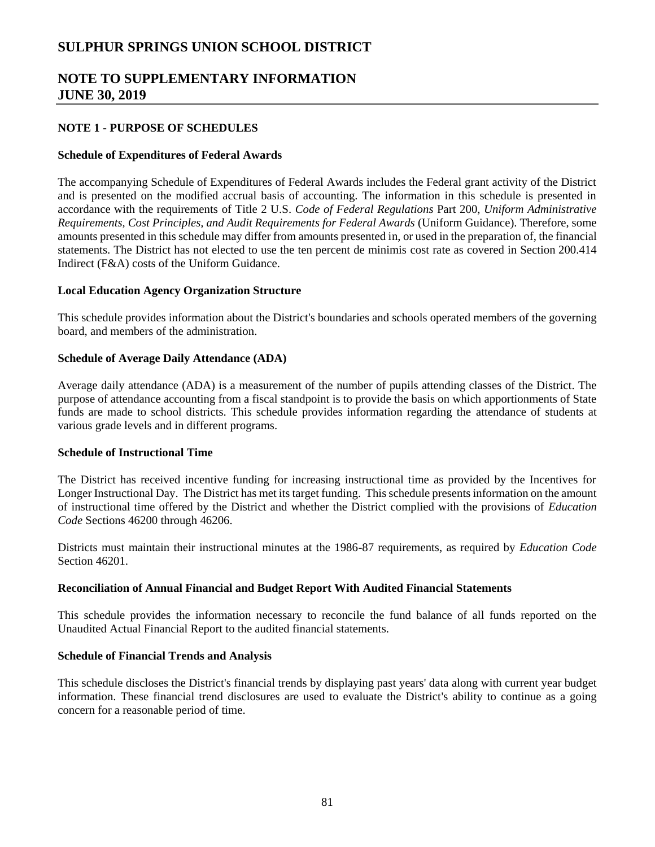## **NOTE TO SUPPLEMENTARY INFORMATION JUNE 30, 2019**

### **NOTE 1 - PURPOSE OF SCHEDULES**

#### **Schedule of Expenditures of Federal Awards**

The accompanying Schedule of Expenditures of Federal Awards includes the Federal grant activity of the District and is presented on the modified accrual basis of accounting. The information in this schedule is presented in accordance with the requirements of Title 2 U.S. *Code of Federal Regulations* Part 200, *Uniform Administrative Requirements, Cost Principles, and Audit Requirements for Federal Awards* (Uniform Guidance). Therefore, some amounts presented in this schedule may differ from amounts presented in, or used in the preparation of, the financial statements. The District has not elected to use the ten percent de minimis cost rate as covered in Section 200.414 Indirect (F&A) costs of the Uniform Guidance.

#### **Local Education Agency Organization Structure**

This schedule provides information about the District's boundaries and schools operated members of the governing board, and members of the administration.

#### **Schedule of Average Daily Attendance (ADA)**

Average daily attendance (ADA) is a measurement of the number of pupils attending classes of the District. The purpose of attendance accounting from a fiscal standpoint is to provide the basis on which apportionments of State funds are made to school districts. This schedule provides information regarding the attendance of students at various grade levels and in different programs.

#### **Schedule of Instructional Time**

The District has received incentive funding for increasing instructional time as provided by the Incentives for Longer Instructional Day. The District has met its target funding. This schedule presents information on the amount of instructional time offered by the District and whether the District complied with the provisions of *Education Code* Sections 46200 through 46206.

Districts must maintain their instructional minutes at the 1986-87 requirements, as required by *Education Code* Section 46201.

### **Reconciliation of Annual Financial and Budget Report With Audited Financial Statements**

This schedule provides the information necessary to reconcile the fund balance of all funds reported on the Unaudited Actual Financial Report to the audited financial statements.

#### **Schedule of Financial Trends and Analysis**

This schedule discloses the District's financial trends by displaying past years' data along with current year budget information. These financial trend disclosures are used to evaluate the District's ability to continue as a going concern for a reasonable period of time.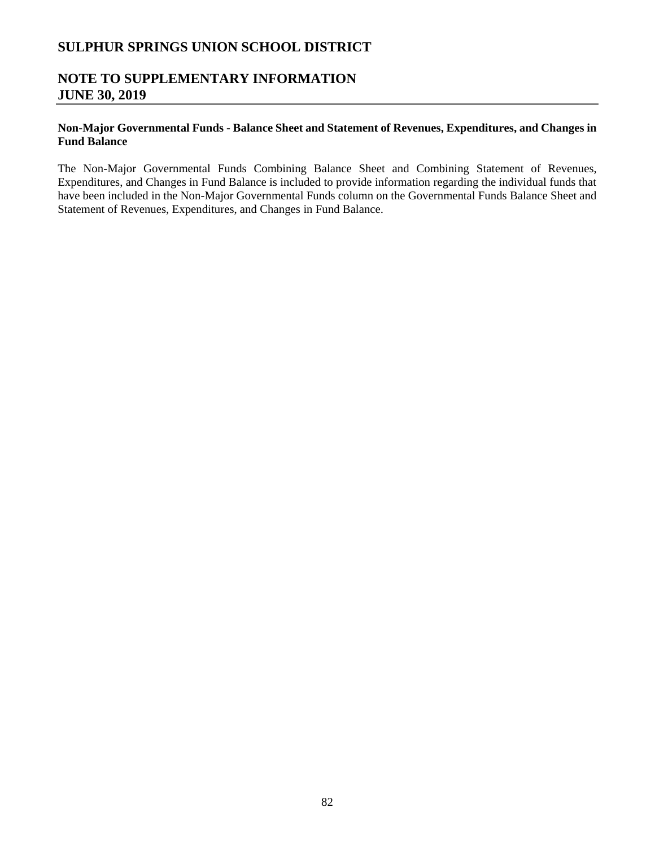## **NOTE TO SUPPLEMENTARY INFORMATION JUNE 30, 2019**

### **Non-Major Governmental Funds - Balance Sheet and Statement of Revenues, Expenditures, and Changes in Fund Balance**

The Non-Major Governmental Funds Combining Balance Sheet and Combining Statement of Revenues, Expenditures, and Changes in Fund Balance is included to provide information regarding the individual funds that have been included in the Non-Major Governmental Funds column on the Governmental Funds Balance Sheet and Statement of Revenues, Expenditures, and Changes in Fund Balance.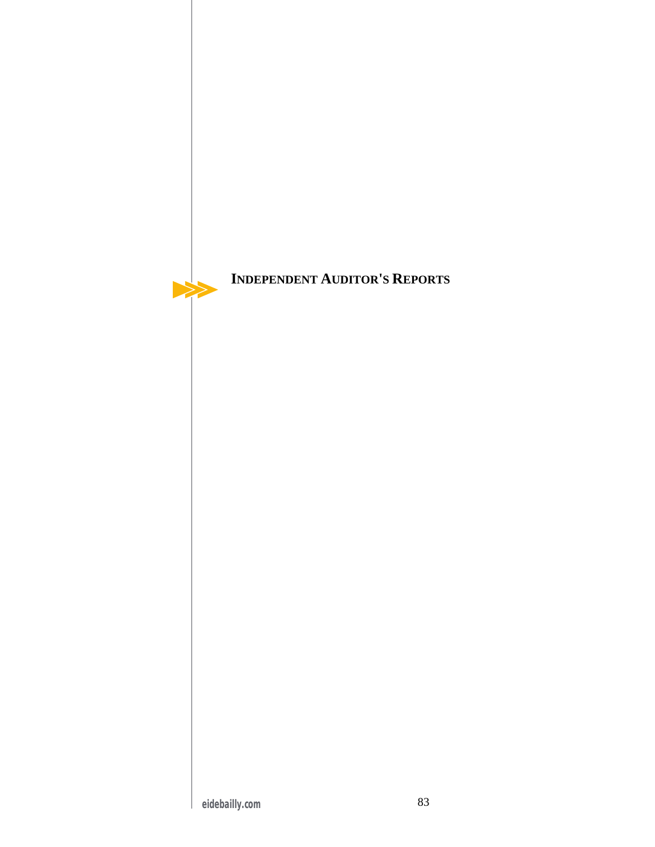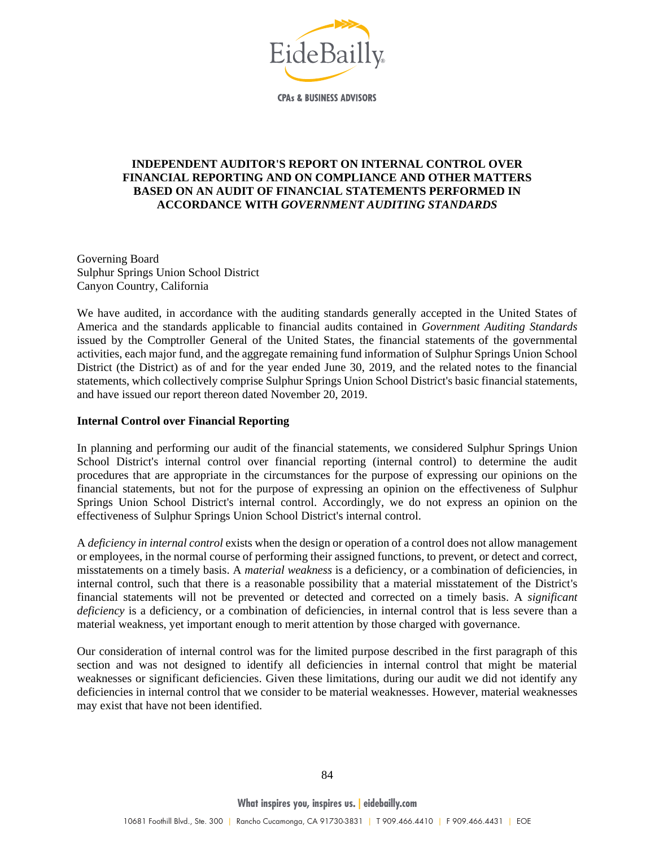

**CPAs & BUSINESS ADVISORS** 

### **INDEPENDENT AUDITOR'S REPORT ON INTERNAL CONTROL OVER FINANCIAL REPORTING AND ON COMPLIANCE AND OTHER MATTERS BASED ON AN AUDIT OF FINANCIAL STATEMENTS PERFORMED IN ACCORDANCE WITH** *GOVERNMENT AUDITING STANDARDS*

Governing Board Sulphur Springs Union School District Canyon Country, California

We have audited, in accordance with the auditing standards generally accepted in the United States of America and the standards applicable to financial audits contained in *Government Auditing Standards*  issued by the Comptroller General of the United States, the financial statements of the governmental activities, each major fund, and the aggregate remaining fund information of Sulphur Springs Union School District (the District) as of and for the year ended June 30, 2019, and the related notes to the financial statements, which collectively comprise Sulphur Springs Union School District's basic financial statements, and have issued our report thereon dated November 20, 2019.

#### **Internal Control over Financial Reporting**

In planning and performing our audit of the financial statements, we considered Sulphur Springs Union School District's internal control over financial reporting (internal control) to determine the audit procedures that are appropriate in the circumstances for the purpose of expressing our opinions on the financial statements, but not for the purpose of expressing an opinion on the effectiveness of Sulphur Springs Union School District's internal control. Accordingly, we do not express an opinion on the effectiveness of Sulphur Springs Union School District's internal control.

A *deficiency in internal control* exists when the design or operation of a control does not allow management or employees, in the normal course of performing their assigned functions, to prevent, or detect and correct, misstatements on a timely basis. A *material weakness* is a deficiency, or a combination of deficiencies, in internal control, such that there is a reasonable possibility that a material misstatement of the District's financial statements will not be prevented or detected and corrected on a timely basis. A *significant deficiency* is a deficiency, or a combination of deficiencies, in internal control that is less severe than a material weakness, yet important enough to merit attention by those charged with governance.

Our consideration of internal control was for the limited purpose described in the first paragraph of this section and was not designed to identify all deficiencies in internal control that might be material weaknesses or significant deficiencies. Given these limitations, during our audit we did not identify any deficiencies in internal control that we consider to be material weaknesses. However, material weaknesses may exist that have not been identified.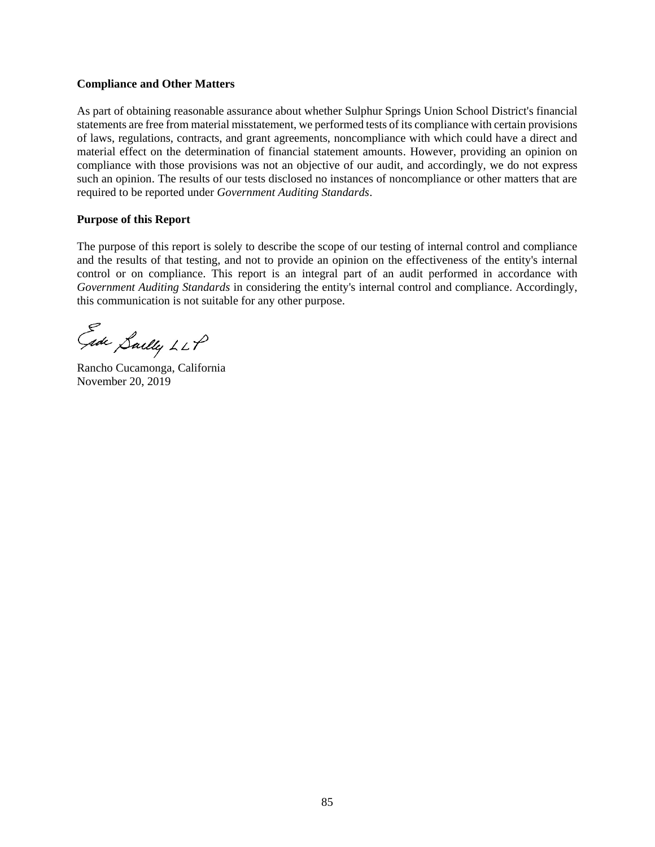#### **Compliance and Other Matters**

As part of obtaining reasonable assurance about whether Sulphur Springs Union School District's financial statements are free from material misstatement, we performed tests of its compliance with certain provisions of laws, regulations, contracts, and grant agreements, noncompliance with which could have a direct and material effect on the determination of financial statement amounts. However, providing an opinion on compliance with those provisions was not an objective of our audit, and accordingly, we do not express such an opinion. The results of our tests disclosed no instances of noncompliance or other matters that are required to be reported under *Government Auditing Standards*.

#### **Purpose of this Report**

The purpose of this report is solely to describe the scope of our testing of internal control and compliance and the results of that testing, and not to provide an opinion on the effectiveness of the entity's internal control or on compliance. This report is an integral part of an audit performed in accordance with *Government Auditing Standards* in considering the entity's internal control and compliance. Accordingly, this communication is not suitable for any other purpose.

Ede Saelly LLP

Rancho Cucamonga, California November 20, 2019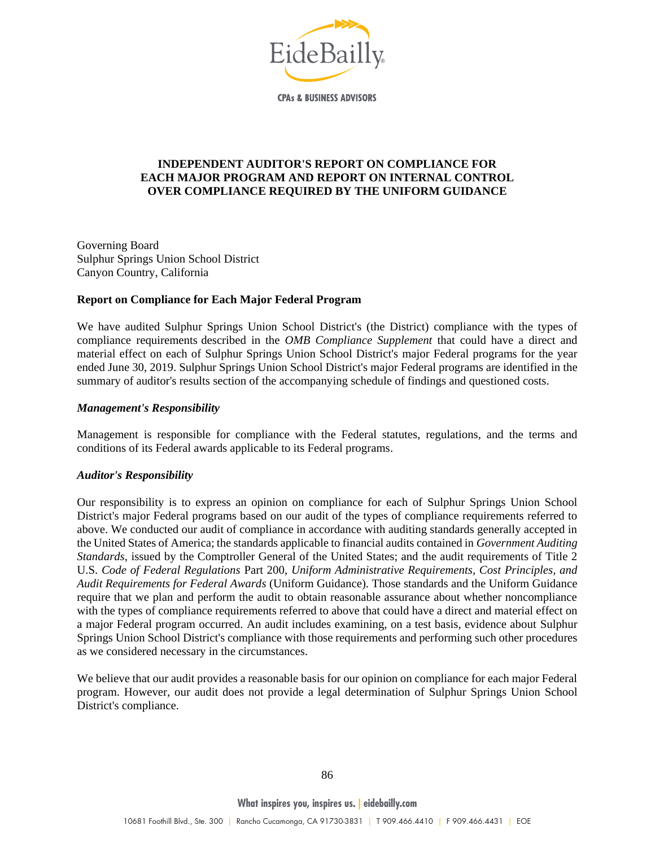

**CPAs & BUSINESS ADVISORS** 

### **INDEPENDENT AUDITOR'S REPORT ON COMPLIANCE FOR EACH MAJOR PROGRAM AND REPORT ON INTERNAL CONTROL OVER COMPLIANCE REQUIRED BY THE UNIFORM GUIDANCE**

Governing Board Sulphur Springs Union School District Canyon Country, California

#### **Report on Compliance for Each Major Federal Program**

We have audited Sulphur Springs Union School District's (the District) compliance with the types of compliance requirements described in the *OMB Compliance Supplement* that could have a direct and material effect on each of Sulphur Springs Union School District's major Federal programs for the year ended June 30, 2019. Sulphur Springs Union School District's major Federal programs are identified in the summary of auditor's results section of the accompanying schedule of findings and questioned costs.

#### *Management's Responsibility*

Management is responsible for compliance with the Federal statutes, regulations, and the terms and conditions of its Federal awards applicable to its Federal programs.

### *Auditor's Responsibility*

Our responsibility is to express an opinion on compliance for each of Sulphur Springs Union School District's major Federal programs based on our audit of the types of compliance requirements referred to above. We conducted our audit of compliance in accordance with auditing standards generally accepted in the United States of America; the standards applicable to financial audits contained in *Government Auditing Standards*, issued by the Comptroller General of the United States; and the audit requirements of Title 2 U.S. *Code of Federal Regulations* Part 200, *Uniform Administrative Requirements, Cost Principles, and Audit Requirements for Federal Awards* (Uniform Guidance). Those standards and the Uniform Guidance require that we plan and perform the audit to obtain reasonable assurance about whether noncompliance with the types of compliance requirements referred to above that could have a direct and material effect on a major Federal program occurred. An audit includes examining, on a test basis, evidence about Sulphur Springs Union School District's compliance with those requirements and performing such other procedures as we considered necessary in the circumstances.

We believe that our audit provides a reasonable basis for our opinion on compliance for each major Federal program. However, our audit does not provide a legal determination of Sulphur Springs Union School District's compliance.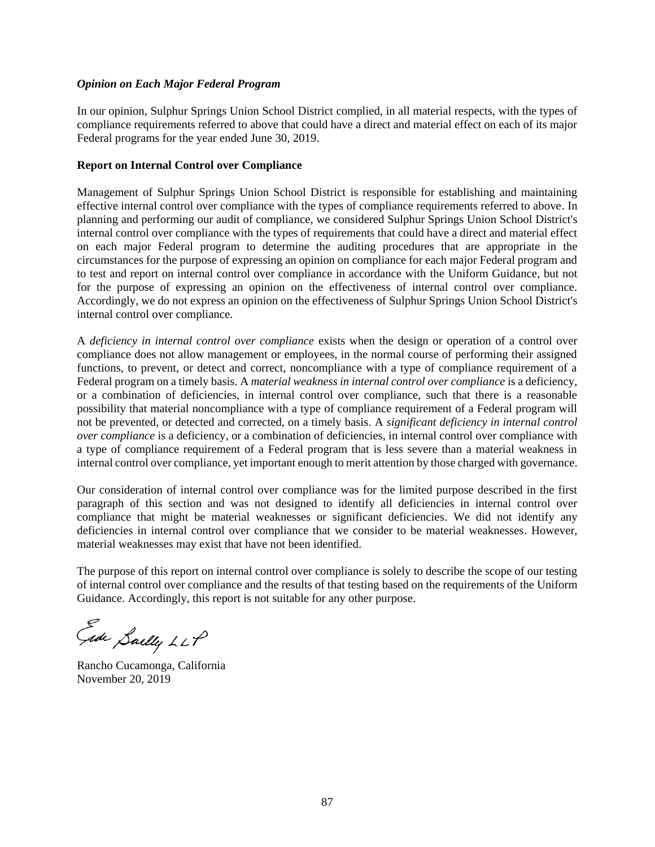#### *Opinion on Each Major Federal Program*

In our opinion, Sulphur Springs Union School District complied, in all material respects, with the types of compliance requirements referred to above that could have a direct and material effect on each of its major Federal programs for the year ended June 30, 2019.

#### **Report on Internal Control over Compliance**

Management of Sulphur Springs Union School District is responsible for establishing and maintaining effective internal control over compliance with the types of compliance requirements referred to above. In planning and performing our audit of compliance, we considered Sulphur Springs Union School District's internal control over compliance with the types of requirements that could have a direct and material effect on each major Federal program to determine the auditing procedures that are appropriate in the circumstances for the purpose of expressing an opinion on compliance for each major Federal program and to test and report on internal control over compliance in accordance with the Uniform Guidance, but not for the purpose of expressing an opinion on the effectiveness of internal control over compliance. Accordingly, we do not express an opinion on the effectiveness of Sulphur Springs Union School District's internal control over compliance.

A *deficiency in internal control over compliance* exists when the design or operation of a control over compliance does not allow management or employees, in the normal course of performing their assigned functions, to prevent, or detect and correct, noncompliance with a type of compliance requirement of a Federal program on a timely basis. A *material weakness in internal control over compliance* is a deficiency, or a combination of deficiencies, in internal control over compliance, such that there is a reasonable possibility that material noncompliance with a type of compliance requirement of a Federal program will not be prevented, or detected and corrected, on a timely basis. A *significant deficiency in internal control over compliance* is a deficiency, or a combination of deficiencies, in internal control over compliance with a type of compliance requirement of a Federal program that is less severe than a material weakness in internal control over compliance, yet important enough to merit attention by those charged with governance.

Our consideration of internal control over compliance was for the limited purpose described in the first paragraph of this section and was not designed to identify all deficiencies in internal control over compliance that might be material weaknesses or significant deficiencies. We did not identify any deficiencies in internal control over compliance that we consider to be material weaknesses. However, material weaknesses may exist that have not been identified.

The purpose of this report on internal control over compliance is solely to describe the scope of our testing of internal control over compliance and the results of that testing based on the requirements of the Uniform Guidance. Accordingly, this report is not suitable for any other purpose.

Eader Sailly LLP

Rancho Cucamonga, California November 20, 2019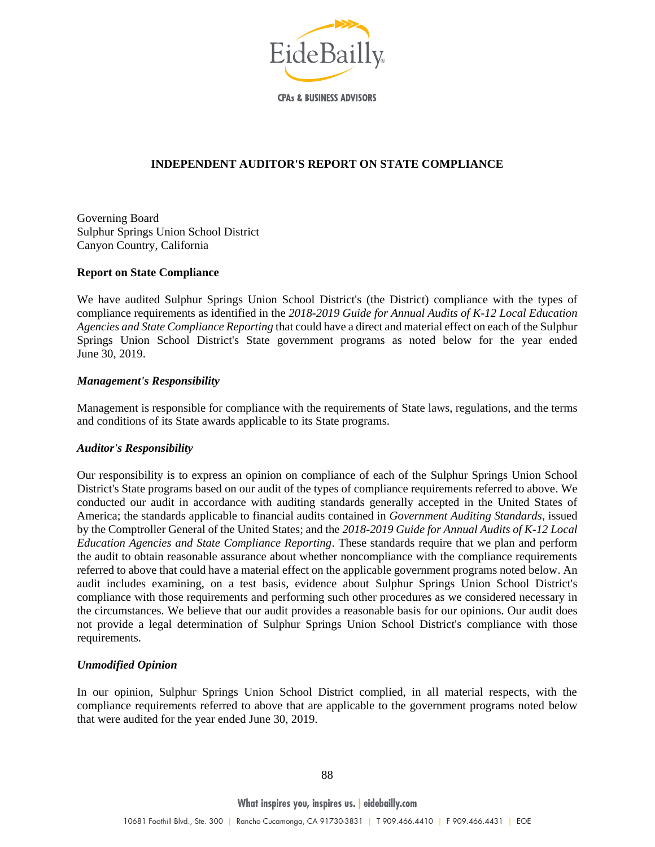

**CPAs & BUSINESS ADVISORS** 

### **INDEPENDENT AUDITOR'S REPORT ON STATE COMPLIANCE**

Governing Board Sulphur Springs Union School District Canyon Country, California

#### **Report on State Compliance**

We have audited Sulphur Springs Union School District's (the District) compliance with the types of compliance requirements as identified in the *2018-2019 Guide for Annual Audits of K-12 Local Education Agencies and State Compliance Reporting* that could have a direct and material effect on each of the Sulphur Springs Union School District's State government programs as noted below for the year ended June 30, 2019.

#### *Management's Responsibility*

Management is responsible for compliance with the requirements of State laws, regulations, and the terms and conditions of its State awards applicable to its State programs.

#### *Auditor's Responsibility*

Our responsibility is to express an opinion on compliance of each of the Sulphur Springs Union School District's State programs based on our audit of the types of compliance requirements referred to above. We conducted our audit in accordance with auditing standards generally accepted in the United States of America; the standards applicable to financial audits contained in *Government Auditing Standards*, issued by the Comptroller General of the United States; and the *2018-2019 Guide for Annual Audits of K-12 Local Education Agencies and State Compliance Reporting*. These standards require that we plan and perform the audit to obtain reasonable assurance about whether noncompliance with the compliance requirements referred to above that could have a material effect on the applicable government programs noted below. An audit includes examining, on a test basis, evidence about Sulphur Springs Union School District's compliance with those requirements and performing such other procedures as we considered necessary in the circumstances. We believe that our audit provides a reasonable basis for our opinions. Our audit does not provide a legal determination of Sulphur Springs Union School District's compliance with those requirements.

### *Unmodified Opinion*

In our opinion, Sulphur Springs Union School District complied, in all material respects, with the compliance requirements referred to above that are applicable to the government programs noted below that were audited for the year ended June 30, 2019.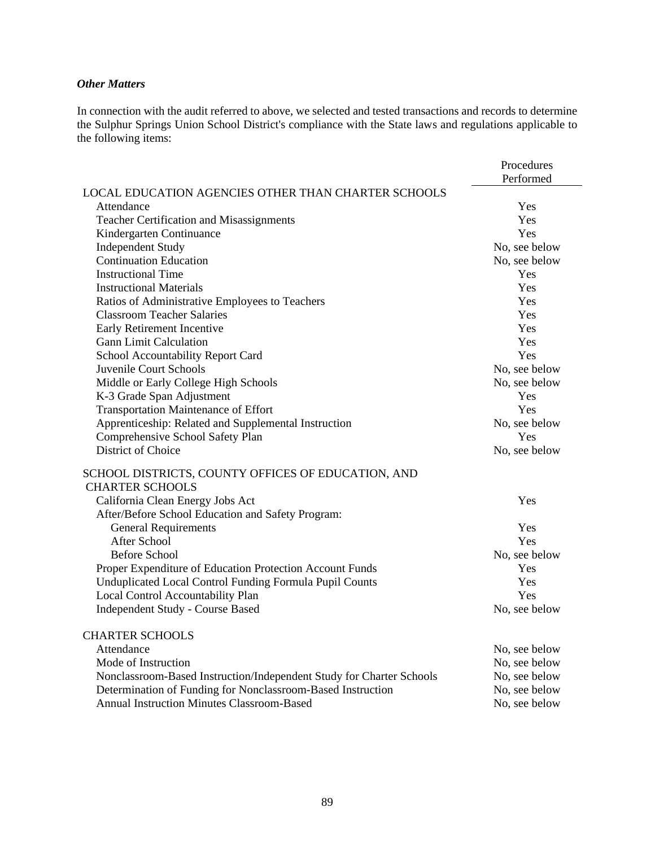### *Other Matters*

In connection with the audit referred to above, we selected and tested transactions and records to determine the Sulphur Springs Union School District's compliance with the State laws and regulations applicable to the following items:

|                                                                      | Procedures    |
|----------------------------------------------------------------------|---------------|
| <b>LOCAL EDUCATION AGENCIES OTHER THAN CHARTER SCHOOLS</b>           | Performed     |
| Attendance                                                           | Yes           |
|                                                                      | Yes           |
| Teacher Certification and Misassignments                             | Yes           |
| Kindergarten Continuance                                             | No, see below |
| <b>Independent Study</b>                                             |               |
| <b>Continuation Education</b>                                        | No, see below |
| <b>Instructional Time</b>                                            | <b>Yes</b>    |
| <b>Instructional Materials</b>                                       | Yes           |
| Ratios of Administrative Employees to Teachers                       | Yes           |
| <b>Classroom Teacher Salaries</b>                                    | Yes           |
| Early Retirement Incentive                                           | Yes           |
| <b>Gann Limit Calculation</b>                                        | Yes           |
| School Accountability Report Card                                    | Yes           |
| Juvenile Court Schools                                               | No, see below |
| Middle or Early College High Schools                                 | No, see below |
| K-3 Grade Span Adjustment                                            | Yes           |
| Transportation Maintenance of Effort                                 | Yes           |
| Apprenticeship: Related and Supplemental Instruction                 | No, see below |
| Comprehensive School Safety Plan                                     | Yes           |
| District of Choice                                                   | No, see below |
| SCHOOL DISTRICTS, COUNTY OFFICES OF EDUCATION, AND                   |               |
| <b>CHARTER SCHOOLS</b>                                               |               |
| California Clean Energy Jobs Act                                     | Yes           |
| After/Before School Education and Safety Program:                    |               |
| <b>General Requirements</b>                                          | Yes           |
| <b>After School</b>                                                  | Yes           |
| <b>Before School</b>                                                 | No, see below |
| Proper Expenditure of Education Protection Account Funds             | Yes           |
| Unduplicated Local Control Funding Formula Pupil Counts              | Yes           |
| Local Control Accountability Plan                                    | Yes           |
| Independent Study - Course Based                                     | No, see below |
| <b>CHARTER SCHOOLS</b>                                               |               |
| Attendance                                                           | No, see below |
| Mode of Instruction                                                  | No, see below |
| Nonclassroom-Based Instruction/Independent Study for Charter Schools | No, see below |
| Determination of Funding for Nonclassroom-Based Instruction          | No, see below |
| <b>Annual Instruction Minutes Classroom-Based</b>                    | No, see below |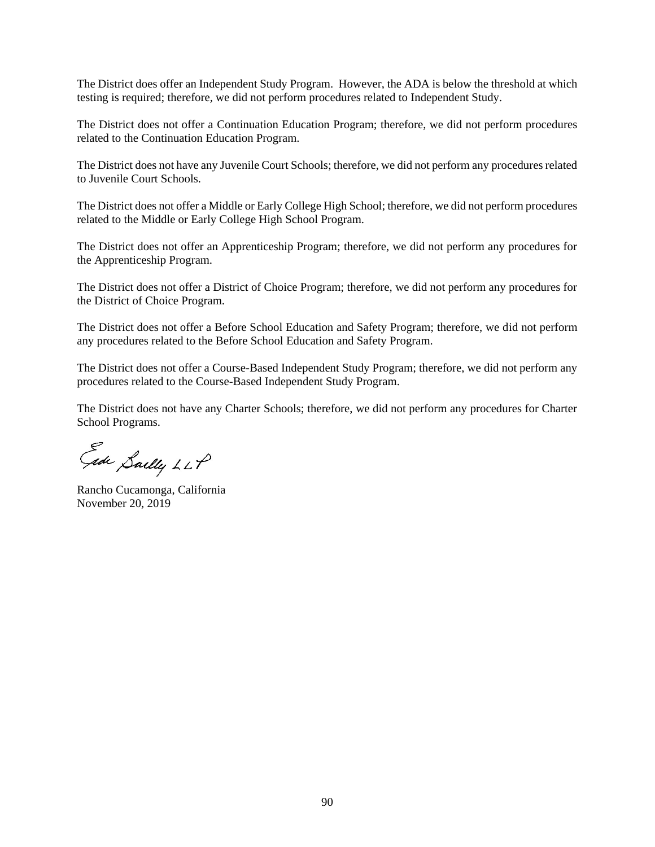The District does offer an Independent Study Program. However, the ADA is below the threshold at which testing is required; therefore, we did not perform procedures related to Independent Study.

The District does not offer a Continuation Education Program; therefore, we did not perform procedures related to the Continuation Education Program.

The District does not have any Juvenile Court Schools; therefore, we did not perform any procedures related to Juvenile Court Schools.

The District does not offer a Middle or Early College High School; therefore, we did not perform procedures related to the Middle or Early College High School Program.

The District does not offer an Apprenticeship Program; therefore, we did not perform any procedures for the Apprenticeship Program.

The District does not offer a District of Choice Program; therefore, we did not perform any procedures for the District of Choice Program.

The District does not offer a Before School Education and Safety Program; therefore, we did not perform any procedures related to the Before School Education and Safety Program.

The District does not offer a Course-Based Independent Study Program; therefore, we did not perform any procedures related to the Course-Based Independent Study Program.

The District does not have any Charter Schools; therefore, we did not perform any procedures for Charter School Programs.

Eade Saelly LLP

Rancho Cucamonga, California November 20, 2019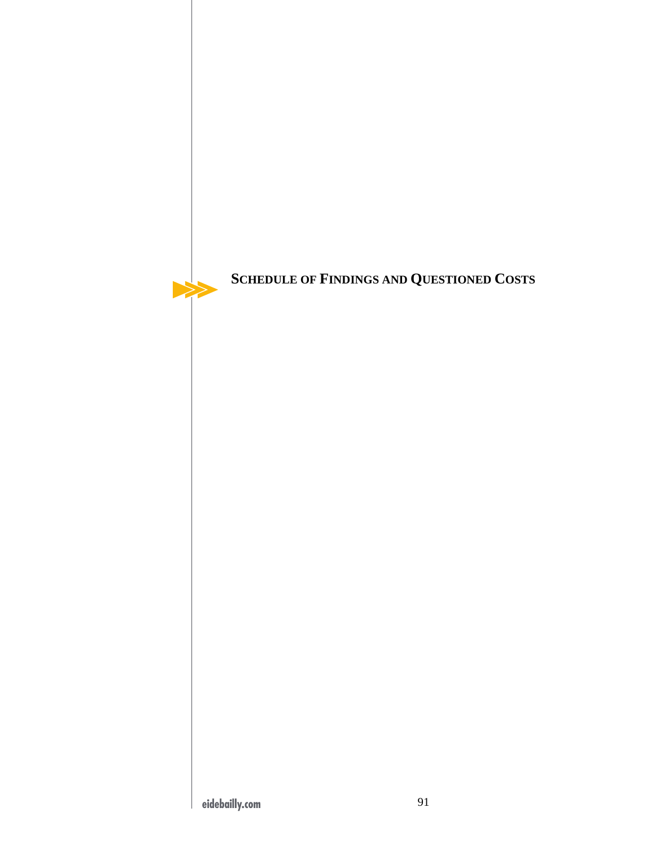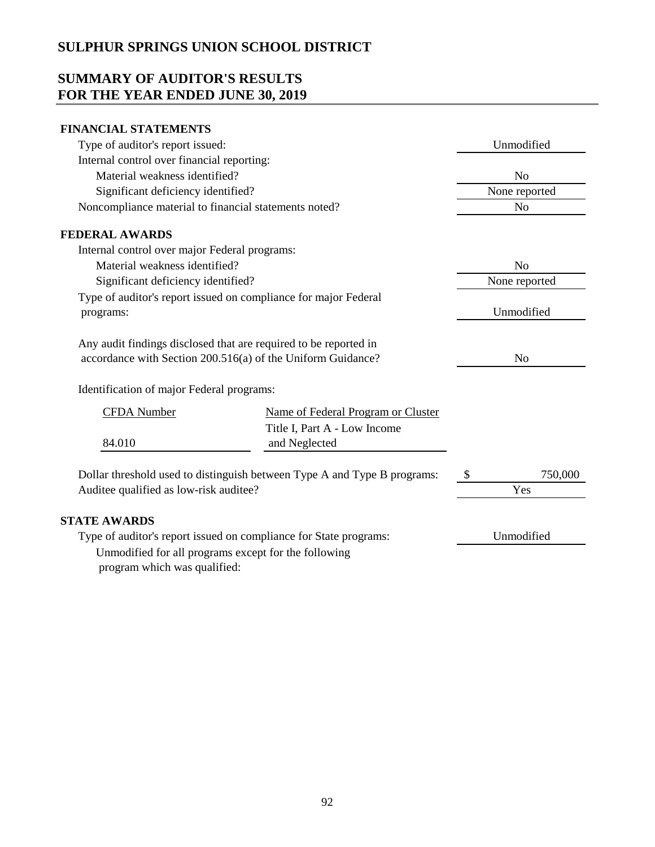# **SUMMARY OF AUDITOR'S RESULTS FOR THE YEAR ENDED JUNE 30, 2019**

### **FINANCIAL STATEMENTS**

| Type of auditor's report issued:                                                                                   |                                               |                | Unmodified     |  |  |
|--------------------------------------------------------------------------------------------------------------------|-----------------------------------------------|----------------|----------------|--|--|
| Internal control over financial reporting:                                                                         |                                               |                |                |  |  |
| Material weakness identified?                                                                                      |                                               |                | N <sub>o</sub> |  |  |
| Significant deficiency identified?                                                                                 |                                               |                | None reported  |  |  |
| Noncompliance material to financial statements noted?                                                              |                                               |                | N <sub>o</sub> |  |  |
| <b>FEDERAL AWARDS</b>                                                                                              |                                               |                |                |  |  |
| Internal control over major Federal programs:                                                                      |                                               |                |                |  |  |
| Material weakness identified?                                                                                      |                                               | N <sub>o</sub> |                |  |  |
| Significant deficiency identified?                                                                                 |                                               | None reported  |                |  |  |
| Type of auditor's report issued on compliance for major Federal<br>programs:                                       |                                               |                | Unmodified     |  |  |
| Any audit findings disclosed that are required to be reported in                                                   |                                               |                |                |  |  |
| accordance with Section 200.516(a) of the Uniform Guidance?                                                        |                                               | No             |                |  |  |
| Identification of major Federal programs:                                                                          |                                               |                |                |  |  |
| <b>CFDA</b> Number                                                                                                 | Name of Federal Program or Cluster            |                |                |  |  |
| 84.010                                                                                                             | Title I, Part A - Low Income<br>and Neglected |                |                |  |  |
| Dollar threshold used to distinguish between Type A and Type B programs:<br>Auditee qualified as low-risk auditee? |                                               | \$             | 750,000        |  |  |
|                                                                                                                    |                                               |                | Yes            |  |  |
| <b>STATE AWARDS</b>                                                                                                |                                               |                |                |  |  |
| Type of auditor's report issued on compliance for State programs:                                                  |                                               | Unmodified     |                |  |  |
| Unmodified for all programs except for the following<br>program which was qualified:                               |                                               |                |                |  |  |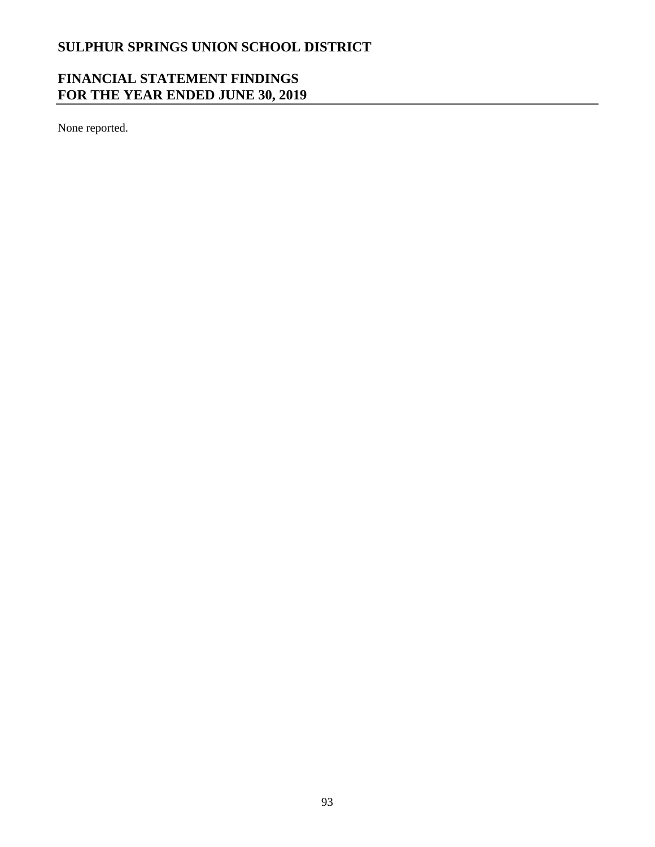# **FINANCIAL STATEMENT FINDINGS FOR THE YEAR ENDED JUNE 30, 2019**

None reported.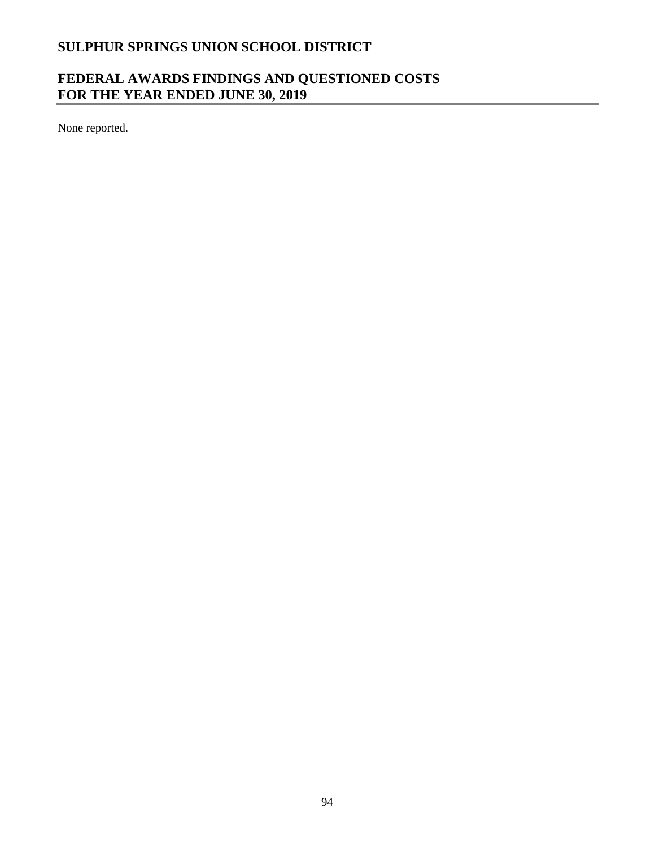# **FEDERAL AWARDS FINDINGS AND QUESTIONED COSTS FOR THE YEAR ENDED JUNE 30, 2019**

None reported.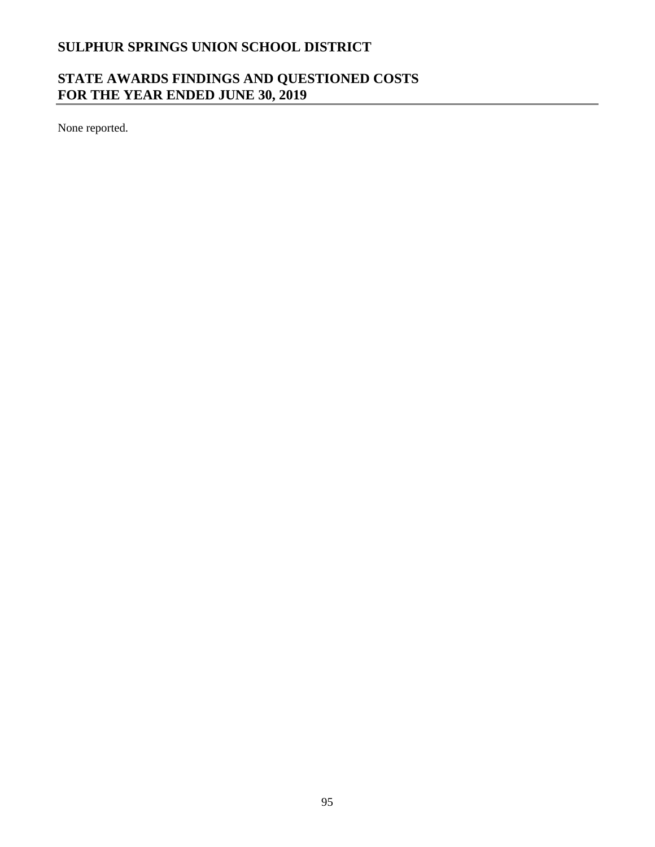# **STATE AWARDS FINDINGS AND QUESTIONED COSTS FOR THE YEAR ENDED JUNE 30, 2019**

None reported.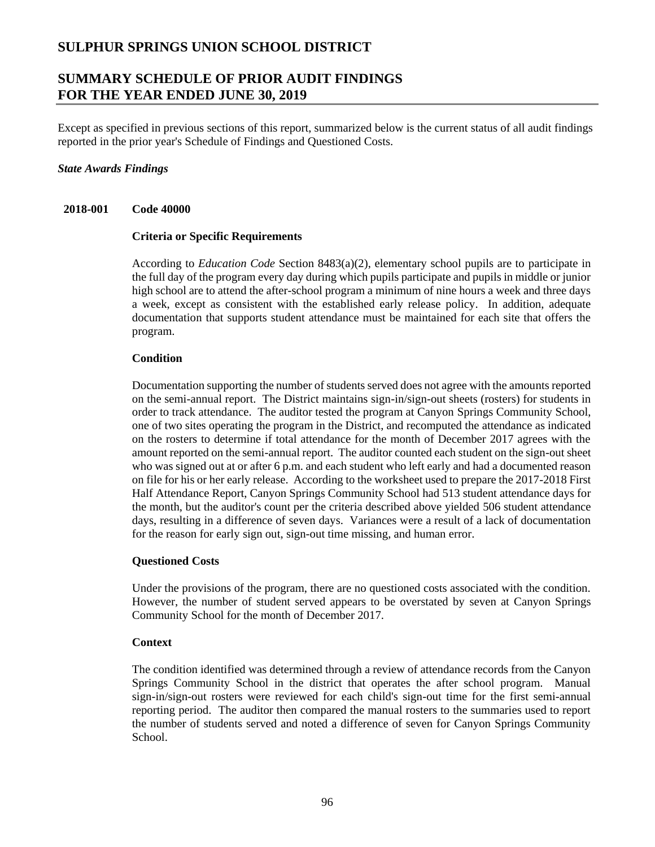## **SUMMARY SCHEDULE OF PRIOR AUDIT FINDINGS FOR THE YEAR ENDED JUNE 30, 2019**

Except as specified in previous sections of this report, summarized below is the current status of all audit findings reported in the prior year's Schedule of Findings and Questioned Costs.

#### *State Awards Findings*

#### **2018-001 Code 40000**

#### **Criteria or Specific Requirements**

According to *Education Code* Section 8483(a)(2), elementary school pupils are to participate in the full day of the program every day during which pupils participate and pupils in middle or junior high school are to attend the after-school program a minimum of nine hours a week and three days a week, except as consistent with the established early release policy. In addition, adequate documentation that supports student attendance must be maintained for each site that offers the program.

#### **Condition**

Documentation supporting the number of students served does not agree with the amounts reported on the semi-annual report. The District maintains sign-in/sign-out sheets (rosters) for students in order to track attendance. The auditor tested the program at Canyon Springs Community School, one of two sites operating the program in the District, and recomputed the attendance as indicated on the rosters to determine if total attendance for the month of December 2017 agrees with the amount reported on the semi-annual report. The auditor counted each student on the sign-out sheet who was signed out at or after 6 p.m. and each student who left early and had a documented reason on file for his or her early release. According to the worksheet used to prepare the 2017-2018 First Half Attendance Report, Canyon Springs Community School had 513 student attendance days for the month, but the auditor's count per the criteria described above yielded 506 student attendance days, resulting in a difference of seven days. Variances were a result of a lack of documentation for the reason for early sign out, sign-out time missing, and human error.

### **Questioned Costs**

Under the provisions of the program, there are no questioned costs associated with the condition. However, the number of student served appears to be overstated by seven at Canyon Springs Community School for the month of December 2017.

### **Context**

The condition identified was determined through a review of attendance records from the Canyon Springs Community School in the district that operates the after school program. Manual sign-in/sign-out rosters were reviewed for each child's sign-out time for the first semi-annual reporting period. The auditor then compared the manual rosters to the summaries used to report the number of students served and noted a difference of seven for Canyon Springs Community School.